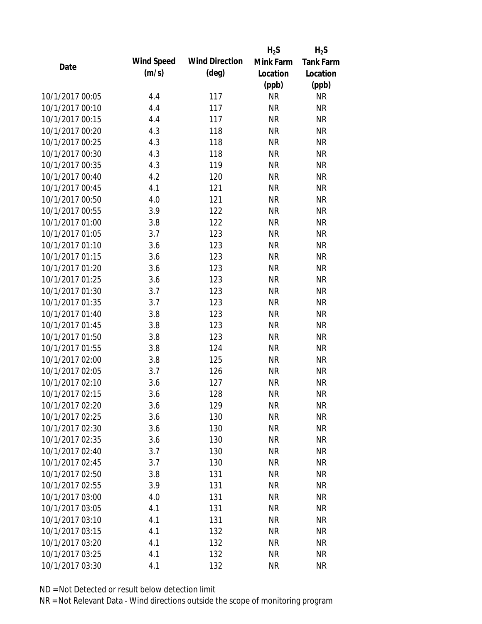|                 |                   |                       | $H_2S$    | $H_2S$           |
|-----------------|-------------------|-----------------------|-----------|------------------|
| Date            | <b>Wind Speed</b> | <b>Wind Direction</b> | Mink Farm | <b>Tank Farm</b> |
|                 | (m/s)             | $(\text{deg})$        | Location  | Location         |
|                 |                   |                       | (ppb)     | (ppb)            |
| 10/1/2017 00:05 | 4.4               | 117                   | <b>NR</b> | <b>NR</b>        |
| 10/1/2017 00:10 | 4.4               | 117                   | <b>NR</b> | <b>NR</b>        |
| 10/1/2017 00:15 | 4.4               | 117                   | <b>NR</b> | <b>NR</b>        |
| 10/1/2017 00:20 | 4.3               | 118                   | <b>NR</b> | <b>NR</b>        |
| 10/1/2017 00:25 | 4.3               | 118                   | <b>NR</b> | <b>NR</b>        |
| 10/1/2017 00:30 | 4.3               | 118                   | <b>NR</b> | <b>NR</b>        |
| 10/1/2017 00:35 | 4.3               | 119                   | <b>NR</b> | <b>NR</b>        |
| 10/1/2017 00:40 | 4.2               | 120                   | <b>NR</b> | <b>NR</b>        |
| 10/1/2017 00:45 | 4.1               | 121                   | <b>NR</b> | <b>NR</b>        |
| 10/1/2017 00:50 | 4.0               | 121                   | <b>NR</b> | <b>NR</b>        |
| 10/1/2017 00:55 | 3.9               | 122                   | <b>NR</b> | <b>NR</b>        |
| 10/1/2017 01:00 | 3.8               | 122                   | <b>NR</b> | <b>NR</b>        |
| 10/1/2017 01:05 | 3.7               | 123                   | <b>NR</b> | <b>NR</b>        |
| 10/1/2017 01:10 | 3.6               | 123                   | <b>NR</b> | <b>NR</b>        |
| 10/1/2017 01:15 | 3.6               | 123                   | <b>NR</b> | <b>NR</b>        |
| 10/1/2017 01:20 | 3.6               | 123                   | <b>NR</b> | <b>NR</b>        |
| 10/1/2017 01:25 | 3.6               | 123                   | <b>NR</b> | <b>NR</b>        |
| 10/1/2017 01:30 | 3.7               | 123                   | <b>NR</b> | <b>NR</b>        |
| 10/1/2017 01:35 | 3.7               | 123                   | <b>NR</b> | <b>NR</b>        |
| 10/1/2017 01:40 | 3.8               | 123                   | <b>NR</b> | <b>NR</b>        |
| 10/1/2017 01:45 | 3.8               | 123                   | <b>NR</b> | <b>NR</b>        |
| 10/1/2017 01:50 | 3.8               | 123                   | <b>NR</b> | <b>NR</b>        |
| 10/1/2017 01:55 | 3.8               | 124                   | <b>NR</b> | <b>NR</b>        |
| 10/1/2017 02:00 | 3.8               | 125                   | <b>NR</b> | <b>NR</b>        |
| 10/1/2017 02:05 | 3.7               | 126                   | <b>NR</b> | <b>NR</b>        |
| 10/1/2017 02:10 | 3.6               | 127                   | <b>NR</b> | <b>NR</b>        |
| 10/1/2017 02:15 | 3.6               | 128                   | <b>NR</b> | <b>NR</b>        |
| 10/1/2017 02:20 | 3.6               | 129                   | <b>NR</b> | <b>NR</b>        |
| 10/1/2017 02:25 | 3.6               | 130                   | <b>NR</b> | <b>NR</b>        |
| 10/1/2017 02:30 | 3.6               | 130                   | <b>NR</b> | <b>NR</b>        |
| 10/1/2017 02:35 | 3.6               | 130                   | <b>NR</b> | <b>NR</b>        |
| 10/1/2017 02:40 | 3.7               | 130                   | <b>NR</b> | <b>NR</b>        |
| 10/1/2017 02:45 | 3.7               | 130                   | <b>NR</b> | <b>NR</b>        |
| 10/1/2017 02:50 | 3.8               | 131                   | <b>NR</b> | <b>NR</b>        |
| 10/1/2017 02:55 | 3.9               | 131                   | <b>NR</b> | <b>NR</b>        |
| 10/1/2017 03:00 | 4.0               | 131                   | <b>NR</b> | <b>NR</b>        |
| 10/1/2017 03:05 | 4.1               | 131                   | <b>NR</b> | <b>NR</b>        |
| 10/1/2017 03:10 | 4.1               | 131                   | <b>NR</b> | <b>NR</b>        |
| 10/1/2017 03:15 | 4.1               | 132                   | <b>NR</b> | <b>NR</b>        |
| 10/1/2017 03:20 | 4.1               | 132                   | <b>NR</b> | <b>NR</b>        |
| 10/1/2017 03:25 | 4.1               | 132                   | <b>NR</b> | <b>NR</b>        |
| 10/1/2017 03:30 | 4.1               | 132                   | <b>NR</b> | <b>NR</b>        |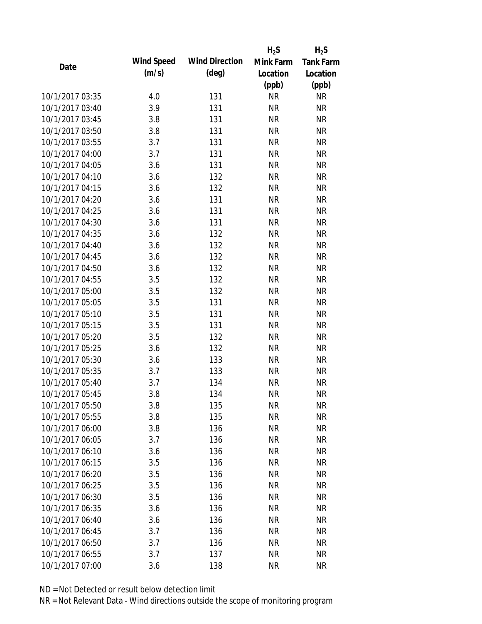|                 |            |                       | $H_2S$    | $H_2S$           |
|-----------------|------------|-----------------------|-----------|------------------|
| Date            | Wind Speed | <b>Wind Direction</b> | Mink Farm | <b>Tank Farm</b> |
|                 | (m/s)      | $(\text{deg})$        | Location  | Location         |
|                 |            |                       | (ppb)     | (ppb)            |
| 10/1/2017 03:35 | 4.0        | 131                   | <b>NR</b> | <b>NR</b>        |
| 10/1/2017 03:40 | 3.9        | 131                   | <b>NR</b> | <b>NR</b>        |
| 10/1/2017 03:45 | 3.8        | 131                   | <b>NR</b> | <b>NR</b>        |
| 10/1/2017 03:50 | 3.8        | 131                   | <b>NR</b> | <b>NR</b>        |
| 10/1/2017 03:55 | 3.7        | 131                   | <b>NR</b> | <b>NR</b>        |
| 10/1/2017 04:00 | 3.7        | 131                   | <b>NR</b> | <b>NR</b>        |
| 10/1/2017 04:05 | 3.6        | 131                   | <b>NR</b> | <b>NR</b>        |
| 10/1/2017 04:10 | 3.6        | 132                   | <b>NR</b> | <b>NR</b>        |
| 10/1/2017 04:15 | 3.6        | 132                   | <b>NR</b> | <b>NR</b>        |
| 10/1/2017 04:20 | 3.6        | 131                   | <b>NR</b> | <b>NR</b>        |
| 10/1/2017 04:25 | 3.6        | 131                   | <b>NR</b> | <b>NR</b>        |
| 10/1/2017 04:30 | 3.6        | 131                   | <b>NR</b> | <b>NR</b>        |
| 10/1/2017 04:35 | 3.6        | 132                   | <b>NR</b> | <b>NR</b>        |
| 10/1/2017 04:40 | 3.6        | 132                   | <b>NR</b> | <b>NR</b>        |
| 10/1/2017 04:45 | 3.6        | 132                   | <b>NR</b> | <b>NR</b>        |
| 10/1/2017 04:50 | 3.6        | 132                   | <b>NR</b> | <b>NR</b>        |
| 10/1/2017 04:55 | 3.5        | 132                   | <b>NR</b> | <b>NR</b>        |
| 10/1/2017 05:00 | 3.5        | 132                   | <b>NR</b> | <b>NR</b>        |
| 10/1/2017 05:05 | 3.5        | 131                   | <b>NR</b> | <b>NR</b>        |
| 10/1/2017 05:10 | 3.5        | 131                   | <b>NR</b> | <b>NR</b>        |
| 10/1/2017 05:15 | 3.5        | 131                   | <b>NR</b> | <b>NR</b>        |
| 10/1/2017 05:20 | 3.5        | 132                   | <b>NR</b> | <b>NR</b>        |
| 10/1/2017 05:25 | 3.6        | 132                   | <b>NR</b> | <b>NR</b>        |
| 10/1/2017 05:30 | 3.6        | 133                   | <b>NR</b> | <b>NR</b>        |
| 10/1/2017 05:35 | 3.7        | 133                   | <b>NR</b> | <b>NR</b>        |
| 10/1/2017 05:40 | 3.7        | 134                   | <b>NR</b> | <b>NR</b>        |
| 10/1/2017 05:45 | 3.8        | 134                   | <b>NR</b> | <b>NR</b>        |
| 10/1/2017 05:50 | 3.8        | 135                   | <b>NR</b> | <b>NR</b>        |
| 10/1/2017 05:55 | 3.8        | 135                   | <b>NR</b> | <b>NR</b>        |
| 10/1/2017 06:00 | 3.8        | 136                   | <b>NR</b> | <b>NR</b>        |
| 10/1/2017 06:05 | 3.7        | 136                   | <b>NR</b> | <b>NR</b>        |
| 10/1/2017 06:10 | 3.6        | 136                   | <b>NR</b> | <b>NR</b>        |
| 10/1/2017 06:15 | 3.5        | 136                   | <b>NR</b> | <b>NR</b>        |
| 10/1/2017 06:20 | 3.5        | 136                   | <b>NR</b> | <b>NR</b>        |
| 10/1/2017 06:25 | 3.5        | 136                   | <b>NR</b> | <b>NR</b>        |
| 10/1/2017 06:30 | 3.5        | 136                   | <b>NR</b> | <b>NR</b>        |
| 10/1/2017 06:35 | 3.6        | 136                   | <b>NR</b> | <b>NR</b>        |
| 10/1/2017 06:40 | 3.6        | 136                   | <b>NR</b> | <b>NR</b>        |
| 10/1/2017 06:45 | 3.7        | 136                   | <b>NR</b> | <b>NR</b>        |
| 10/1/2017 06:50 | 3.7        | 136                   | ΝR        | <b>NR</b>        |
| 10/1/2017 06:55 | 3.7        | 137                   | <b>NR</b> | <b>NR</b>        |
| 10/1/2017 07:00 | 3.6        | 138                   | <b>NR</b> | <b>NR</b>        |
|                 |            |                       |           |                  |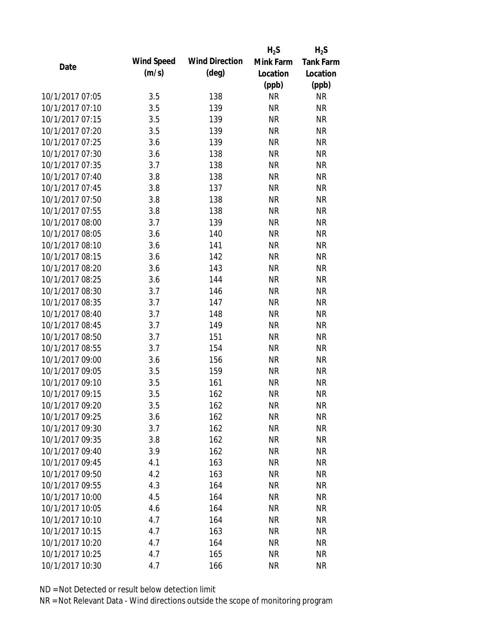|                 |            |                       | $H_2S$    | $H_2S$           |
|-----------------|------------|-----------------------|-----------|------------------|
| Date            | Wind Speed | <b>Wind Direction</b> | Mink Farm | <b>Tank Farm</b> |
|                 | (m/s)      | $(\text{deg})$        | Location  | Location         |
|                 |            |                       | (ppb)     | (ppb)            |
| 10/1/2017 07:05 | 3.5        | 138                   | <b>NR</b> | <b>NR</b>        |
| 10/1/2017 07:10 | 3.5        | 139                   | <b>NR</b> | <b>NR</b>        |
| 10/1/2017 07:15 | 3.5        | 139                   | <b>NR</b> | <b>NR</b>        |
| 10/1/2017 07:20 | 3.5        | 139                   | <b>NR</b> | <b>NR</b>        |
| 10/1/2017 07:25 | 3.6        | 139                   | <b>NR</b> | <b>NR</b>        |
| 10/1/2017 07:30 | 3.6        | 138                   | <b>NR</b> | <b>NR</b>        |
| 10/1/2017 07:35 | 3.7        | 138                   | <b>NR</b> | <b>NR</b>        |
| 10/1/2017 07:40 | 3.8        | 138                   | <b>NR</b> | <b>NR</b>        |
| 10/1/2017 07:45 | 3.8        | 137                   | <b>NR</b> | <b>NR</b>        |
| 10/1/2017 07:50 | 3.8        | 138                   | <b>NR</b> | <b>NR</b>        |
| 10/1/2017 07:55 | 3.8        | 138                   | <b>NR</b> | <b>NR</b>        |
| 10/1/2017 08:00 | 3.7        | 139                   | <b>NR</b> | <b>NR</b>        |
| 10/1/2017 08:05 | 3.6        | 140                   | <b>NR</b> | <b>NR</b>        |
| 10/1/2017 08:10 | 3.6        | 141                   | <b>NR</b> | <b>NR</b>        |
| 10/1/2017 08:15 | 3.6        | 142                   | <b>NR</b> | <b>NR</b>        |
| 10/1/2017 08:20 | 3.6        | 143                   | <b>NR</b> | <b>NR</b>        |
| 10/1/2017 08:25 | 3.6        | 144                   | <b>NR</b> | <b>NR</b>        |
| 10/1/2017 08:30 | 3.7        | 146                   | <b>NR</b> | <b>NR</b>        |
| 10/1/2017 08:35 | 3.7        | 147                   | <b>NR</b> | <b>NR</b>        |
| 10/1/2017 08:40 | 3.7        | 148                   | <b>NR</b> | <b>NR</b>        |
| 10/1/2017 08:45 | 3.7        | 149                   | <b>NR</b> | <b>NR</b>        |
| 10/1/2017 08:50 | 3.7        | 151                   | <b>NR</b> | <b>NR</b>        |
| 10/1/2017 08:55 | 3.7        | 154                   | <b>NR</b> | <b>NR</b>        |
| 10/1/2017 09:00 | 3.6        | 156                   | <b>NR</b> | <b>NR</b>        |
| 10/1/2017 09:05 | 3.5        | 159                   | <b>NR</b> | <b>NR</b>        |
| 10/1/2017 09:10 | 3.5        | 161                   | <b>NR</b> | <b>NR</b>        |
| 10/1/2017 09:15 | 3.5        | 162                   | <b>NR</b> | <b>NR</b>        |
| 10/1/2017 09:20 | 3.5        | 162                   | ΝR        | <b>NR</b>        |
| 10/1/2017 09:25 | 3.6        | 162                   | <b>NR</b> | <b>NR</b>        |
| 10/1/2017 09:30 | 3.7        | 162                   | <b>NR</b> | <b>NR</b>        |
| 10/1/2017 09:35 | 3.8        | 162                   | <b>NR</b> | <b>NR</b>        |
| 10/1/2017 09:40 | 3.9        | 162                   | <b>NR</b> | <b>NR</b>        |
| 10/1/2017 09:45 | 4.1        | 163                   | <b>NR</b> | <b>NR</b>        |
| 10/1/2017 09:50 | 4.2        | 163                   | <b>NR</b> | <b>NR</b>        |
| 10/1/2017 09:55 | 4.3        | 164                   | NR        | <b>NR</b>        |
| 10/1/2017 10:00 | 4.5        | 164                   | <b>NR</b> | <b>NR</b>        |
| 10/1/2017 10:05 | 4.6        | 164                   | <b>NR</b> | <b>NR</b>        |
| 10/1/2017 10:10 | 4.7        | 164                   | NR        | <b>NR</b>        |
| 10/1/2017 10:15 | 4.7        | 163                   | <b>NR</b> | <b>NR</b>        |
| 10/1/2017 10:20 | 4.7        | 164                   | NR        | <b>NR</b>        |
| 10/1/2017 10:25 | 4.7        | 165                   | <b>NR</b> | <b>NR</b>        |
| 10/1/2017 10:30 | 4.7        | 166                   | <b>NR</b> | <b>NR</b>        |
|                 |            |                       |           |                  |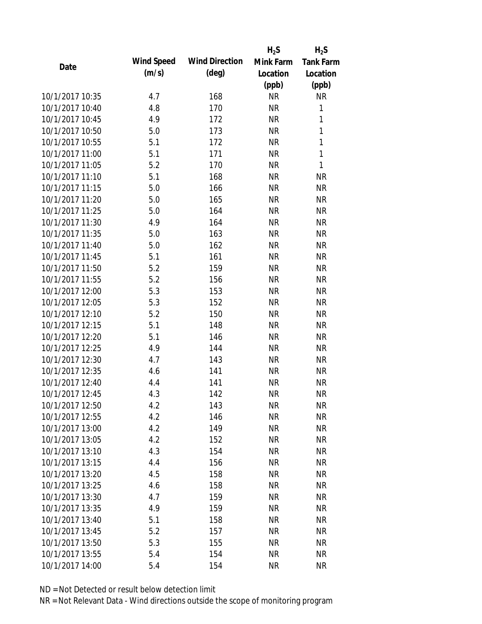|                 |            |                       | $H_2S$    | $H_2S$           |
|-----------------|------------|-----------------------|-----------|------------------|
| Date            | Wind Speed | <b>Wind Direction</b> | Mink Farm | <b>Tank Farm</b> |
|                 | (m/s)      | $(\text{deg})$        | Location  | Location         |
|                 |            |                       | (ppb)     | (ppb)            |
| 10/1/2017 10:35 | 4.7        | 168                   | <b>NR</b> | <b>NR</b>        |
| 10/1/2017 10:40 | 4.8        | 170                   | <b>NR</b> | 1                |
| 10/1/2017 10:45 | 4.9        | 172                   | <b>NR</b> | 1                |
| 10/1/2017 10:50 | 5.0        | 173                   | <b>NR</b> | $\mathbf{1}$     |
| 10/1/2017 10:55 | 5.1        | 172                   | <b>NR</b> | 1                |
| 10/1/2017 11:00 | 5.1        | 171                   | <b>NR</b> | 1                |
| 10/1/2017 11:05 | 5.2        | 170                   | <b>NR</b> | 1                |
| 10/1/2017 11:10 | 5.1        | 168                   | <b>NR</b> | <b>NR</b>        |
| 10/1/2017 11:15 | 5.0        | 166                   | <b>NR</b> | <b>NR</b>        |
| 10/1/2017 11:20 | 5.0        | 165                   | <b>NR</b> | <b>NR</b>        |
| 10/1/2017 11:25 | 5.0        | 164                   | <b>NR</b> | <b>NR</b>        |
| 10/1/2017 11:30 | 4.9        | 164                   | <b>NR</b> | <b>NR</b>        |
| 10/1/2017 11:35 | 5.0        | 163                   | <b>NR</b> | <b>NR</b>        |
| 10/1/2017 11:40 | 5.0        | 162                   | <b>NR</b> | <b>NR</b>        |
| 10/1/2017 11:45 | 5.1        | 161                   | <b>NR</b> | <b>NR</b>        |
| 10/1/2017 11:50 | 5.2        | 159                   | <b>NR</b> | <b>NR</b>        |
| 10/1/2017 11:55 | 5.2        | 156                   | <b>NR</b> | <b>NR</b>        |
| 10/1/2017 12:00 | 5.3        | 153                   | <b>NR</b> | <b>NR</b>        |
| 10/1/2017 12:05 | 5.3        | 152                   | <b>NR</b> | <b>NR</b>        |
| 10/1/2017 12:10 | 5.2        | 150                   | <b>NR</b> | <b>NR</b>        |
| 10/1/2017 12:15 | 5.1        | 148                   | <b>NR</b> | <b>NR</b>        |
| 10/1/2017 12:20 | 5.1        | 146                   | <b>NR</b> | <b>NR</b>        |
| 10/1/2017 12:25 | 4.9        | 144                   | <b>NR</b> | <b>NR</b>        |
| 10/1/2017 12:30 | 4.7        | 143                   | <b>NR</b> | <b>NR</b>        |
| 10/1/2017 12:35 | 4.6        | 141                   | <b>NR</b> | <b>NR</b>        |
| 10/1/2017 12:40 | 4.4        | 141                   | <b>NR</b> | <b>NR</b>        |
| 10/1/2017 12:45 | 4.3        | 142                   | <b>NR</b> | <b>NR</b>        |
| 10/1/2017 12:50 | 4.2        | 143                   | <b>NR</b> | <b>NR</b>        |
| 10/1/2017 12:55 | 4.2        | 146                   | <b>NR</b> | <b>NR</b>        |
| 10/1/2017 13:00 | 4.2        | 149                   | <b>NR</b> | <b>NR</b>        |
| 10/1/2017 13:05 | 4.2        | 152                   | <b>NR</b> | <b>NR</b>        |
| 10/1/2017 13:10 | 4.3        | 154                   | <b>NR</b> | <b>NR</b>        |
| 10/1/2017 13:15 | 4.4        | 156                   | <b>NR</b> | <b>NR</b>        |
| 10/1/2017 13:20 | 4.5        | 158                   | <b>NR</b> | <b>NR</b>        |
| 10/1/2017 13:25 | 4.6        | 158                   | <b>NR</b> | <b>NR</b>        |
| 10/1/2017 13:30 | 4.7        | 159                   | <b>NR</b> | <b>NR</b>        |
| 10/1/2017 13:35 | 4.9        | 159                   | <b>NR</b> | <b>NR</b>        |
| 10/1/2017 13:40 | 5.1        | 158                   | <b>NR</b> | <b>NR</b>        |
| 10/1/2017 13:45 | 5.2        | 157                   | <b>NR</b> | <b>NR</b>        |
| 10/1/2017 13:50 | 5.3        | 155                   | <b>NR</b> | <b>NR</b>        |
| 10/1/2017 13:55 | 5.4        | 154                   | <b>NR</b> | <b>NR</b>        |
| 10/1/2017 14:00 | 5.4        | 154                   | <b>NR</b> | <b>NR</b>        |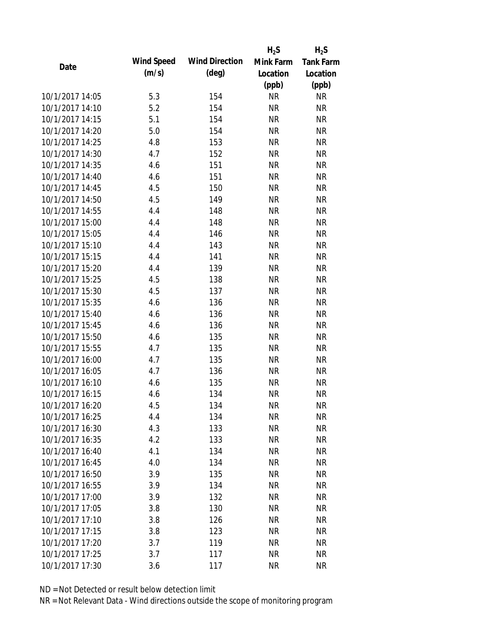|                 |            |                       | $H_2S$    | $H_2S$           |
|-----------------|------------|-----------------------|-----------|------------------|
| Date            | Wind Speed | <b>Wind Direction</b> | Mink Farm | <b>Tank Farm</b> |
|                 | (m/s)      | $(\text{deg})$        | Location  | Location         |
|                 |            |                       | (ppb)     | (ppb)            |
| 10/1/2017 14:05 | 5.3        | 154                   | <b>NR</b> | <b>NR</b>        |
| 10/1/2017 14:10 | 5.2        | 154                   | <b>NR</b> | <b>NR</b>        |
| 10/1/2017 14:15 | 5.1        | 154                   | <b>NR</b> | <b>NR</b>        |
| 10/1/2017 14:20 | 5.0        | 154                   | <b>NR</b> | <b>NR</b>        |
| 10/1/2017 14:25 | 4.8        | 153                   | <b>NR</b> | <b>NR</b>        |
| 10/1/2017 14:30 | 4.7        | 152                   | <b>NR</b> | <b>NR</b>        |
| 10/1/2017 14:35 | 4.6        | 151                   | <b>NR</b> | <b>NR</b>        |
| 10/1/2017 14:40 | 4.6        | 151                   | <b>NR</b> | <b>NR</b>        |
| 10/1/2017 14:45 | 4.5        | 150                   | <b>NR</b> | <b>NR</b>        |
| 10/1/2017 14:50 | 4.5        | 149                   | <b>NR</b> | <b>NR</b>        |
| 10/1/2017 14:55 | 4.4        | 148                   | <b>NR</b> | <b>NR</b>        |
| 10/1/2017 15:00 | 4.4        | 148                   | <b>NR</b> | <b>NR</b>        |
| 10/1/2017 15:05 | 4.4        | 146                   | <b>NR</b> | <b>NR</b>        |
| 10/1/2017 15:10 | 4.4        | 143                   | <b>NR</b> | <b>NR</b>        |
| 10/1/2017 15:15 | 4.4        | 141                   | <b>NR</b> | <b>NR</b>        |
| 10/1/2017 15:20 | 4.4        | 139                   | <b>NR</b> | <b>NR</b>        |
| 10/1/2017 15:25 | 4.5        | 138                   | <b>NR</b> | <b>NR</b>        |
| 10/1/2017 15:30 | 4.5        | 137                   | <b>NR</b> | <b>NR</b>        |
| 10/1/2017 15:35 | 4.6        | 136                   | <b>NR</b> | <b>NR</b>        |
| 10/1/2017 15:40 | 4.6        | 136                   | <b>NR</b> | <b>NR</b>        |
| 10/1/2017 15:45 | 4.6        | 136                   | <b>NR</b> | <b>NR</b>        |
| 10/1/2017 15:50 | 4.6        | 135                   | <b>NR</b> | <b>NR</b>        |
| 10/1/2017 15:55 | 4.7        | 135                   | <b>NR</b> | <b>NR</b>        |
| 10/1/2017 16:00 | 4.7        | 135                   | <b>NR</b> | <b>NR</b>        |
| 10/1/2017 16:05 | 4.7        | 136                   | <b>NR</b> | <b>NR</b>        |
| 10/1/2017 16:10 | 4.6        | 135                   | <b>NR</b> | <b>NR</b>        |
| 10/1/2017 16:15 | 4.6        | 134                   | <b>NR</b> | <b>NR</b>        |
| 10/1/2017 16:20 | 4.5        | 134                   | <b>NR</b> | <b>NR</b>        |
| 10/1/2017 16:25 | 4.4        | 134                   | <b>NR</b> | <b>NR</b>        |
| 10/1/2017 16:30 | 4.3        | 133                   | <b>NR</b> | <b>NR</b>        |
| 10/1/2017 16:35 | 4.2        | 133                   | <b>NR</b> | <b>NR</b>        |
| 10/1/2017 16:40 | 4.1        | 134                   | <b>NR</b> | <b>NR</b>        |
| 10/1/2017 16:45 | 4.0        | 134                   | <b>NR</b> | <b>NR</b>        |
| 10/1/2017 16:50 | 3.9        | 135                   | <b>NR</b> | <b>NR</b>        |
| 10/1/2017 16:55 | 3.9        | 134                   | <b>NR</b> | <b>NR</b>        |
| 10/1/2017 17:00 | 3.9        | 132                   | <b>NR</b> | <b>NR</b>        |
| 10/1/2017 17:05 | 3.8        | 130                   | <b>NR</b> | <b>NR</b>        |
| 10/1/2017 17:10 | 3.8        | 126                   | <b>NR</b> | <b>NR</b>        |
| 10/1/2017 17:15 | 3.8        | 123                   | <b>NR</b> | <b>NR</b>        |
| 10/1/2017 17:20 | 3.7        | 119                   | <b>NR</b> | <b>NR</b>        |
| 10/1/2017 17:25 | 3.7        | 117                   | <b>NR</b> | <b>NR</b>        |
| 10/1/2017 17:30 | 3.6        | 117                   | <b>NR</b> | <b>NR</b>        |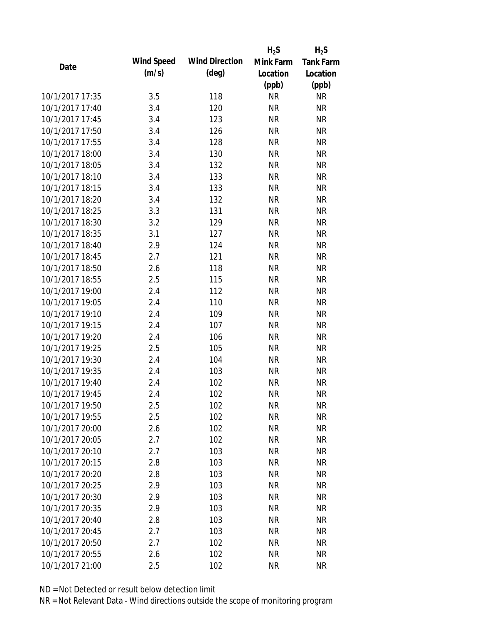|                 |            |                       | $H_2S$    | $H_2S$           |
|-----------------|------------|-----------------------|-----------|------------------|
| Date            | Wind Speed | <b>Wind Direction</b> | Mink Farm | <b>Tank Farm</b> |
|                 | (m/s)      | $(\text{deg})$        | Location  | Location         |
|                 |            |                       | (ppb)     | (ppb)            |
| 10/1/2017 17:35 | 3.5        | 118                   | <b>NR</b> | <b>NR</b>        |
| 10/1/2017 17:40 | 3.4        | 120                   | <b>NR</b> | <b>NR</b>        |
| 10/1/2017 17:45 | 3.4        | 123                   | <b>NR</b> | <b>NR</b>        |
| 10/1/2017 17:50 | 3.4        | 126                   | <b>NR</b> | <b>NR</b>        |
| 10/1/2017 17:55 | 3.4        | 128                   | <b>NR</b> | <b>NR</b>        |
| 10/1/2017 18:00 | 3.4        | 130                   | <b>NR</b> | <b>NR</b>        |
| 10/1/2017 18:05 | 3.4        | 132                   | <b>NR</b> | <b>NR</b>        |
| 10/1/2017 18:10 | 3.4        | 133                   | <b>NR</b> | <b>NR</b>        |
| 10/1/2017 18:15 | 3.4        | 133                   | <b>NR</b> | <b>NR</b>        |
| 10/1/2017 18:20 | 3.4        | 132                   | <b>NR</b> | <b>NR</b>        |
| 10/1/2017 18:25 | 3.3        | 131                   | <b>NR</b> | <b>NR</b>        |
| 10/1/2017 18:30 | 3.2        | 129                   | <b>NR</b> | <b>NR</b>        |
| 10/1/2017 18:35 | 3.1        | 127                   | <b>NR</b> | <b>NR</b>        |
| 10/1/2017 18:40 | 2.9        | 124                   | <b>NR</b> | <b>NR</b>        |
| 10/1/2017 18:45 | 2.7        | 121                   | <b>NR</b> | <b>NR</b>        |
| 10/1/2017 18:50 | 2.6        | 118                   | <b>NR</b> | <b>NR</b>        |
| 10/1/2017 18:55 | 2.5        | 115                   | <b>NR</b> | <b>NR</b>        |
| 10/1/2017 19:00 | 2.4        | 112                   | <b>NR</b> | <b>NR</b>        |
| 10/1/2017 19:05 | 2.4        | 110                   | <b>NR</b> | <b>NR</b>        |
| 10/1/2017 19:10 | 2.4        | 109                   | <b>NR</b> | <b>NR</b>        |
| 10/1/2017 19:15 | 2.4        | 107                   | <b>NR</b> | <b>NR</b>        |
| 10/1/2017 19:20 | 2.4        | 106                   | <b>NR</b> | <b>NR</b>        |
| 10/1/2017 19:25 | 2.5        | 105                   | <b>NR</b> | <b>NR</b>        |
| 10/1/2017 19:30 | 2.4        | 104                   | <b>NR</b> | <b>NR</b>        |
| 10/1/2017 19:35 | 2.4        | 103                   | <b>NR</b> | <b>NR</b>        |
| 10/1/2017 19:40 | 2.4        | 102                   | <b>NR</b> | <b>NR</b>        |
| 10/1/2017 19:45 | 2.4        | 102                   | <b>NR</b> | <b>NR</b>        |
| 10/1/2017 19:50 | 2.5        | 102                   | <b>NR</b> | <b>NR</b>        |
| 10/1/2017 19:55 | 2.5        | 102                   | <b>NR</b> | <b>NR</b>        |
| 10/1/2017 20:00 | 2.6        | 102                   | <b>NR</b> | <b>NR</b>        |
| 10/1/2017 20:05 | 2.7        | 102                   | <b>NR</b> | <b>NR</b>        |
| 10/1/2017 20:10 | 2.7        | 103                   | <b>NR</b> | <b>NR</b>        |
| 10/1/2017 20:15 | 2.8        | 103                   | <b>NR</b> | <b>NR</b>        |
| 10/1/2017 20:20 | 2.8        | 103                   | <b>NR</b> | <b>NR</b>        |
| 10/1/2017 20:25 | 2.9        | 103                   | <b>NR</b> | <b>NR</b>        |
| 10/1/2017 20:30 | 2.9        | 103                   | <b>NR</b> | <b>NR</b>        |
| 10/1/2017 20:35 | 2.9        | 103                   | <b>NR</b> | <b>NR</b>        |
| 10/1/2017 20:40 | 2.8        | 103                   | <b>NR</b> | <b>NR</b>        |
| 10/1/2017 20:45 | 2.7        | 103                   | <b>NR</b> | <b>NR</b>        |
| 10/1/2017 20:50 | 2.7        | 102                   | NR        | <b>NR</b>        |
| 10/1/2017 20:55 | 2.6        | 102                   | <b>NR</b> | <b>NR</b>        |
| 10/1/2017 21:00 | 2.5        | 102                   | <b>NR</b> | <b>NR</b>        |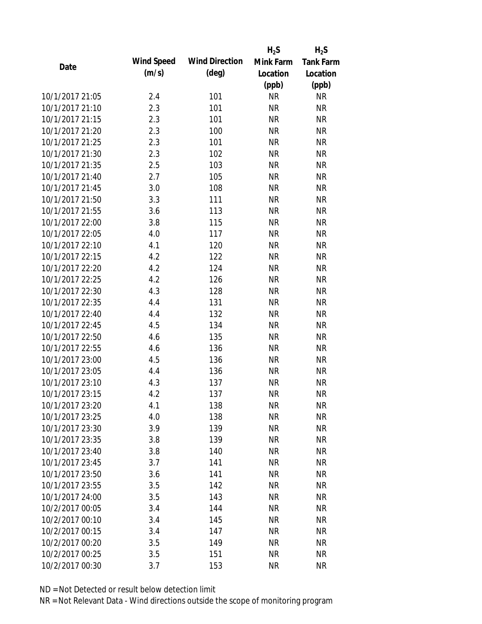|                 |            |                       | $H_2S$    | $H_2S$           |
|-----------------|------------|-----------------------|-----------|------------------|
| Date            | Wind Speed | <b>Wind Direction</b> | Mink Farm | <b>Tank Farm</b> |
|                 | (m/s)      | $(\text{deg})$        | Location  | Location         |
|                 |            |                       | (ppb)     | (ppb)            |
| 10/1/2017 21:05 | 2.4        | 101                   | <b>NR</b> | <b>NR</b>        |
| 10/1/2017 21:10 | 2.3        | 101                   | <b>NR</b> | <b>NR</b>        |
| 10/1/2017 21:15 | 2.3        | 101                   | <b>NR</b> | <b>NR</b>        |
| 10/1/2017 21:20 | 2.3        | 100                   | <b>NR</b> | <b>NR</b>        |
| 10/1/2017 21:25 | 2.3        | 101                   | <b>NR</b> | <b>NR</b>        |
| 10/1/2017 21:30 | 2.3        | 102                   | <b>NR</b> | <b>NR</b>        |
| 10/1/2017 21:35 | 2.5        | 103                   | <b>NR</b> | <b>NR</b>        |
| 10/1/2017 21:40 | 2.7        | 105                   | <b>NR</b> | <b>NR</b>        |
| 10/1/2017 21:45 | 3.0        | 108                   | <b>NR</b> | <b>NR</b>        |
| 10/1/2017 21:50 | 3.3        | 111                   | <b>NR</b> | <b>NR</b>        |
| 10/1/2017 21:55 | 3.6        | 113                   | <b>NR</b> | <b>NR</b>        |
| 10/1/2017 22:00 | 3.8        | 115                   | <b>NR</b> | <b>NR</b>        |
| 10/1/2017 22:05 | 4.0        | 117                   | <b>NR</b> | <b>NR</b>        |
| 10/1/2017 22:10 | 4.1        | 120                   | <b>NR</b> | <b>NR</b>        |
| 10/1/2017 22:15 | 4.2        | 122                   | <b>NR</b> | <b>NR</b>        |
| 10/1/2017 22:20 | 4.2        | 124                   | <b>NR</b> | <b>NR</b>        |
| 10/1/2017 22:25 | 4.2        | 126                   | <b>NR</b> | <b>NR</b>        |
| 10/1/2017 22:30 | 4.3        | 128                   | <b>NR</b> | <b>NR</b>        |
| 10/1/2017 22:35 | 4.4        | 131                   | <b>NR</b> | <b>NR</b>        |
| 10/1/2017 22:40 | 4.4        | 132                   | <b>NR</b> | <b>NR</b>        |
| 10/1/2017 22:45 | 4.5        | 134                   | <b>NR</b> | <b>NR</b>        |
| 10/1/2017 22:50 | 4.6        | 135                   | <b>NR</b> | <b>NR</b>        |
| 10/1/2017 22:55 | 4.6        | 136                   | <b>NR</b> | <b>NR</b>        |
| 10/1/2017 23:00 | 4.5        | 136                   | <b>NR</b> | <b>NR</b>        |
| 10/1/2017 23:05 | 4.4        | 136                   | <b>NR</b> | <b>NR</b>        |
| 10/1/2017 23:10 | 4.3        | 137                   | <b>NR</b> | <b>NR</b>        |
| 10/1/2017 23:15 | 4.2        | 137                   | <b>NR</b> | <b>NR</b>        |
| 10/1/2017 23:20 | 4.1        | 138                   | <b>NR</b> | <b>NR</b>        |
| 10/1/2017 23:25 | 4.0        | 138                   | <b>NR</b> | <b>NR</b>        |
| 10/1/2017 23:30 | 3.9        | 139                   | <b>NR</b> | <b>NR</b>        |
| 10/1/2017 23:35 | 3.8        | 139                   | <b>NR</b> | <b>NR</b>        |
| 10/1/2017 23:40 | 3.8        | 140                   | <b>NR</b> | <b>NR</b>        |
| 10/1/2017 23:45 | 3.7        | 141                   | <b>NR</b> | <b>NR</b>        |
| 10/1/2017 23:50 | 3.6        | 141                   | <b>NR</b> | <b>NR</b>        |
| 10/1/2017 23:55 | 3.5        | 142                   | <b>NR</b> | <b>NR</b>        |
| 10/1/2017 24:00 | 3.5        | 143                   | <b>NR</b> | <b>NR</b>        |
| 10/2/2017 00:05 | 3.4        | 144                   | <b>NR</b> | <b>NR</b>        |
| 10/2/2017 00:10 | 3.4        | 145                   | <b>NR</b> | <b>NR</b>        |
| 10/2/2017 00:15 | 3.4        | 147                   | <b>NR</b> | <b>NR</b>        |
| 10/2/2017 00:20 | 3.5        | 149                   | <b>NR</b> | <b>NR</b>        |
| 10/2/2017 00:25 | 3.5        | 151                   | <b>NR</b> | <b>NR</b>        |
| 10/2/2017 00:30 | 3.7        | 153                   | <b>NR</b> | <b>NR</b>        |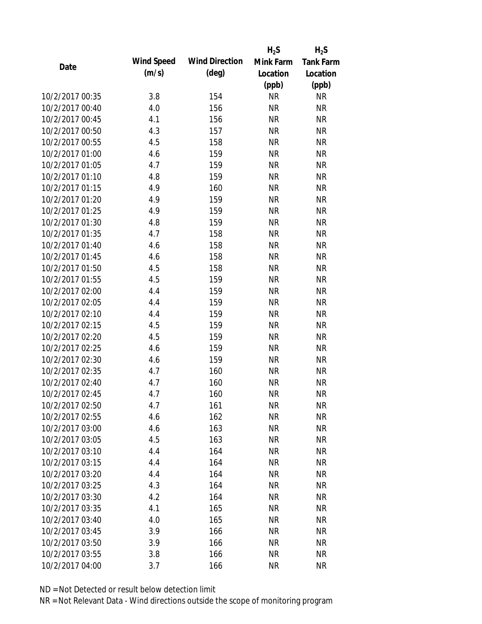|                 |            |                       | $H_2S$    | $H_2S$           |
|-----------------|------------|-----------------------|-----------|------------------|
| Date            | Wind Speed | <b>Wind Direction</b> | Mink Farm | <b>Tank Farm</b> |
|                 | (m/s)      | $(\text{deg})$        | Location  | Location         |
|                 |            |                       | (ppb)     | (ppb)            |
| 10/2/2017 00:35 | 3.8        | 154                   | <b>NR</b> | <b>NR</b>        |
| 10/2/2017 00:40 | 4.0        | 156                   | <b>NR</b> | <b>NR</b>        |
| 10/2/2017 00:45 | 4.1        | 156                   | <b>NR</b> | <b>NR</b>        |
| 10/2/2017 00:50 | 4.3        | 157                   | <b>NR</b> | <b>NR</b>        |
| 10/2/2017 00:55 | 4.5        | 158                   | <b>NR</b> | <b>NR</b>        |
| 10/2/2017 01:00 | 4.6        | 159                   | <b>NR</b> | <b>NR</b>        |
| 10/2/2017 01:05 | 4.7        | 159                   | <b>NR</b> | <b>NR</b>        |
| 10/2/2017 01:10 | 4.8        | 159                   | <b>NR</b> | <b>NR</b>        |
| 10/2/2017 01:15 | 4.9        | 160                   | <b>NR</b> | <b>NR</b>        |
| 10/2/2017 01:20 | 4.9        | 159                   | <b>NR</b> | <b>NR</b>        |
| 10/2/2017 01:25 | 4.9        | 159                   | <b>NR</b> | <b>NR</b>        |
| 10/2/2017 01:30 | 4.8        | 159                   | <b>NR</b> | <b>NR</b>        |
| 10/2/2017 01:35 | 4.7        | 158                   | <b>NR</b> | <b>NR</b>        |
| 10/2/2017 01:40 | 4.6        | 158                   | <b>NR</b> | <b>NR</b>        |
| 10/2/2017 01:45 | 4.6        | 158                   | <b>NR</b> | <b>NR</b>        |
| 10/2/2017 01:50 | 4.5        | 158                   | <b>NR</b> | <b>NR</b>        |
| 10/2/2017 01:55 | 4.5        | 159                   | <b>NR</b> | <b>NR</b>        |
| 10/2/2017 02:00 | 4.4        | 159                   | <b>NR</b> | <b>NR</b>        |
| 10/2/2017 02:05 | 4.4        | 159                   | <b>NR</b> | <b>NR</b>        |
| 10/2/2017 02:10 | 4.4        | 159                   | <b>NR</b> | <b>NR</b>        |
| 10/2/2017 02:15 | 4.5        | 159                   | <b>NR</b> | <b>NR</b>        |
| 10/2/2017 02:20 | 4.5        | 159                   | <b>NR</b> | <b>NR</b>        |
| 10/2/2017 02:25 | 4.6        | 159                   | <b>NR</b> | <b>NR</b>        |
| 10/2/2017 02:30 | 4.6        | 159                   | <b>NR</b> | <b>NR</b>        |
| 10/2/2017 02:35 | 4.7        | 160                   | <b>NR</b> | <b>NR</b>        |
| 10/2/2017 02:40 | 4.7        | 160                   | <b>NR</b> | <b>NR</b>        |
| 10/2/2017 02:45 | 4.7        | 160                   | <b>NR</b> | <b>NR</b>        |
| 10/2/2017 02:50 | 4.7        | 161                   | <b>NR</b> | <b>NR</b>        |
| 10/2/2017 02:55 | 4.6        | 162                   | <b>NR</b> | <b>NR</b>        |
| 10/2/2017 03:00 | 4.6        | 163                   | <b>NR</b> | <b>NR</b>        |
| 10/2/2017 03:05 | 4.5        | 163                   | <b>NR</b> | <b>NR</b>        |
| 10/2/2017 03:10 | 4.4        | 164                   | <b>NR</b> | <b>NR</b>        |
| 10/2/2017 03:15 | 4.4        | 164                   | <b>NR</b> | <b>NR</b>        |
| 10/2/2017 03:20 | 4.4        | 164                   | <b>NR</b> | <b>NR</b>        |
| 10/2/2017 03:25 | 4.3        | 164                   | <b>NR</b> | <b>NR</b>        |
| 10/2/2017 03:30 | 4.2        | 164                   | <b>NR</b> | <b>NR</b>        |
| 10/2/2017 03:35 | 4.1        | 165                   | <b>NR</b> | <b>NR</b>        |
| 10/2/2017 03:40 | 4.0        | 165                   | <b>NR</b> | <b>NR</b>        |
| 10/2/2017 03:45 | 3.9        | 166                   | <b>NR</b> | <b>NR</b>        |
| 10/2/2017 03:50 | 3.9        | 166                   | ΝR        | <b>NR</b>        |
| 10/2/2017 03:55 | 3.8        | 166                   | <b>NR</b> | <b>NR</b>        |
| 10/2/2017 04:00 | 3.7        | 166                   | <b>NR</b> | <b>NR</b>        |
|                 |            |                       |           |                  |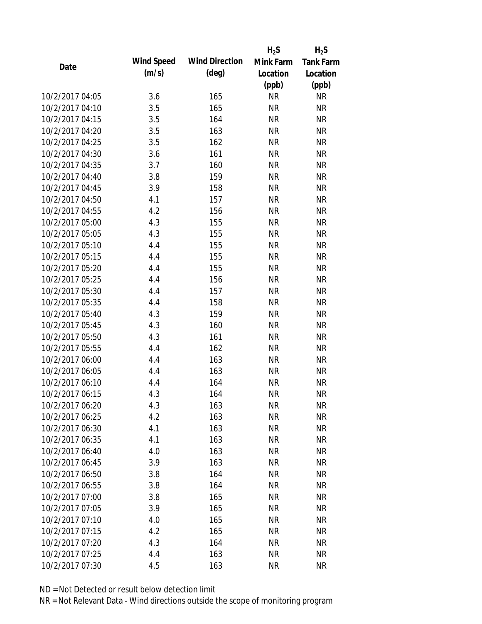|                 |            |                       | $H_2S$    | $H_2S$           |
|-----------------|------------|-----------------------|-----------|------------------|
| Date            | Wind Speed | <b>Wind Direction</b> | Mink Farm | <b>Tank Farm</b> |
|                 | (m/s)      | $(\text{deg})$        | Location  | Location         |
|                 |            |                       | (ppb)     | (ppb)            |
| 10/2/2017 04:05 | 3.6        | 165                   | <b>NR</b> | <b>NR</b>        |
| 10/2/2017 04:10 | 3.5        | 165                   | <b>NR</b> | <b>NR</b>        |
| 10/2/2017 04:15 | 3.5        | 164                   | <b>NR</b> | <b>NR</b>        |
| 10/2/2017 04:20 | 3.5        | 163                   | <b>NR</b> | <b>NR</b>        |
| 10/2/2017 04:25 | 3.5        | 162                   | <b>NR</b> | <b>NR</b>        |
| 10/2/2017 04:30 | 3.6        | 161                   | <b>NR</b> | <b>NR</b>        |
| 10/2/2017 04:35 | 3.7        | 160                   | <b>NR</b> | <b>NR</b>        |
| 10/2/2017 04:40 | 3.8        | 159                   | <b>NR</b> | <b>NR</b>        |
| 10/2/2017 04:45 | 3.9        | 158                   | <b>NR</b> | <b>NR</b>        |
| 10/2/2017 04:50 | 4.1        | 157                   | <b>NR</b> | <b>NR</b>        |
| 10/2/2017 04:55 | 4.2        | 156                   | <b>NR</b> | <b>NR</b>        |
| 10/2/2017 05:00 | 4.3        | 155                   | <b>NR</b> | <b>NR</b>        |
| 10/2/2017 05:05 | 4.3        | 155                   | <b>NR</b> | <b>NR</b>        |
| 10/2/2017 05:10 | 4.4        | 155                   | <b>NR</b> | <b>NR</b>        |
| 10/2/2017 05:15 | 4.4        | 155                   | <b>NR</b> | <b>NR</b>        |
| 10/2/2017 05:20 | 4.4        | 155                   | <b>NR</b> | <b>NR</b>        |
| 10/2/2017 05:25 | 4.4        | 156                   | <b>NR</b> | <b>NR</b>        |
| 10/2/2017 05:30 | 4.4        | 157                   | <b>NR</b> | <b>NR</b>        |
| 10/2/2017 05:35 | 4.4        | 158                   | <b>NR</b> | <b>NR</b>        |
| 10/2/2017 05:40 | 4.3        | 159                   | <b>NR</b> | <b>NR</b>        |
| 10/2/2017 05:45 | 4.3        | 160                   | <b>NR</b> | <b>NR</b>        |
| 10/2/2017 05:50 | 4.3        | 161                   | <b>NR</b> | <b>NR</b>        |
| 10/2/2017 05:55 | 4.4        | 162                   | <b>NR</b> | <b>NR</b>        |
| 10/2/2017 06:00 | 4.4        | 163                   | <b>NR</b> | <b>NR</b>        |
| 10/2/2017 06:05 | 4.4        | 163                   | <b>NR</b> | <b>NR</b>        |
| 10/2/2017 06:10 | 4.4        | 164                   | <b>NR</b> | <b>NR</b>        |
| 10/2/2017 06:15 | 4.3        | 164                   | <b>NR</b> | <b>NR</b>        |
| 10/2/2017 06:20 | 4.3        | 163                   | <b>NR</b> | <b>NR</b>        |
| 10/2/2017 06:25 | 4.2        | 163                   | <b>NR</b> | <b>NR</b>        |
| 10/2/2017 06:30 | 4.1        | 163                   | <b>NR</b> | <b>NR</b>        |
| 10/2/2017 06:35 | 4.1        | 163                   | <b>NR</b> | <b>NR</b>        |
| 10/2/2017 06:40 | 4.0        | 163                   | <b>NR</b> | <b>NR</b>        |
| 10/2/2017 06:45 | 3.9        | 163                   | <b>NR</b> | <b>NR</b>        |
| 10/2/2017 06:50 | 3.8        | 164                   | <b>NR</b> | <b>NR</b>        |
| 10/2/2017 06:55 | 3.8        | 164                   | <b>NR</b> | <b>NR</b>        |
| 10/2/2017 07:00 | 3.8        | 165                   | <b>NR</b> | <b>NR</b>        |
| 10/2/2017 07:05 | 3.9        | 165                   | <b>NR</b> | <b>NR</b>        |
| 10/2/2017 07:10 | 4.0        | 165                   | <b>NR</b> | <b>NR</b>        |
| 10/2/2017 07:15 | 4.2        | 165                   | <b>NR</b> | <b>NR</b>        |
| 10/2/2017 07:20 | 4.3        | 164                   | ΝR        | <b>NR</b>        |
| 10/2/2017 07:25 | 4.4        | 163                   | <b>NR</b> | <b>NR</b>        |
| 10/2/2017 07:30 | 4.5        | 163                   | <b>NR</b> | <b>NR</b>        |
|                 |            |                       |           |                  |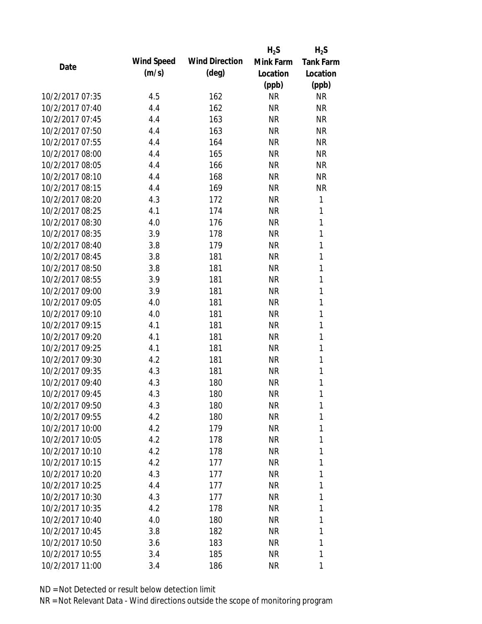|                 |            |                       | $H_2S$    | $H_2S$           |
|-----------------|------------|-----------------------|-----------|------------------|
| Date            | Wind Speed | <b>Wind Direction</b> | Mink Farm | <b>Tank Farm</b> |
|                 | (m/s)      | $(\text{deg})$        | Location  | Location         |
|                 |            |                       | (ppb)     | (ppb)            |
| 10/2/2017 07:35 | 4.5        | 162                   | <b>NR</b> | <b>NR</b>        |
| 10/2/2017 07:40 | 4.4        | 162                   | <b>NR</b> | <b>NR</b>        |
| 10/2/2017 07:45 | 4.4        | 163                   | <b>NR</b> | <b>NR</b>        |
| 10/2/2017 07:50 | 4.4        | 163                   | <b>NR</b> | <b>NR</b>        |
| 10/2/2017 07:55 | 4.4        | 164                   | <b>NR</b> | <b>NR</b>        |
| 10/2/2017 08:00 | 4.4        | 165                   | <b>NR</b> | <b>NR</b>        |
| 10/2/2017 08:05 | 4.4        | 166                   | <b>NR</b> | <b>NR</b>        |
| 10/2/2017 08:10 | 4.4        | 168                   | <b>NR</b> | <b>NR</b>        |
| 10/2/2017 08:15 | 4.4        | 169                   | <b>NR</b> | <b>NR</b>        |
| 10/2/2017 08:20 | 4.3        | 172                   | <b>NR</b> | 1                |
| 10/2/2017 08:25 | 4.1        | 174                   | <b>NR</b> | 1                |
| 10/2/2017 08:30 | 4.0        | 176                   | <b>NR</b> | 1                |
| 10/2/2017 08:35 | 3.9        | 178                   | <b>NR</b> | 1                |
| 10/2/2017 08:40 | 3.8        | 179                   | <b>NR</b> | 1                |
| 10/2/2017 08:45 | 3.8        | 181                   | <b>NR</b> | 1                |
| 10/2/2017 08:50 | 3.8        | 181                   | <b>NR</b> | 1                |
| 10/2/2017 08:55 | 3.9        | 181                   | <b>NR</b> | 1                |
| 10/2/2017 09:00 | 3.9        | 181                   | <b>NR</b> | 1                |
| 10/2/2017 09:05 | 4.0        | 181                   | <b>NR</b> | 1                |
| 10/2/2017 09:10 | 4.0        | 181                   | <b>NR</b> | 1                |
| 10/2/2017 09:15 | 4.1        | 181                   | <b>NR</b> | 1                |
| 10/2/2017 09:20 | 4.1        | 181                   | <b>NR</b> | 1                |
| 10/2/2017 09:25 | 4.1        | 181                   | <b>NR</b> | 1                |
| 10/2/2017 09:30 | 4.2        | 181                   | <b>NR</b> | 1                |
| 10/2/2017 09:35 | 4.3        | 181                   | <b>NR</b> | 1                |
| 10/2/2017 09:40 | 4.3        | 180                   | <b>NR</b> | 1                |
| 10/2/2017 09:45 | 4.3        | 180                   | <b>NR</b> | 1                |
| 10/2/2017 09:50 | 4.3        | 180                   | <b>NR</b> | 1                |
| 10/2/2017 09:55 | 4.2        | 180                   | <b>NR</b> | 1                |
| 10/2/2017 10:00 | 4.2        | 179                   | <b>NR</b> | 1                |
| 10/2/2017 10:05 | 4.2        | 178                   | <b>NR</b> | 1                |
| 10/2/2017 10:10 | 4.2        | 178                   | <b>NR</b> | 1                |
| 10/2/2017 10:15 | 4.2        | 177                   | <b>NR</b> | 1                |
| 10/2/2017 10:20 | 4.3        | 177                   | <b>NR</b> | 1                |
| 10/2/2017 10:25 | 4.4        | 177                   | <b>NR</b> | 1                |
| 10/2/2017 10:30 | 4.3        | 177                   | <b>NR</b> | 1                |
| 10/2/2017 10:35 | 4.2        | 178                   | <b>NR</b> | 1                |
| 10/2/2017 10:40 | 4.0        | 180                   | <b>NR</b> | 1                |
| 10/2/2017 10:45 | 3.8        | 182                   | <b>NR</b> | 1                |
| 10/2/2017 10:50 | 3.6        | 183                   | NR        | 1                |
| 10/2/2017 10:55 | 3.4        | 185                   | <b>NR</b> | 1                |
| 10/2/2017 11:00 | 3.4        | 186                   | <b>NR</b> | 1                |
|                 |            |                       |           |                  |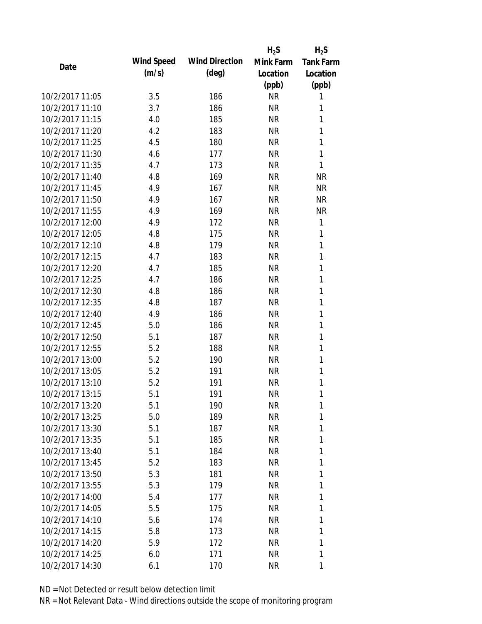|                 |            |                       | $H_2S$    | $H_2S$           |
|-----------------|------------|-----------------------|-----------|------------------|
| Date            | Wind Speed | <b>Wind Direction</b> | Mink Farm | <b>Tank Farm</b> |
|                 | (m/s)      | $(\text{deg})$        | Location  | Location         |
|                 |            |                       | (ppb)     | (ppb)            |
| 10/2/2017 11:05 | 3.5        | 186                   | <b>NR</b> | 1                |
| 10/2/2017 11:10 | 3.7        | 186                   | <b>NR</b> | 1                |
| 10/2/2017 11:15 | 4.0        | 185                   | <b>NR</b> | 1                |
| 10/2/2017 11:20 | 4.2        | 183                   | <b>NR</b> | 1                |
| 10/2/2017 11:25 | 4.5        | 180                   | <b>NR</b> | 1                |
| 10/2/2017 11:30 | 4.6        | 177                   | <b>NR</b> | 1                |
| 10/2/2017 11:35 | 4.7        | 173                   | <b>NR</b> | 1                |
| 10/2/2017 11:40 | 4.8        | 169                   | <b>NR</b> | <b>NR</b>        |
| 10/2/2017 11:45 | 4.9        | 167                   | <b>NR</b> | <b>NR</b>        |
| 10/2/2017 11:50 | 4.9        | 167                   | <b>NR</b> | <b>NR</b>        |
| 10/2/2017 11:55 | 4.9        | 169                   | <b>NR</b> | <b>NR</b>        |
| 10/2/2017 12:00 | 4.9        | 172                   | <b>NR</b> | 1                |
| 10/2/2017 12:05 | 4.8        | 175                   | <b>NR</b> | 1                |
| 10/2/2017 12:10 | 4.8        | 179                   | <b>NR</b> | 1                |
| 10/2/2017 12:15 | 4.7        | 183                   | <b>NR</b> | 1                |
| 10/2/2017 12:20 | 4.7        | 185                   | <b>NR</b> | 1                |
| 10/2/2017 12:25 | 4.7        | 186                   | <b>NR</b> | 1                |
| 10/2/2017 12:30 | 4.8        | 186                   | <b>NR</b> | 1                |
| 10/2/2017 12:35 | 4.8        | 187                   | <b>NR</b> | 1                |
| 10/2/2017 12:40 | 4.9        | 186                   | <b>NR</b> | 1                |
| 10/2/2017 12:45 | 5.0        | 186                   | <b>NR</b> | 1                |
| 10/2/2017 12:50 | 5.1        | 187                   | <b>NR</b> | 1                |
| 10/2/2017 12:55 | 5.2        | 188                   | <b>NR</b> | 1                |
| 10/2/2017 13:00 | 5.2        | 190                   | <b>NR</b> | 1                |
| 10/2/2017 13:05 | 5.2        | 191                   | <b>NR</b> | 1                |
| 10/2/2017 13:10 | 5.2        | 191                   | <b>NR</b> | 1                |
| 10/2/2017 13:15 | 5.1        | 191                   | <b>NR</b> | 1                |
| 10/2/2017 13:20 | 5.1        | 190                   | <b>NR</b> | 1                |
| 10/2/2017 13:25 | 5.0        | 189                   | <b>NR</b> | 1                |
| 10/2/2017 13:30 | 5.1        | 187                   | <b>NR</b> | 1                |
| 10/2/2017 13:35 | 5.1        | 185                   | <b>NR</b> | 1                |
| 10/2/2017 13:40 | 5.1        | 184                   | <b>NR</b> | 1                |
| 10/2/2017 13:45 | 5.2        | 183                   | <b>NR</b> | 1                |
| 10/2/2017 13:50 | 5.3        | 181                   | <b>NR</b> | 1                |
| 10/2/2017 13:55 | 5.3        | 179                   | <b>NR</b> | 1                |
| 10/2/2017 14:00 | 5.4        | 177                   | <b>NR</b> | 1                |
| 10/2/2017 14:05 | 5.5        | 175                   | <b>NR</b> | 1                |
| 10/2/2017 14:10 | 5.6        | 174                   | <b>NR</b> | 1                |
| 10/2/2017 14:15 | 5.8        | 173                   | <b>NR</b> | 1                |
| 10/2/2017 14:20 | 5.9        | 172                   | NR        | 1                |
| 10/2/2017 14:25 | 6.0        | 171                   | <b>NR</b> | 1                |
| 10/2/2017 14:30 |            |                       |           |                  |
|                 | 6.1        | 170                   | <b>NR</b> | 1                |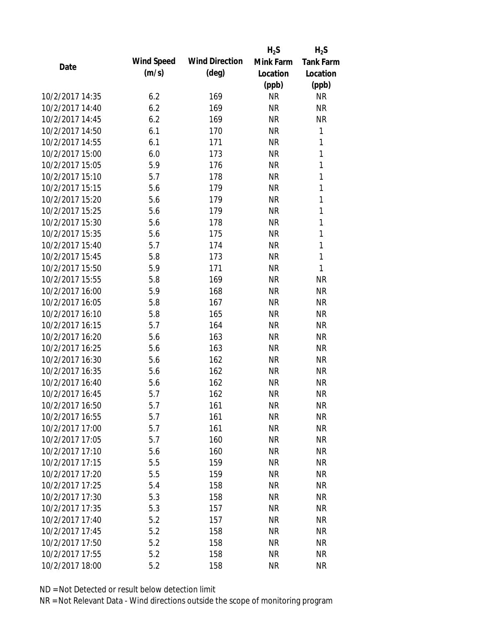|                 |            |                       | $H_2S$    | $H_2S$           |
|-----------------|------------|-----------------------|-----------|------------------|
| Date            | Wind Speed | <b>Wind Direction</b> | Mink Farm | <b>Tank Farm</b> |
|                 | (m/s)      | $(\text{deg})$        | Location  | Location         |
|                 |            |                       | (ppb)     | (ppb)            |
| 10/2/2017 14:35 | 6.2        | 169                   | <b>NR</b> | <b>NR</b>        |
| 10/2/2017 14:40 | 6.2        | 169                   | <b>NR</b> | <b>NR</b>        |
| 10/2/2017 14:45 | 6.2        | 169                   | <b>NR</b> | <b>NR</b>        |
| 10/2/2017 14:50 | 6.1        | 170                   | <b>NR</b> | 1                |
| 10/2/2017 14:55 | 6.1        | 171                   | <b>NR</b> | 1                |
| 10/2/2017 15:00 | 6.0        | 173                   | <b>NR</b> | 1                |
| 10/2/2017 15:05 | 5.9        | 176                   | <b>NR</b> | 1                |
| 10/2/2017 15:10 | 5.7        | 178                   | <b>NR</b> | 1                |
| 10/2/2017 15:15 | 5.6        | 179                   | <b>NR</b> | 1                |
| 10/2/2017 15:20 | 5.6        | 179                   | <b>NR</b> | 1                |
| 10/2/2017 15:25 | 5.6        | 179                   | <b>NR</b> | 1                |
| 10/2/2017 15:30 | 5.6        | 178                   | <b>NR</b> | 1                |
| 10/2/2017 15:35 | 5.6        | 175                   | <b>NR</b> | 1                |
| 10/2/2017 15:40 | 5.7        | 174                   | <b>NR</b> | 1                |
| 10/2/2017 15:45 | 5.8        | 173                   | <b>NR</b> | 1                |
| 10/2/2017 15:50 | 5.9        | 171                   | <b>NR</b> | 1                |
| 10/2/2017 15:55 | 5.8        | 169                   | <b>NR</b> | <b>NR</b>        |
| 10/2/2017 16:00 | 5.9        | 168                   | <b>NR</b> | <b>NR</b>        |
| 10/2/2017 16:05 | 5.8        | 167                   | <b>NR</b> | <b>NR</b>        |
| 10/2/2017 16:10 | 5.8        | 165                   | <b>NR</b> | <b>NR</b>        |
| 10/2/2017 16:15 | 5.7        | 164                   | <b>NR</b> | <b>NR</b>        |
| 10/2/2017 16:20 | 5.6        | 163                   | <b>NR</b> | <b>NR</b>        |
| 10/2/2017 16:25 | 5.6        | 163                   | <b>NR</b> | <b>NR</b>        |
| 10/2/2017 16:30 | 5.6        | 162                   | <b>NR</b> | <b>NR</b>        |
| 10/2/2017 16:35 | 5.6        | 162                   | <b>NR</b> | <b>NR</b>        |
| 10/2/2017 16:40 | 5.6        | 162                   | <b>NR</b> | <b>NR</b>        |
| 10/2/2017 16:45 | 5.7        | 162                   | <b>NR</b> | <b>NR</b>        |
| 10/2/2017 16:50 | 5.7        | 161                   | <b>NR</b> | <b>NR</b>        |
| 10/2/2017 16:55 | 5.7        | 161                   | <b>NR</b> | <b>NR</b>        |
| 10/2/2017 17:00 | 5.7        | 161                   | <b>NR</b> | <b>NR</b>        |
| 10/2/2017 17:05 | 5.7        | 160                   | <b>NR</b> | <b>NR</b>        |
| 10/2/2017 17:10 | 5.6        | 160                   | <b>NR</b> | <b>NR</b>        |
| 10/2/2017 17:15 | 5.5        | 159                   | <b>NR</b> | <b>NR</b>        |
| 10/2/2017 17:20 | 5.5        | 159                   | <b>NR</b> | <b>NR</b>        |
| 10/2/2017 17:25 | 5.4        | 158                   | <b>NR</b> | <b>NR</b>        |
| 10/2/2017 17:30 | 5.3        | 158                   | <b>NR</b> | <b>NR</b>        |
| 10/2/2017 17:35 | 5.3        | 157                   | <b>NR</b> | <b>NR</b>        |
| 10/2/2017 17:40 | 5.2        | 157                   | <b>NR</b> | <b>NR</b>        |
| 10/2/2017 17:45 | 5.2        | 158                   | <b>NR</b> | <b>NR</b>        |
| 10/2/2017 17:50 | 5.2        | 158                   | <b>NR</b> | <b>NR</b>        |
| 10/2/2017 17:55 | 5.2        | 158                   | <b>NR</b> | <b>NR</b>        |
| 10/2/2017 18:00 |            | 158                   | <b>NR</b> | <b>NR</b>        |
|                 | 5.2        |                       |           |                  |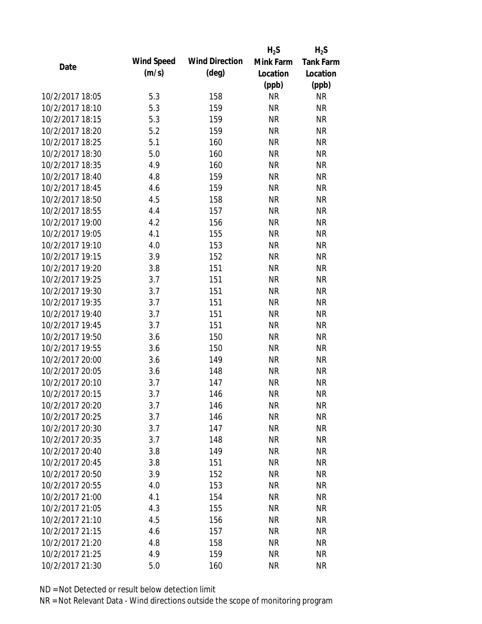|                 |            |                       | $H_2S$    | $H_2S$           |
|-----------------|------------|-----------------------|-----------|------------------|
| Date            | Wind Speed | <b>Wind Direction</b> | Mink Farm | <b>Tank Farm</b> |
|                 | (m/s)      | $(\text{deg})$        | Location  | Location         |
|                 |            |                       | (ppb)     | (ppb)            |
| 10/2/2017 18:05 | 5.3        | 158                   | <b>NR</b> | <b>NR</b>        |
| 10/2/2017 18:10 | 5.3        | 159                   | <b>NR</b> | <b>NR</b>        |
| 10/2/2017 18:15 | 5.3        | 159                   | <b>NR</b> | <b>NR</b>        |
| 10/2/2017 18:20 | 5.2        | 159                   | <b>NR</b> | <b>NR</b>        |
| 10/2/2017 18:25 | 5.1        | 160                   | <b>NR</b> | <b>NR</b>        |
| 10/2/2017 18:30 | 5.0        | 160                   | <b>NR</b> | <b>NR</b>        |
| 10/2/2017 18:35 | 4.9        | 160                   | <b>NR</b> | <b>NR</b>        |
| 10/2/2017 18:40 | 4.8        | 159                   | <b>NR</b> | <b>NR</b>        |
| 10/2/2017 18:45 | 4.6        | 159                   | <b>NR</b> | <b>NR</b>        |
| 10/2/2017 18:50 | 4.5        | 158                   | <b>NR</b> | <b>NR</b>        |
| 10/2/2017 18:55 | 4.4        | 157                   | <b>NR</b> | <b>NR</b>        |
| 10/2/2017 19:00 | 4.2        | 156                   | <b>NR</b> | <b>NR</b>        |
| 10/2/2017 19:05 | 4.1        | 155                   | <b>NR</b> | <b>NR</b>        |
| 10/2/2017 19:10 | 4.0        | 153                   | <b>NR</b> | <b>NR</b>        |
| 10/2/2017 19:15 | 3.9        | 152                   | <b>NR</b> | <b>NR</b>        |
| 10/2/2017 19:20 | 3.8        | 151                   | <b>NR</b> | <b>NR</b>        |
| 10/2/2017 19:25 | 3.7        | 151                   | <b>NR</b> | <b>NR</b>        |
| 10/2/2017 19:30 | 3.7        | 151                   | <b>NR</b> | <b>NR</b>        |
| 10/2/2017 19:35 | 3.7        | 151                   | <b>NR</b> | <b>NR</b>        |
| 10/2/2017 19:40 | 3.7        | 151                   | <b>NR</b> | <b>NR</b>        |
| 10/2/2017 19:45 | 3.7        | 151                   | <b>NR</b> | <b>NR</b>        |
| 10/2/2017 19:50 | 3.6        | 150                   | <b>NR</b> | <b>NR</b>        |
| 10/2/2017 19:55 | 3.6        | 150                   | <b>NR</b> | <b>NR</b>        |
| 10/2/2017 20:00 | 3.6        | 149                   | <b>NR</b> | <b>NR</b>        |
| 10/2/2017 20:05 | 3.6        | 148                   | <b>NR</b> | <b>NR</b>        |
| 10/2/2017 20:10 | 3.7        | 147                   | <b>NR</b> | <b>NR</b>        |
| 10/2/2017 20:15 | 3.7        | 146                   | <b>NR</b> | <b>NR</b>        |
| 10/2/2017 20:20 | 3.7        | 146                   | <b>NR</b> | <b>NR</b>        |
| 10/2/2017 20:25 | 3.7        | 146                   | <b>NR</b> | <b>NR</b>        |
| 10/2/2017 20:30 | 3.7        | 147                   | <b>NR</b> | <b>NR</b>        |
| 10/2/2017 20:35 | 3.7        | 148                   | <b>NR</b> | <b>NR</b>        |
| 10/2/2017 20:40 | 3.8        | 149                   | <b>NR</b> | <b>NR</b>        |
| 10/2/2017 20:45 | 3.8        | 151                   | <b>NR</b> | <b>NR</b>        |
| 10/2/2017 20:50 | 3.9        | 152                   | <b>NR</b> | <b>NR</b>        |
| 10/2/2017 20:55 | 4.0        | 153                   | <b>NR</b> | <b>NR</b>        |
| 10/2/2017 21:00 | 4.1        | 154                   | <b>NR</b> | <b>NR</b>        |
| 10/2/2017 21:05 | 4.3        | 155                   | <b>NR</b> | <b>NR</b>        |
| 10/2/2017 21:10 | 4.5        | 156                   | <b>NR</b> | <b>NR</b>        |
| 10/2/2017 21:15 | 4.6        | 157                   | <b>NR</b> | <b>NR</b>        |
| 10/2/2017 21:20 | 4.8        | 158                   | <b>NR</b> | <b>NR</b>        |
| 10/2/2017 21:25 | 4.9        | 159                   | <b>NR</b> | <b>NR</b>        |
| 10/2/2017 21:30 | 5.0        | 160                   | <b>NR</b> | <b>NR</b>        |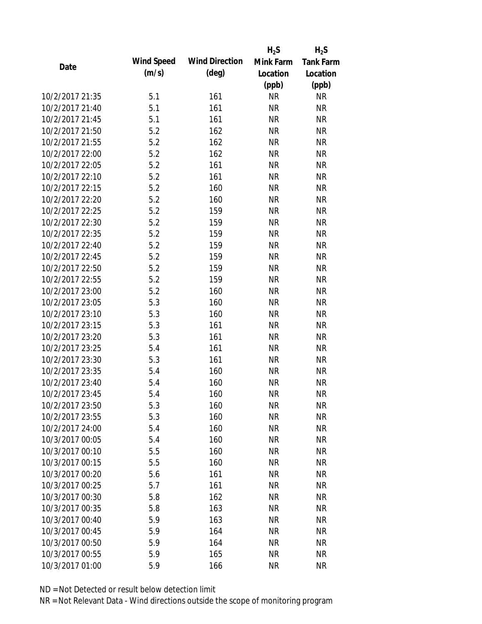|                 |            |                       | $H_2S$    | $H_2S$           |
|-----------------|------------|-----------------------|-----------|------------------|
| Date            | Wind Speed | <b>Wind Direction</b> | Mink Farm | <b>Tank Farm</b> |
|                 | (m/s)      | $(\text{deg})$        | Location  | Location         |
|                 |            |                       | (ppb)     | (ppb)            |
| 10/2/2017 21:35 | 5.1        | 161                   | <b>NR</b> | <b>NR</b>        |
| 10/2/2017 21:40 | 5.1        | 161                   | <b>NR</b> | <b>NR</b>        |
| 10/2/2017 21:45 | 5.1        | 161                   | <b>NR</b> | <b>NR</b>        |
| 10/2/2017 21:50 | 5.2        | 162                   | <b>NR</b> | <b>NR</b>        |
| 10/2/2017 21:55 | 5.2        | 162                   | <b>NR</b> | <b>NR</b>        |
| 10/2/2017 22:00 | 5.2        | 162                   | <b>NR</b> | <b>NR</b>        |
| 10/2/2017 22:05 | 5.2        | 161                   | <b>NR</b> | <b>NR</b>        |
| 10/2/2017 22:10 | 5.2        | 161                   | <b>NR</b> | <b>NR</b>        |
| 10/2/2017 22:15 | 5.2        | 160                   | <b>NR</b> | <b>NR</b>        |
| 10/2/2017 22:20 | 5.2        | 160                   | <b>NR</b> | <b>NR</b>        |
| 10/2/2017 22:25 | 5.2        | 159                   | <b>NR</b> | <b>NR</b>        |
| 10/2/2017 22:30 | 5.2        | 159                   | <b>NR</b> | <b>NR</b>        |
| 10/2/2017 22:35 | 5.2        | 159                   | <b>NR</b> | <b>NR</b>        |
| 10/2/2017 22:40 | 5.2        | 159                   | <b>NR</b> | <b>NR</b>        |
| 10/2/2017 22:45 | 5.2        | 159                   | <b>NR</b> | <b>NR</b>        |
| 10/2/2017 22:50 | 5.2        | 159                   | <b>NR</b> | <b>NR</b>        |
| 10/2/2017 22:55 | 5.2        | 159                   | <b>NR</b> | <b>NR</b>        |
| 10/2/2017 23:00 | 5.2        | 160                   | <b>NR</b> | <b>NR</b>        |
| 10/2/2017 23:05 | 5.3        | 160                   | <b>NR</b> | <b>NR</b>        |
| 10/2/2017 23:10 | 5.3        | 160                   | <b>NR</b> | <b>NR</b>        |
| 10/2/2017 23:15 | 5.3        | 161                   | <b>NR</b> | <b>NR</b>        |
| 10/2/2017 23:20 | 5.3        | 161                   | <b>NR</b> | <b>NR</b>        |
| 10/2/2017 23:25 | 5.4        | 161                   | <b>NR</b> | <b>NR</b>        |
| 10/2/2017 23:30 | 5.3        | 161                   | <b>NR</b> | <b>NR</b>        |
| 10/2/2017 23:35 | 5.4        | 160                   | <b>NR</b> | <b>NR</b>        |
| 10/2/2017 23:40 | 5.4        | 160                   | <b>NR</b> | <b>NR</b>        |
| 10/2/2017 23:45 | 5.4        | 160                   | <b>NR</b> | <b>NR</b>        |
| 10/2/2017 23:50 | 5.3        | 160                   | ΝR        | <b>NR</b>        |
| 10/2/2017 23:55 | 5.3        | 160                   | <b>NR</b> | <b>NR</b>        |
| 10/2/2017 24:00 | 5.4        | 160                   | <b>NR</b> | <b>NR</b>        |
| 10/3/2017 00:05 | 5.4        | 160                   | <b>NR</b> | <b>NR</b>        |
| 10/3/2017 00:10 | 5.5        | 160                   | <b>NR</b> | <b>NR</b>        |
| 10/3/2017 00:15 | 5.5        | 160                   | <b>NR</b> | <b>NR</b>        |
| 10/3/2017 00:20 | 5.6        | 161                   | <b>NR</b> | <b>NR</b>        |
| 10/3/2017 00:25 | 5.7        | 161                   | <b>NR</b> | <b>NR</b>        |
| 10/3/2017 00:30 | 5.8        | 162                   | <b>NR</b> | <b>NR</b>        |
| 10/3/2017 00:35 | 5.8        | 163                   | <b>NR</b> | <b>NR</b>        |
| 10/3/2017 00:40 | 5.9        | 163                   | <b>NR</b> | <b>NR</b>        |
| 10/3/2017 00:45 | 5.9        | 164                   | <b>NR</b> | <b>NR</b>        |
| 10/3/2017 00:50 | 5.9        | 164                   | ΝR        | <b>NR</b>        |
| 10/3/2017 00:55 | 5.9        | 165                   | <b>NR</b> | <b>NR</b>        |
| 10/3/2017 01:00 | 5.9        | 166                   | <b>NR</b> | <b>NR</b>        |
|                 |            |                       |           |                  |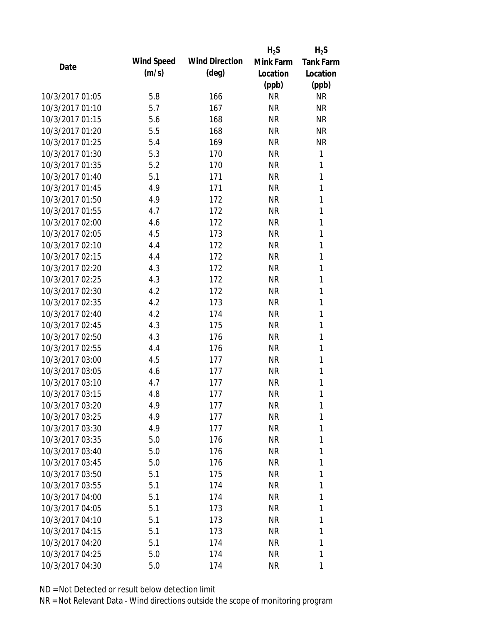|                 |            |                       | $H_2S$    | $H_2S$           |
|-----------------|------------|-----------------------|-----------|------------------|
| Date            | Wind Speed | <b>Wind Direction</b> | Mink Farm | <b>Tank Farm</b> |
|                 | (m/s)      | $(\text{deg})$        | Location  | Location         |
|                 |            |                       | (ppb)     | (ppb)            |
| 10/3/2017 01:05 | 5.8        | 166                   | <b>NR</b> | <b>NR</b>        |
| 10/3/2017 01:10 | 5.7        | 167                   | <b>NR</b> | <b>NR</b>        |
| 10/3/2017 01:15 | 5.6        | 168                   | <b>NR</b> | <b>NR</b>        |
| 10/3/2017 01:20 | 5.5        | 168                   | <b>NR</b> | <b>NR</b>        |
| 10/3/2017 01:25 | 5.4        | 169                   | <b>NR</b> | <b>NR</b>        |
| 10/3/2017 01:30 | 5.3        | 170                   | <b>NR</b> | 1                |
| 10/3/2017 01:35 | 5.2        | 170                   | <b>NR</b> | 1                |
| 10/3/2017 01:40 | 5.1        | 171                   | <b>NR</b> | 1                |
| 10/3/2017 01:45 | 4.9        | 171                   | <b>NR</b> | 1                |
| 10/3/2017 01:50 | 4.9        | 172                   | <b>NR</b> | 1                |
| 10/3/2017 01:55 | 4.7        | 172                   | <b>NR</b> | 1                |
| 10/3/2017 02:00 | 4.6        | 172                   | <b>NR</b> | 1                |
| 10/3/2017 02:05 | 4.5        | 173                   | <b>NR</b> | 1                |
| 10/3/2017 02:10 | 4.4        | 172                   | <b>NR</b> | 1                |
| 10/3/2017 02:15 | 4.4        | 172                   | <b>NR</b> | 1                |
| 10/3/2017 02:20 | 4.3        | 172                   | <b>NR</b> | 1                |
| 10/3/2017 02:25 | 4.3        | 172                   | <b>NR</b> | 1                |
| 10/3/2017 02:30 | 4.2        | 172                   | <b>NR</b> | 1                |
| 10/3/2017 02:35 | 4.2        | 173                   | <b>NR</b> | 1                |
| 10/3/2017 02:40 | 4.2        | 174                   | <b>NR</b> | 1                |
| 10/3/2017 02:45 | 4.3        | 175                   | <b>NR</b> | 1                |
| 10/3/2017 02:50 | 4.3        | 176                   | <b>NR</b> | 1                |
| 10/3/2017 02:55 | 4.4        | 176                   | <b>NR</b> | 1                |
| 10/3/2017 03:00 | 4.5        | 177                   | <b>NR</b> | 1                |
| 10/3/2017 03:05 | 4.6        | 177                   | <b>NR</b> | 1                |
| 10/3/2017 03:10 | 4.7        | 177                   | <b>NR</b> | 1                |
| 10/3/2017 03:15 | 4.8        | 177                   | <b>NR</b> | 1                |
| 10/3/2017 03:20 | 4.9        | 177                   | <b>NR</b> | 1                |
| 10/3/2017 03:25 | 4.9        | 177                   | <b>NR</b> | 1                |
| 10/3/2017 03:30 | 4.9        | 177                   | <b>NR</b> | 1                |
| 10/3/2017 03:35 | 5.0        | 176                   | <b>NR</b> | 1                |
| 10/3/2017 03:40 | 5.0        | 176                   | <b>NR</b> | 1                |
| 10/3/2017 03:45 | 5.0        | 176                   | NR        | 1                |
| 10/3/2017 03:50 | 5.1        | 175                   | <b>NR</b> | 1                |
| 10/3/2017 03:55 | 5.1        | 174                   | <b>NR</b> | 1                |
| 10/3/2017 04:00 | 5.1        | 174                   | <b>NR</b> | 1                |
| 10/3/2017 04:05 | 5.1        | 173                   | <b>NR</b> | 1                |
| 10/3/2017 04:10 | 5.1        | 173                   | <b>NR</b> | 1                |
| 10/3/2017 04:15 | 5.1        | 173                   | <b>NR</b> | 1                |
| 10/3/2017 04:20 | 5.1        | 174                   | <b>NR</b> | 1                |
| 10/3/2017 04:25 | 5.0        | 174                   | <b>NR</b> | 1                |
| 10/3/2017 04:30 | 5.0        | 174                   | <b>NR</b> | 1                |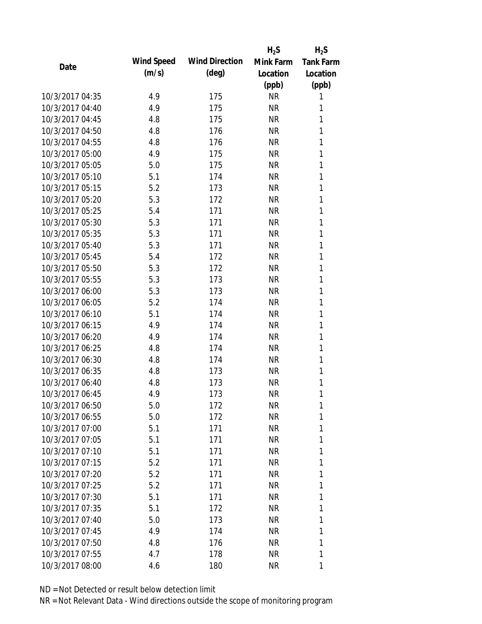|                 |            |                       | $H_2S$    | $H_2S$           |
|-----------------|------------|-----------------------|-----------|------------------|
| Date            | Wind Speed | <b>Wind Direction</b> | Mink Farm | <b>Tank Farm</b> |
|                 | (m/s)      | $(\text{deg})$        | Location  | Location         |
|                 |            |                       | (ppb)     | (ppb)            |
| 10/3/2017 04:35 | 4.9        | 175                   | <b>NR</b> | 1                |
| 10/3/2017 04:40 | 4.9        | 175                   | <b>NR</b> | 1                |
| 10/3/2017 04:45 | 4.8        | 175                   | <b>NR</b> | 1                |
| 10/3/2017 04:50 | 4.8        | 176                   | <b>NR</b> | 1                |
| 10/3/2017 04:55 | 4.8        | 176                   | <b>NR</b> | 1                |
| 10/3/2017 05:00 | 4.9        | 175                   | <b>NR</b> | 1                |
| 10/3/2017 05:05 | 5.0        | 175                   | <b>NR</b> | 1                |
| 10/3/2017 05:10 | 5.1        | 174                   | <b>NR</b> | 1                |
| 10/3/2017 05:15 | 5.2        | 173                   | <b>NR</b> | 1                |
| 10/3/2017 05:20 | 5.3        | 172                   | <b>NR</b> | 1                |
| 10/3/2017 05:25 | 5.4        | 171                   | <b>NR</b> | 1                |
| 10/3/2017 05:30 | 5.3        | 171                   | <b>NR</b> | 1                |
| 10/3/2017 05:35 | 5.3        | 171                   | <b>NR</b> | 1                |
| 10/3/2017 05:40 | 5.3        | 171                   | <b>NR</b> | 1                |
| 10/3/2017 05:45 | 5.4        | 172                   | <b>NR</b> | 1                |
| 10/3/2017 05:50 | 5.3        | 172                   | <b>NR</b> | 1                |
| 10/3/2017 05:55 | 5.3        | 173                   | <b>NR</b> | 1                |
| 10/3/2017 06:00 | 5.3        | 173                   | <b>NR</b> | 1                |
| 10/3/2017 06:05 | 5.2        | 174                   | <b>NR</b> | 1                |
| 10/3/2017 06:10 | 5.1        | 174                   | <b>NR</b> | 1                |
| 10/3/2017 06:15 | 4.9        | 174                   | <b>NR</b> | 1                |
| 10/3/2017 06:20 | 4.9        | 174                   | <b>NR</b> | 1                |
| 10/3/2017 06:25 | 4.8        | 174                   | <b>NR</b> | 1                |
| 10/3/2017 06:30 | 4.8        | 174                   | <b>NR</b> | 1                |
| 10/3/2017 06:35 | 4.8        | 173                   | <b>NR</b> | 1                |
| 10/3/2017 06:40 | 4.8        | 173                   | <b>NR</b> | 1                |
| 10/3/2017 06:45 | 4.9        | 173                   | <b>NR</b> | 1                |
| 10/3/2017 06:50 | 5.0        | 172                   | <b>NR</b> | 1                |
| 10/3/2017 06:55 | 5.0        | 172                   | <b>NR</b> | 1                |
| 10/3/2017 07:00 | 5.1        | 171                   | <b>NR</b> | 1                |
| 10/3/2017 07:05 | 5.1        | 171                   | <b>NR</b> | 1                |
| 10/3/2017 07:10 | 5.1        | 171                   | <b>NR</b> | 1                |
| 10/3/2017 07:15 | 5.2        | 171                   | <b>NR</b> | 1                |
| 10/3/2017 07:20 | 5.2        | 171                   | <b>NR</b> | 1                |
| 10/3/2017 07:25 | 5.2        | 171                   | <b>NR</b> | 1                |
| 10/3/2017 07:30 | 5.1        | 171                   | <b>NR</b> | 1                |
| 10/3/2017 07:35 | 5.1        | 172                   | <b>NR</b> | 1                |
| 10/3/2017 07:40 | 5.0        | 173                   | NR        | 1                |
| 10/3/2017 07:45 | 4.9        | 174                   | <b>NR</b> | 1                |
| 10/3/2017 07:50 | 4.8        | 176                   | <b>NR</b> | 1                |
| 10/3/2017 07:55 | 4.7        | 178                   | <b>NR</b> | 1                |
| 10/3/2017 08:00 | 4.6        | 180                   | <b>NR</b> | 1                |
|                 |            |                       |           |                  |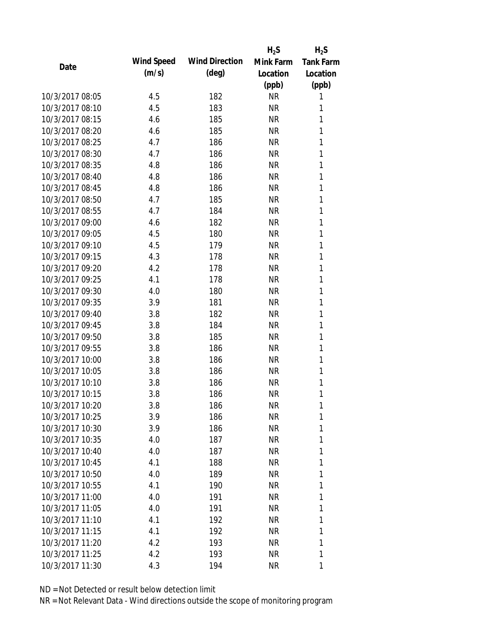|                 |            |                       | $H_2S$    | $H_2S$           |
|-----------------|------------|-----------------------|-----------|------------------|
| Date            | Wind Speed | <b>Wind Direction</b> | Mink Farm | <b>Tank Farm</b> |
|                 | (m/s)      | $(\text{deg})$        | Location  | Location         |
|                 |            |                       | (ppb)     | (ppb)            |
| 10/3/2017 08:05 | 4.5        | 182                   | <b>NR</b> | 1                |
| 10/3/2017 08:10 | 4.5        | 183                   | <b>NR</b> | 1                |
| 10/3/2017 08:15 | 4.6        | 185                   | <b>NR</b> | 1                |
| 10/3/2017 08:20 | 4.6        | 185                   | <b>NR</b> | 1                |
| 10/3/2017 08:25 | 4.7        | 186                   | <b>NR</b> | 1                |
| 10/3/2017 08:30 | 4.7        | 186                   | <b>NR</b> | 1                |
| 10/3/2017 08:35 | 4.8        | 186                   | <b>NR</b> | 1                |
| 10/3/2017 08:40 | 4.8        | 186                   | <b>NR</b> | 1                |
| 10/3/2017 08:45 | 4.8        | 186                   | <b>NR</b> | 1                |
| 10/3/2017 08:50 | 4.7        | 185                   | <b>NR</b> | 1                |
| 10/3/2017 08:55 | 4.7        | 184                   | <b>NR</b> | 1                |
| 10/3/2017 09:00 | 4.6        | 182                   | <b>NR</b> | 1                |
| 10/3/2017 09:05 | 4.5        | 180                   | <b>NR</b> | 1                |
| 10/3/2017 09:10 | 4.5        | 179                   | <b>NR</b> | 1                |
| 10/3/2017 09:15 | 4.3        | 178                   | <b>NR</b> | 1                |
| 10/3/2017 09:20 | 4.2        | 178                   | <b>NR</b> | 1                |
| 10/3/2017 09:25 | 4.1        | 178                   | <b>NR</b> | 1                |
| 10/3/2017 09:30 | 4.0        | 180                   | <b>NR</b> | 1                |
| 10/3/2017 09:35 | 3.9        | 181                   | <b>NR</b> | 1                |
| 10/3/2017 09:40 | 3.8        | 182                   | <b>NR</b> | 1                |
| 10/3/2017 09:45 | 3.8        | 184                   | <b>NR</b> | 1                |
| 10/3/2017 09:50 | 3.8        | 185                   | <b>NR</b> | 1                |
| 10/3/2017 09:55 | 3.8        | 186                   | <b>NR</b> | 1                |
| 10/3/2017 10:00 | 3.8        | 186                   | <b>NR</b> | 1                |
| 10/3/2017 10:05 | 3.8        | 186                   | <b>NR</b> | 1                |
| 10/3/2017 10:10 | 3.8        | 186                   | <b>NR</b> | 1                |
| 10/3/2017 10:15 | 3.8        | 186                   | <b>NR</b> | 1                |
| 10/3/2017 10:20 | 3.8        | 186                   | NR        | 1                |
| 10/3/2017 10:25 | 3.9        | 186                   | <b>NR</b> | 1                |
| 10/3/2017 10:30 | 3.9        | 186                   | <b>NR</b> | 1                |
| 10/3/2017 10:35 | 4.0        | 187                   | <b>NR</b> | 1                |
| 10/3/2017 10:40 | 4.0        | 187                   | <b>NR</b> | 1                |
| 10/3/2017 10:45 | 4.1        | 188                   | NR        | 1                |
| 10/3/2017 10:50 | 4.0        | 189                   | <b>NR</b> | 1                |
| 10/3/2017 10:55 | 4.1        | 190                   | <b>NR</b> | 1                |
| 10/3/2017 11:00 | 4.0        | 191                   | <b>NR</b> | 1                |
| 10/3/2017 11:05 | 4.0        | 191                   | <b>NR</b> | 1                |
| 10/3/2017 11:10 | 4.1        | 192                   | <b>NR</b> | 1                |
| 10/3/2017 11:15 | 4.1        | 192                   | <b>NR</b> | 1                |
| 10/3/2017 11:20 | 4.2        | 193                   | NR        | 1                |
| 10/3/2017 11:25 | 4.2        | 193                   | <b>NR</b> | 1                |
| 10/3/2017 11:30 | 4.3        | 194                   | <b>NR</b> | 1                |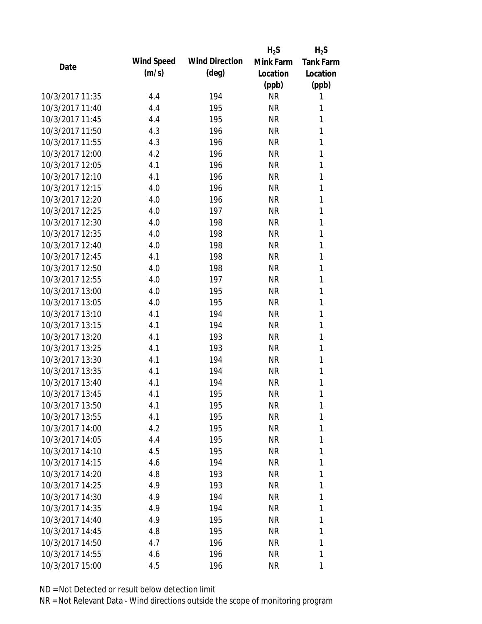|                 |            |                       | $H_2S$    | $H_2S$           |
|-----------------|------------|-----------------------|-----------|------------------|
| Date            | Wind Speed | <b>Wind Direction</b> | Mink Farm | <b>Tank Farm</b> |
|                 | (m/s)      | $(\text{deg})$        | Location  | Location         |
|                 |            |                       | (ppb)     | (ppb)            |
| 10/3/2017 11:35 | 4.4        | 194                   | <b>NR</b> | 1                |
| 10/3/2017 11:40 | 4.4        | 195                   | <b>NR</b> | 1                |
| 10/3/2017 11:45 | 4.4        | 195                   | <b>NR</b> | 1                |
| 10/3/2017 11:50 | 4.3        | 196                   | <b>NR</b> | 1                |
| 10/3/2017 11:55 | 4.3        | 196                   | <b>NR</b> | 1                |
| 10/3/2017 12:00 | 4.2        | 196                   | <b>NR</b> | 1                |
| 10/3/2017 12:05 | 4.1        | 196                   | <b>NR</b> | 1                |
| 10/3/2017 12:10 | 4.1        | 196                   | <b>NR</b> | 1                |
| 10/3/2017 12:15 | 4.0        | 196                   | <b>NR</b> | 1                |
| 10/3/2017 12:20 | 4.0        | 196                   | <b>NR</b> | 1                |
| 10/3/2017 12:25 | 4.0        | 197                   | <b>NR</b> | 1                |
| 10/3/2017 12:30 | 4.0        | 198                   | <b>NR</b> | 1                |
| 10/3/2017 12:35 | 4.0        | 198                   | <b>NR</b> | 1                |
| 10/3/2017 12:40 | 4.0        | 198                   | <b>NR</b> | 1                |
| 10/3/2017 12:45 | 4.1        | 198                   | <b>NR</b> | 1                |
| 10/3/2017 12:50 | 4.0        | 198                   | <b>NR</b> | 1                |
| 10/3/2017 12:55 | 4.0        | 197                   | <b>NR</b> | 1                |
| 10/3/2017 13:00 | 4.0        | 195                   | <b>NR</b> | 1                |
| 10/3/2017 13:05 | 4.0        | 195                   | <b>NR</b> | 1                |
| 10/3/2017 13:10 | 4.1        | 194                   | <b>NR</b> | 1                |
| 10/3/2017 13:15 | 4.1        | 194                   | <b>NR</b> | 1                |
| 10/3/2017 13:20 | 4.1        | 193                   | <b>NR</b> | 1                |
| 10/3/2017 13:25 | 4.1        | 193                   | <b>NR</b> | 1                |
| 10/3/2017 13:30 | 4.1        | 194                   | <b>NR</b> | 1                |
| 10/3/2017 13:35 | 4.1        | 194                   | <b>NR</b> | 1                |
| 10/3/2017 13:40 | 4.1        | 194                   | <b>NR</b> | 1                |
| 10/3/2017 13:45 | 4.1        | 195                   | <b>NR</b> | 1                |
| 10/3/2017 13:50 | 4.1        | 195                   | <b>NR</b> | 1                |
| 10/3/2017 13:55 | 4.1        | 195                   | <b>NR</b> | 1                |
| 10/3/2017 14:00 | 4.2        | 195                   | <b>NR</b> | 1                |
| 10/3/2017 14:05 | 4.4        | 195                   | <b>NR</b> | 1                |
| 10/3/2017 14:10 | 4.5        | 195                   | <b>NR</b> | 1                |
| 10/3/2017 14:15 | 4.6        | 194                   | <b>NR</b> | 1                |
| 10/3/2017 14:20 | 4.8        | 193                   | <b>NR</b> | 1                |
| 10/3/2017 14:25 | 4.9        | 193                   | <b>NR</b> | 1                |
| 10/3/2017 14:30 | 4.9        | 194                   | <b>NR</b> | 1                |
| 10/3/2017 14:35 | 4.9        | 194                   | <b>NR</b> | 1                |
| 10/3/2017 14:40 | 4.9        | 195                   | <b>NR</b> | 1                |
| 10/3/2017 14:45 | 4.8        | 195                   | <b>NR</b> | 1                |
| 10/3/2017 14:50 | 4.7        | 196                   | NR        | 1                |
| 10/3/2017 14:55 | 4.6        | 196                   | <b>NR</b> | 1                |
| 10/3/2017 15:00 |            | 196                   |           |                  |
|                 | 4.5        |                       | <b>NR</b> | 1                |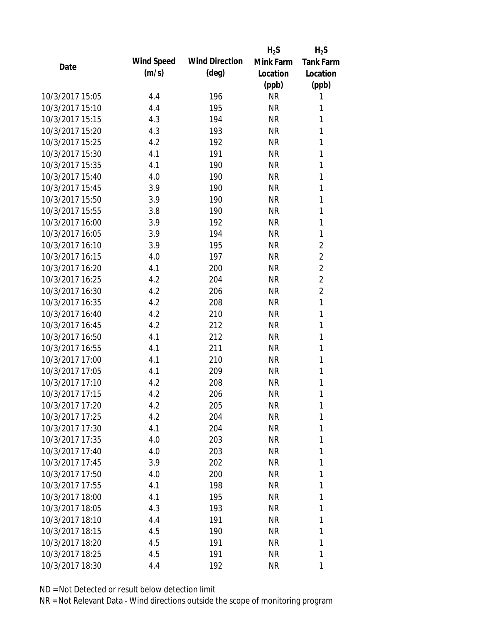|                 |            |                       | $H_2S$    | $H_2S$           |
|-----------------|------------|-----------------------|-----------|------------------|
| Date            | Wind Speed | <b>Wind Direction</b> | Mink Farm | <b>Tank Farm</b> |
|                 | (m/s)      | $(\text{deg})$        | Location  | Location         |
|                 |            |                       | (ppb)     | (ppb)            |
| 10/3/2017 15:05 | 4.4        | 196                   | <b>NR</b> | 1                |
| 10/3/2017 15:10 | 4.4        | 195                   | <b>NR</b> | 1                |
| 10/3/2017 15:15 | 4.3        | 194                   | <b>NR</b> | 1                |
| 10/3/2017 15:20 | 4.3        | 193                   | <b>NR</b> | 1                |
| 10/3/2017 15:25 | 4.2        | 192                   | <b>NR</b> | 1                |
| 10/3/2017 15:30 | 4.1        | 191                   | <b>NR</b> | 1                |
| 10/3/2017 15:35 | 4.1        | 190                   | <b>NR</b> | 1                |
| 10/3/2017 15:40 | 4.0        | 190                   | <b>NR</b> | 1                |
| 10/3/2017 15:45 | 3.9        | 190                   | <b>NR</b> | 1                |
| 10/3/2017 15:50 | 3.9        | 190                   | <b>NR</b> | 1                |
| 10/3/2017 15:55 | 3.8        | 190                   | <b>NR</b> | 1                |
| 10/3/2017 16:00 | 3.9        | 192                   | <b>NR</b> | 1                |
| 10/3/2017 16:05 | 3.9        | 194                   | <b>NR</b> | 1                |
| 10/3/2017 16:10 | 3.9        | 195                   | <b>NR</b> | $\overline{c}$   |
| 10/3/2017 16:15 | 4.0        | 197                   | <b>NR</b> | $\overline{2}$   |
| 10/3/2017 16:20 | 4.1        | 200                   | <b>NR</b> | $\overline{2}$   |
| 10/3/2017 16:25 | 4.2        | 204                   | <b>NR</b> | $\overline{2}$   |
| 10/3/2017 16:30 | 4.2        | 206                   | <b>NR</b> | $\overline{c}$   |
| 10/3/2017 16:35 | 4.2        | 208                   | <b>NR</b> | $\mathbf{1}$     |
| 10/3/2017 16:40 | 4.2        | 210                   | <b>NR</b> | 1                |
| 10/3/2017 16:45 | 4.2        | 212                   | <b>NR</b> | 1                |
| 10/3/2017 16:50 | 4.1        | 212                   | <b>NR</b> | 1                |
| 10/3/2017 16:55 | 4.1        | 211                   | <b>NR</b> | 1                |
| 10/3/2017 17:00 | 4.1        | 210                   | <b>NR</b> | 1                |
| 10/3/2017 17:05 | 4.1        | 209                   | <b>NR</b> | 1                |
| 10/3/2017 17:10 | 4.2        | 208                   | <b>NR</b> | 1                |
| 10/3/2017 17:15 | 4.2        | 206                   | <b>NR</b> | 1                |
| 10/3/2017 17:20 | 4.2        | 205                   | <b>NR</b> | 1                |
| 10/3/2017 17:25 | 4.2        | 204                   | <b>NR</b> | 1                |
| 10/3/2017 17:30 | 4.1        | 204                   | <b>NR</b> | 1                |
| 10/3/2017 17:35 | 4.0        | 203                   | <b>NR</b> | 1                |
| 10/3/2017 17:40 | 4.0        | 203                   | <b>NR</b> | 1                |
| 10/3/2017 17:45 | 3.9        | 202                   | NR        | 1                |
| 10/3/2017 17:50 | 4.0        | 200                   | <b>NR</b> | 1                |
| 10/3/2017 17:55 | 4.1        | 198                   | <b>NR</b> | 1                |
| 10/3/2017 18:00 | 4.1        | 195                   | <b>NR</b> | 1                |
| 10/3/2017 18:05 | 4.3        | 193                   | <b>NR</b> | 1                |
| 10/3/2017 18:10 | 4.4        | 191                   | NR        | 1                |
| 10/3/2017 18:15 | 4.5        | 190                   | <b>NR</b> | 1                |
| 10/3/2017 18:20 | 4.5        | 191                   | NR        | 1                |
| 10/3/2017 18:25 | 4.5        | 191                   | <b>NR</b> | 1                |
| 10/3/2017 18:30 | 4.4        | 192                   | <b>NR</b> | 1                |
|                 |            |                       |           |                  |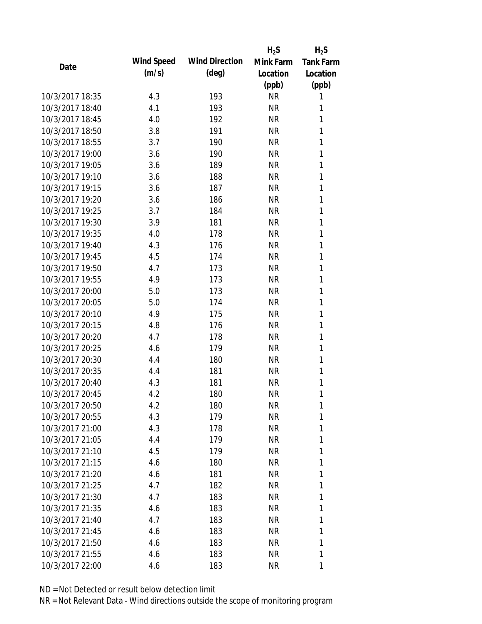|                 |            |                       | $H_2S$    | $H_2S$           |
|-----------------|------------|-----------------------|-----------|------------------|
| Date            | Wind Speed | <b>Wind Direction</b> | Mink Farm | <b>Tank Farm</b> |
|                 | (m/s)      | $(\text{deg})$        | Location  | Location         |
|                 |            |                       | (ppb)     | (ppb)            |
| 10/3/2017 18:35 | 4.3        | 193                   | <b>NR</b> | 1                |
| 10/3/2017 18:40 | 4.1        | 193                   | <b>NR</b> | 1                |
| 10/3/2017 18:45 | 4.0        | 192                   | <b>NR</b> | 1                |
| 10/3/2017 18:50 | 3.8        | 191                   | <b>NR</b> | 1                |
| 10/3/2017 18:55 | 3.7        | 190                   | <b>NR</b> | 1                |
| 10/3/2017 19:00 | 3.6        | 190                   | <b>NR</b> | 1                |
| 10/3/2017 19:05 | 3.6        | 189                   | <b>NR</b> | 1                |
| 10/3/2017 19:10 | 3.6        | 188                   | <b>NR</b> | 1                |
| 10/3/2017 19:15 | 3.6        | 187                   | <b>NR</b> | 1                |
| 10/3/2017 19:20 | 3.6        | 186                   | <b>NR</b> | 1                |
| 10/3/2017 19:25 | 3.7        | 184                   | <b>NR</b> | 1                |
| 10/3/2017 19:30 | 3.9        | 181                   | <b>NR</b> | 1                |
| 10/3/2017 19:35 | 4.0        | 178                   | <b>NR</b> | 1                |
| 10/3/2017 19:40 | 4.3        | 176                   | <b>NR</b> | 1                |
| 10/3/2017 19:45 | 4.5        | 174                   | <b>NR</b> | 1                |
| 10/3/2017 19:50 | 4.7        | 173                   | <b>NR</b> | 1                |
| 10/3/2017 19:55 | 4.9        | 173                   | <b>NR</b> | 1                |
| 10/3/2017 20:00 | 5.0        | 173                   | <b>NR</b> | 1                |
| 10/3/2017 20:05 | 5.0        | 174                   | <b>NR</b> | 1                |
| 10/3/2017 20:10 | 4.9        | 175                   | <b>NR</b> | 1                |
| 10/3/2017 20:15 | 4.8        | 176                   | <b>NR</b> | 1                |
| 10/3/2017 20:20 | 4.7        | 178                   | <b>NR</b> | 1                |
| 10/3/2017 20:25 | 4.6        | 179                   | <b>NR</b> | 1                |
| 10/3/2017 20:30 | 4.4        | 180                   | <b>NR</b> | 1                |
| 10/3/2017 20:35 | 4.4        | 181                   | <b>NR</b> | 1                |
| 10/3/2017 20:40 | 4.3        | 181                   | <b>NR</b> | 1                |
| 10/3/2017 20:45 | 4.2        | 180                   | <b>NR</b> | 1                |
| 10/3/2017 20:50 | 4.2        | 180                   | <b>NR</b> | 1                |
| 10/3/2017 20:55 | 4.3        | 179                   | <b>NR</b> | 1                |
| 10/3/2017 21:00 | 4.3        | 178                   | <b>NR</b> | 1                |
| 10/3/2017 21:05 | 4.4        | 179                   | <b>NR</b> | 1                |
| 10/3/2017 21:10 | 4.5        | 179                   | <b>NR</b> | 1                |
| 10/3/2017 21:15 | 4.6        | 180                   | NR        | 1                |
| 10/3/2017 21:20 | 4.6        | 181                   | <b>NR</b> | 1                |
| 10/3/2017 21:25 | 4.7        | 182                   | <b>NR</b> | 1                |
| 10/3/2017 21:30 | 4.7        | 183                   | <b>NR</b> | 1                |
| 10/3/2017 21:35 | 4.6        | 183                   | <b>NR</b> | 1                |
| 10/3/2017 21:40 | 4.7        | 183                   | <b>NR</b> | 1                |
| 10/3/2017 21:45 | 4.6        | 183                   | <b>NR</b> | 1                |
| 10/3/2017 21:50 | 4.6        | 183                   | NR        | 1                |
| 10/3/2017 21:55 | 4.6        | 183                   | <b>NR</b> | 1                |
| 10/3/2017 22:00 | 4.6        | 183                   | <b>NR</b> | 1                |
|                 |            |                       |           |                  |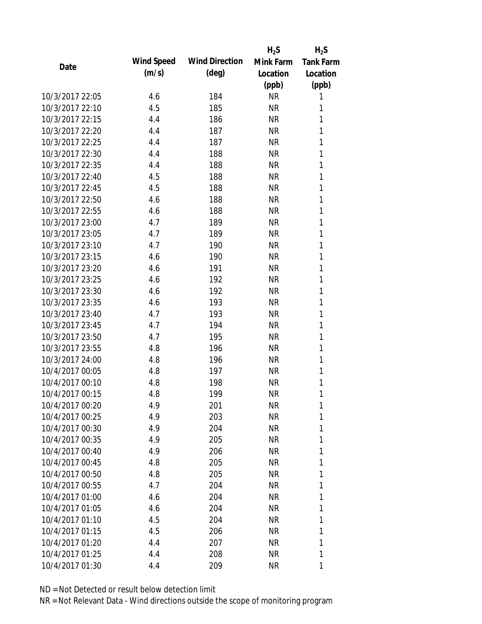|                 |            |                       | $H_2S$    | $H_2S$           |
|-----------------|------------|-----------------------|-----------|------------------|
| Date            | Wind Speed | <b>Wind Direction</b> | Mink Farm | <b>Tank Farm</b> |
|                 | (m/s)      | $(\text{deg})$        | Location  | Location         |
|                 |            |                       | (ppb)     | (ppb)            |
| 10/3/2017 22:05 | 4.6        | 184                   | <b>NR</b> | 1                |
| 10/3/2017 22:10 | 4.5        | 185                   | <b>NR</b> | 1                |
| 10/3/2017 22:15 | 4.4        | 186                   | <b>NR</b> | 1                |
| 10/3/2017 22:20 | 4.4        | 187                   | <b>NR</b> | 1                |
| 10/3/2017 22:25 | 4.4        | 187                   | <b>NR</b> | 1                |
| 10/3/2017 22:30 | 4.4        | 188                   | <b>NR</b> | 1                |
| 10/3/2017 22:35 | 4.4        | 188                   | <b>NR</b> | 1                |
| 10/3/2017 22:40 | 4.5        | 188                   | <b>NR</b> | 1                |
| 10/3/2017 22:45 | 4.5        | 188                   | <b>NR</b> | 1                |
| 10/3/2017 22:50 | 4.6        | 188                   | <b>NR</b> | 1                |
| 10/3/2017 22:55 | 4.6        | 188                   | <b>NR</b> | 1                |
| 10/3/2017 23:00 | 4.7        | 189                   | <b>NR</b> | 1                |
| 10/3/2017 23:05 | 4.7        | 189                   | <b>NR</b> | 1                |
| 10/3/2017 23:10 | 4.7        | 190                   | <b>NR</b> | 1                |
| 10/3/2017 23:15 | 4.6        | 190                   | <b>NR</b> | 1                |
| 10/3/2017 23:20 | 4.6        | 191                   | <b>NR</b> | 1                |
| 10/3/2017 23:25 | 4.6        | 192                   | <b>NR</b> | 1                |
| 10/3/2017 23:30 | 4.6        | 192                   | <b>NR</b> | 1                |
| 10/3/2017 23:35 | 4.6        | 193                   | <b>NR</b> | 1                |
| 10/3/2017 23:40 | 4.7        | 193                   | <b>NR</b> | 1                |
| 10/3/2017 23:45 | 4.7        | 194                   | <b>NR</b> | 1                |
| 10/3/2017 23:50 | 4.7        | 195                   | <b>NR</b> | 1                |
| 10/3/2017 23:55 | 4.8        | 196                   | <b>NR</b> | 1                |
| 10/3/2017 24:00 | 4.8        | 196                   | <b>NR</b> | 1                |
| 10/4/2017 00:05 | 4.8        | 197                   | <b>NR</b> | 1                |
| 10/4/2017 00:10 | 4.8        | 198                   | <b>NR</b> | 1                |
| 10/4/2017 00:15 | 4.8        | 199                   | <b>NR</b> | 1                |
| 10/4/2017 00:20 | 4.9        | 201                   | <b>NR</b> | 1                |
| 10/4/2017 00:25 | 4.9        | 203                   | <b>NR</b> | 1                |
| 10/4/2017 00:30 | 4.9        | 204                   | <b>NR</b> | 1                |
| 10/4/2017 00:35 | 4.9        | 205                   | <b>NR</b> | 1                |
| 10/4/2017 00:40 | 4.9        | 206                   | <b>NR</b> | 1                |
| 10/4/2017 00:45 | 4.8        | 205                   | <b>NR</b> | 1                |
| 10/4/2017 00:50 | 4.8        | 205                   | <b>NR</b> | 1                |
| 10/4/2017 00:55 | 4.7        | 204                   | <b>NR</b> | 1                |
| 10/4/2017 01:00 | 4.6        | 204                   | <b>NR</b> | 1                |
| 10/4/2017 01:05 | 4.6        | 204                   | <b>NR</b> | 1                |
| 10/4/2017 01:10 | 4.5        | 204                   | NR        | 1                |
| 10/4/2017 01:15 | 4.5        | 206                   | <b>NR</b> | 1                |
| 10/4/2017 01:20 | 4.4        | 207                   | <b>NR</b> | 1                |
| 10/4/2017 01:25 | 4.4        | 208                   | <b>NR</b> | 1                |
| 10/4/2017 01:30 | 4.4        | 209                   | <b>NR</b> | 1                |
|                 |            |                       |           |                  |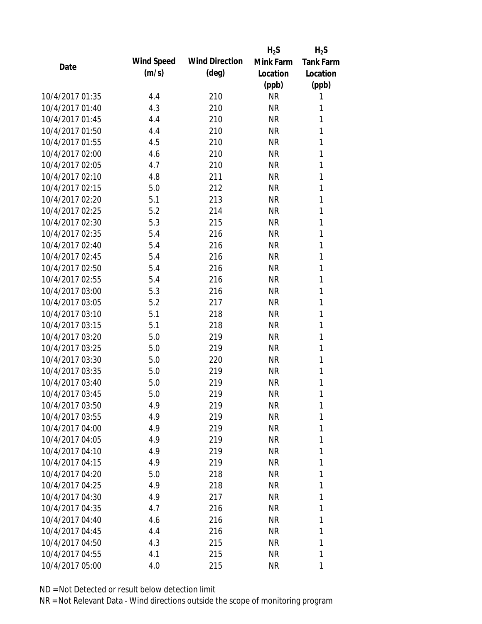|                 |            |                       | $H_2S$    | $H_2S$           |
|-----------------|------------|-----------------------|-----------|------------------|
| Date            | Wind Speed | <b>Wind Direction</b> | Mink Farm | <b>Tank Farm</b> |
|                 | (m/s)      | $(\text{deg})$        | Location  | Location         |
|                 |            |                       | (ppb)     | (ppb)            |
| 10/4/2017 01:35 | 4.4        | 210                   | <b>NR</b> | 1                |
| 10/4/2017 01:40 | 4.3        | 210                   | <b>NR</b> | 1                |
| 10/4/2017 01:45 | 4.4        | 210                   | <b>NR</b> | 1                |
| 10/4/2017 01:50 | 4.4        | 210                   | <b>NR</b> | 1                |
| 10/4/2017 01:55 | 4.5        | 210                   | <b>NR</b> | 1                |
| 10/4/2017 02:00 | 4.6        | 210                   | <b>NR</b> | 1                |
| 10/4/2017 02:05 | 4.7        | 210                   | <b>NR</b> | 1                |
| 10/4/2017 02:10 | 4.8        | 211                   | <b>NR</b> | 1                |
| 10/4/2017 02:15 | 5.0        | 212                   | <b>NR</b> | 1                |
| 10/4/2017 02:20 | 5.1        | 213                   | <b>NR</b> | 1                |
| 10/4/2017 02:25 | 5.2        | 214                   | <b>NR</b> | 1                |
| 10/4/2017 02:30 | 5.3        | 215                   | <b>NR</b> | 1                |
| 10/4/2017 02:35 | 5.4        | 216                   | <b>NR</b> | 1                |
| 10/4/2017 02:40 | 5.4        | 216                   | <b>NR</b> | 1                |
| 10/4/2017 02:45 | 5.4        | 216                   | <b>NR</b> | 1                |
| 10/4/2017 02:50 | 5.4        | 216                   | <b>NR</b> | 1                |
| 10/4/2017 02:55 | 5.4        | 216                   | <b>NR</b> | 1                |
| 10/4/2017 03:00 | 5.3        | 216                   | <b>NR</b> | 1                |
| 10/4/2017 03:05 | 5.2        | 217                   | <b>NR</b> | 1                |
| 10/4/2017 03:10 | 5.1        | 218                   | <b>NR</b> | 1                |
| 10/4/2017 03:15 | 5.1        | 218                   | <b>NR</b> | 1                |
| 10/4/2017 03:20 | 5.0        | 219                   | <b>NR</b> | 1                |
| 10/4/2017 03:25 | 5.0        | 219                   | <b>NR</b> | 1                |
| 10/4/2017 03:30 | 5.0        | 220                   | <b>NR</b> | 1                |
| 10/4/2017 03:35 | 5.0        | 219                   | <b>NR</b> | 1                |
| 10/4/2017 03:40 | 5.0        | 219                   | <b>NR</b> | 1                |
| 10/4/2017 03:45 | 5.0        | 219                   | <b>NR</b> | 1                |
| 10/4/2017 03:50 | 4.9        | 219                   | <b>NR</b> | 1                |
| 10/4/2017 03:55 | 4.9        | 219                   | <b>NR</b> | 1                |
| 10/4/2017 04:00 | 4.9        | 219                   | <b>NR</b> | 1                |
| 10/4/2017 04:05 | 4.9        | 219                   | <b>NR</b> | 1                |
| 10/4/2017 04:10 | 4.9        | 219                   | <b>NR</b> | 1                |
| 10/4/2017 04:15 | 4.9        | 219                   | NR        | 1                |
| 10/4/2017 04:20 | 5.0        | 218                   | <b>NR</b> | 1                |
| 10/4/2017 04:25 | 4.9        | 218                   | <b>NR</b> | 1                |
| 10/4/2017 04:30 | 4.9        | 217                   | <b>NR</b> | 1                |
| 10/4/2017 04:35 | 4.7        | 216                   | <b>NR</b> | 1                |
| 10/4/2017 04:40 | 4.6        | 216                   | <b>NR</b> | 1                |
| 10/4/2017 04:45 | 4.4        | 216                   | <b>NR</b> | 1                |
| 10/4/2017 04:50 | 4.3        | 215                   | NR        | 1                |
| 10/4/2017 04:55 | 4.1        | 215                   | <b>NR</b> | 1                |
| 10/4/2017 05:00 | 4.0        | 215                   | <b>NR</b> | 1                |
|                 |            |                       |           |                  |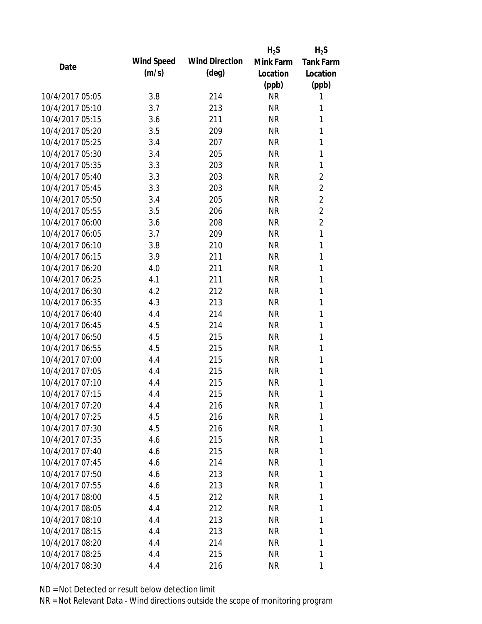|                 |            |                       | $H_2S$    | $H_2S$           |
|-----------------|------------|-----------------------|-----------|------------------|
| Date            | Wind Speed | <b>Wind Direction</b> | Mink Farm | <b>Tank Farm</b> |
|                 | (m/s)      | $(\text{deg})$        | Location  | Location         |
|                 |            |                       | (ppb)     | (ppb)            |
| 10/4/2017 05:05 | 3.8        | 214                   | <b>NR</b> | 1                |
| 10/4/2017 05:10 | 3.7        | 213                   | <b>NR</b> | 1                |
| 10/4/2017 05:15 | 3.6        | 211                   | <b>NR</b> | 1                |
| 10/4/2017 05:20 | 3.5        | 209                   | <b>NR</b> | 1                |
| 10/4/2017 05:25 | 3.4        | 207                   | <b>NR</b> | 1                |
| 10/4/2017 05:30 | 3.4        | 205                   | <b>NR</b> | 1                |
| 10/4/2017 05:35 | 3.3        | 203                   | <b>NR</b> | 1                |
| 10/4/2017 05:40 | 3.3        | 203                   | <b>NR</b> | $\overline{c}$   |
| 10/4/2017 05:45 | 3.3        | 203                   | <b>NR</b> | $\overline{2}$   |
| 10/4/2017 05:50 | 3.4        | 205                   | <b>NR</b> | $\overline{2}$   |
| 10/4/2017 05:55 | 3.5        | 206                   | <b>NR</b> | $\overline{2}$   |
| 10/4/2017 06:00 | 3.6        | 208                   | <b>NR</b> | $\overline{2}$   |
| 10/4/2017 06:05 | 3.7        | 209                   | <b>NR</b> | 1                |
| 10/4/2017 06:10 | 3.8        | 210                   | <b>NR</b> | 1                |
| 10/4/2017 06:15 | 3.9        | 211                   | <b>NR</b> | 1                |
| 10/4/2017 06:20 | 4.0        | 211                   | <b>NR</b> | 1                |
| 10/4/2017 06:25 | 4.1        | 211                   | <b>NR</b> | 1                |
| 10/4/2017 06:30 | 4.2        | 212                   | <b>NR</b> | 1                |
| 10/4/2017 06:35 | 4.3        | 213                   | <b>NR</b> | 1                |
| 10/4/2017 06:40 | 4.4        | 214                   | <b>NR</b> | 1                |
| 10/4/2017 06:45 | 4.5        | 214                   | <b>NR</b> | 1                |
| 10/4/2017 06:50 | 4.5        | 215                   | <b>NR</b> | 1                |
| 10/4/2017 06:55 | 4.5        | 215                   | <b>NR</b> | 1                |
| 10/4/2017 07:00 | 4.4        | 215                   | <b>NR</b> | 1                |
| 10/4/2017 07:05 | 4.4        | 215                   | <b>NR</b> | 1                |
| 10/4/2017 07:10 | 4.4        | 215                   | <b>NR</b> | 1                |
| 10/4/2017 07:15 | 4.4        | 215                   | <b>NR</b> | 1                |
| 10/4/2017 07:20 | 4.4        | 216                   | <b>NR</b> | 1                |
| 10/4/2017 07:25 | 4.5        | 216                   | <b>NR</b> | 1                |
| 10/4/2017 07:30 | 4.5        | 216                   | <b>NR</b> | 1                |
| 10/4/2017 07:35 | 4.6        | 215                   | <b>NR</b> | 1                |
| 10/4/2017 07:40 | 4.6        | 215                   | <b>NR</b> | 1                |
| 10/4/2017 07:45 | 4.6        | 214                   | NR        | 1                |
| 10/4/2017 07:50 | 4.6        | 213                   | <b>NR</b> | 1                |
| 10/4/2017 07:55 | 4.6        | 213                   | <b>NR</b> | 1                |
| 10/4/2017 08:00 | 4.5        | 212                   | <b>NR</b> | 1                |
| 10/4/2017 08:05 | 4.4        | 212                   | <b>NR</b> | 1                |
| 10/4/2017 08:10 | 4.4        | 213                   | NR        | 1                |
| 10/4/2017 08:15 | 4.4        | 213                   | <b>NR</b> | 1                |
| 10/4/2017 08:20 | 4.4        | 214                   | NR        | 1                |
| 10/4/2017 08:25 | 4.4        | 215                   | <b>NR</b> | 1                |
| 10/4/2017 08:30 | 4.4        | 216                   | <b>NR</b> | 1                |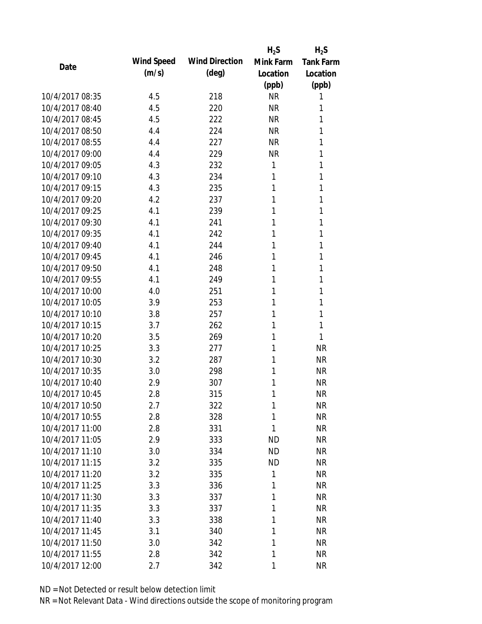|                 |            |                       | $H_2S$    | $H_2S$           |
|-----------------|------------|-----------------------|-----------|------------------|
| Date            | Wind Speed | <b>Wind Direction</b> | Mink Farm | <b>Tank Farm</b> |
|                 | (m/s)      | $(\text{deg})$        | Location  | Location         |
|                 |            |                       | (ppb)     | (ppb)            |
| 10/4/2017 08:35 | 4.5        | 218                   | <b>NR</b> | 1                |
| 10/4/2017 08:40 | 4.5        | 220                   | <b>NR</b> | 1                |
| 10/4/2017 08:45 | 4.5        | 222                   | <b>NR</b> | 1                |
| 10/4/2017 08:50 | 4.4        | 224                   | <b>NR</b> | 1                |
| 10/4/2017 08:55 | 4.4        | 227                   | <b>NR</b> | 1                |
| 10/4/2017 09:00 | 4.4        | 229                   | <b>NR</b> | 1                |
| 10/4/2017 09:05 | 4.3        | 232                   | 1         | 1                |
| 10/4/2017 09:10 | 4.3        | 234                   | 1         | 1                |
| 10/4/2017 09:15 | 4.3        | 235                   | 1         | 1                |
| 10/4/2017 09:20 | 4.2        | 237                   | 1         | 1                |
| 10/4/2017 09:25 | 4.1        | 239                   | 1         | 1                |
| 10/4/2017 09:30 | 4.1        | 241                   | 1         | 1                |
| 10/4/2017 09:35 | 4.1        | 242                   | 1         | 1                |
| 10/4/2017 09:40 | 4.1        | 244                   | 1         | 1                |
| 10/4/2017 09:45 | 4.1        | 246                   | 1         | 1                |
| 10/4/2017 09:50 | 4.1        | 248                   | 1         | 1                |
| 10/4/2017 09:55 | 4.1        | 249                   | 1         | 1                |
| 10/4/2017 10:00 | 4.0        | 251                   | 1         | 1                |
| 10/4/2017 10:05 | 3.9        | 253                   | 1         | 1                |
| 10/4/2017 10:10 | 3.8        | 257                   | 1         | 1                |
| 10/4/2017 10:15 | 3.7        | 262                   | 1         | 1                |
| 10/4/2017 10:20 | 3.5        | 269                   | 1         | 1                |
| 10/4/2017 10:25 | 3.3        | 277                   | 1         | <b>NR</b>        |
| 10/4/2017 10:30 | 3.2        | 287                   | 1         | <b>NR</b>        |
| 10/4/2017 10:35 | 3.0        | 298                   | 1         | <b>NR</b>        |
| 10/4/2017 10:40 | 2.9        | 307                   | 1         | <b>NR</b>        |
| 10/4/2017 10:45 | 2.8        | 315                   | 1         | <b>NR</b>        |
| 10/4/2017 10:50 | 2.7        | 322                   | 1         | <b>NR</b>        |
| 10/4/2017 10:55 | 2.8        | 328                   | 1         | <b>NR</b>        |
| 10/4/2017 11:00 | 2.8        | 331                   | 1         | <b>NR</b>        |
| 10/4/2017 11:05 | 2.9        | 333                   | <b>ND</b> | <b>NR</b>        |
| 10/4/2017 11:10 | 3.0        | 334                   | <b>ND</b> | <b>NR</b>        |
| 10/4/2017 11:15 | 3.2        | 335                   | <b>ND</b> | <b>NR</b>        |
| 10/4/2017 11:20 | 3.2        | 335                   | 1         | <b>NR</b>        |
| 10/4/2017 11:25 | 3.3        | 336                   | 1         | <b>NR</b>        |
| 10/4/2017 11:30 | 3.3        | 337                   | 1         | <b>NR</b>        |
| 10/4/2017 11:35 | 3.3        | 337                   | 1         | <b>NR</b>        |
| 10/4/2017 11:40 | 3.3        | 338                   | 1         | <b>NR</b>        |
| 10/4/2017 11:45 | 3.1        | 340                   | 1         | <b>NR</b>        |
| 10/4/2017 11:50 | 3.0        | 342                   | 1         | <b>NR</b>        |
| 10/4/2017 11:55 | 2.8        | 342                   | 1         | <b>NR</b>        |
| 10/4/2017 12:00 | 2.7        | 342                   | 1         | <b>NR</b>        |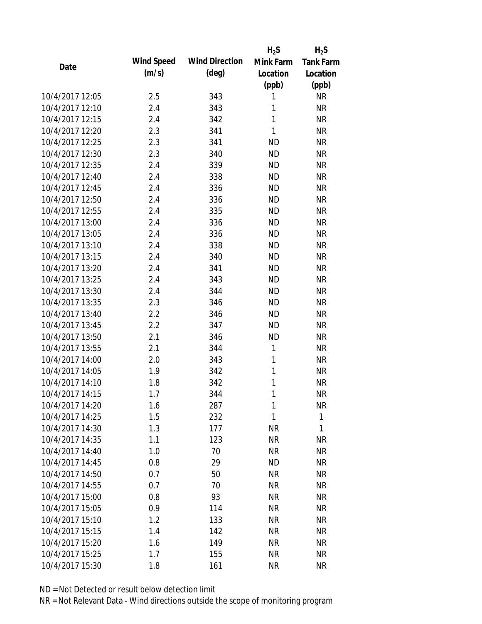|                 |            |                       | $H_2S$       | $H_2S$           |
|-----------------|------------|-----------------------|--------------|------------------|
| Date            | Wind Speed | <b>Wind Direction</b> | Mink Farm    | <b>Tank Farm</b> |
|                 | (m/s)      | $(\text{deg})$        | Location     | Location         |
|                 |            |                       | (ppb)        | (ppb)            |
| 10/4/2017 12:05 | 2.5        | 343                   | 1            | <b>NR</b>        |
| 10/4/2017 12:10 | 2.4        | 343                   | 1            | <b>NR</b>        |
| 10/4/2017 12:15 | 2.4        | 342                   | $\mathbf{1}$ | <b>NR</b>        |
| 10/4/2017 12:20 | 2.3        | 341                   | $\mathbf{1}$ | <b>NR</b>        |
| 10/4/2017 12:25 | 2.3        | 341                   | <b>ND</b>    | <b>NR</b>        |
| 10/4/2017 12:30 | 2.3        | 340                   | <b>ND</b>    | <b>NR</b>        |
| 10/4/2017 12:35 | 2.4        | 339                   | <b>ND</b>    | <b>NR</b>        |
| 10/4/2017 12:40 | 2.4        | 338                   | <b>ND</b>    | <b>NR</b>        |
| 10/4/2017 12:45 | 2.4        | 336                   | <b>ND</b>    | <b>NR</b>        |
| 10/4/2017 12:50 | 2.4        | 336                   | <b>ND</b>    | <b>NR</b>        |
| 10/4/2017 12:55 | 2.4        | 335                   | <b>ND</b>    | <b>NR</b>        |
| 10/4/2017 13:00 | 2.4        | 336                   | <b>ND</b>    | <b>NR</b>        |
| 10/4/2017 13:05 | 2.4        | 336                   | <b>ND</b>    | <b>NR</b>        |
| 10/4/2017 13:10 | 2.4        | 338                   | <b>ND</b>    | <b>NR</b>        |
| 10/4/2017 13:15 | 2.4        | 340                   | <b>ND</b>    | <b>NR</b>        |
| 10/4/2017 13:20 | 2.4        | 341                   | <b>ND</b>    | <b>NR</b>        |
| 10/4/2017 13:25 | 2.4        | 343                   | <b>ND</b>    | <b>NR</b>        |
| 10/4/2017 13:30 | 2.4        | 344                   | <b>ND</b>    | <b>NR</b>        |
| 10/4/2017 13:35 | 2.3        | 346                   | <b>ND</b>    | <b>NR</b>        |
| 10/4/2017 13:40 | 2.2        | 346                   | <b>ND</b>    | <b>NR</b>        |
| 10/4/2017 13:45 | 2.2        | 347                   | <b>ND</b>    | <b>NR</b>        |
| 10/4/2017 13:50 | 2.1        | 346                   | <b>ND</b>    | <b>NR</b>        |
| 10/4/2017 13:55 | 2.1        | 344                   | 1            | <b>NR</b>        |
| 10/4/2017 14:00 | 2.0        | 343                   | 1            | <b>NR</b>        |
| 10/4/2017 14:05 | 1.9        | 342                   | 1            | <b>NR</b>        |
| 10/4/2017 14:10 | 1.8        | 342                   | 1            | <b>NR</b>        |
| 10/4/2017 14:15 | 1.7        | 344                   | 1            | <b>NR</b>        |
| 10/4/2017 14:20 | 1.6        | 287                   | 1            | <b>NR</b>        |
| 10/4/2017 14:25 | 1.5        | 232                   | $\mathbf{1}$ | $\mathbf{1}$     |
| 10/4/2017 14:30 | 1.3        | 177                   | <b>NR</b>    | 1                |
| 10/4/2017 14:35 | 1.1        | 123                   | <b>NR</b>    | <b>NR</b>        |
| 10/4/2017 14:40 | 1.0        | 70                    | <b>NR</b>    | <b>NR</b>        |
| 10/4/2017 14:45 | 0.8        | 29                    | ND           | <b>NR</b>        |
| 10/4/2017 14:50 | 0.7        | 50                    | <b>NR</b>    | <b>NR</b>        |
| 10/4/2017 14:55 | 0.7        | 70                    | <b>NR</b>    | <b>NR</b>        |
| 10/4/2017 15:00 | 0.8        | 93                    | <b>NR</b>    | <b>NR</b>        |
| 10/4/2017 15:05 | 0.9        | 114                   | <b>NR</b>    | <b>NR</b>        |
| 10/4/2017 15:10 | 1.2        | 133                   | <b>NR</b>    | <b>NR</b>        |
| 10/4/2017 15:15 | 1.4        | 142                   | <b>NR</b>    | <b>NR</b>        |
| 10/4/2017 15:20 | 1.6        | 149                   | <b>NR</b>    | <b>NR</b>        |
| 10/4/2017 15:25 | 1.7        | 155                   | <b>NR</b>    | <b>NR</b>        |
|                 |            |                       |              |                  |
| 10/4/2017 15:30 | 1.8        | 161                   | <b>NR</b>    | <b>NR</b>        |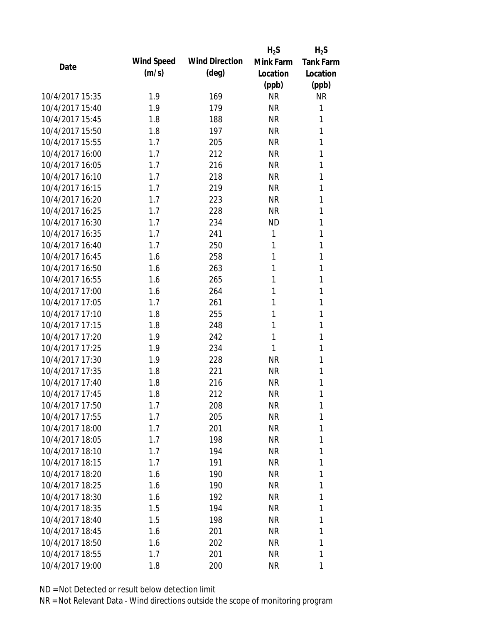|                 |            |                       | $H_2S$    | $H_2S$           |
|-----------------|------------|-----------------------|-----------|------------------|
| Date            | Wind Speed | <b>Wind Direction</b> | Mink Farm | <b>Tank Farm</b> |
|                 | (m/s)      | $(\text{deg})$        | Location  | Location         |
|                 |            |                       | (ppb)     | (ppb)            |
| 10/4/2017 15:35 | 1.9        | 169                   | <b>NR</b> | <b>NR</b>        |
| 10/4/2017 15:40 | 1.9        | 179                   | <b>NR</b> | 1                |
| 10/4/2017 15:45 | 1.8        | 188                   | <b>NR</b> | 1                |
| 10/4/2017 15:50 | 1.8        | 197                   | <b>NR</b> | 1                |
| 10/4/2017 15:55 | 1.7        | 205                   | <b>NR</b> | 1                |
| 10/4/2017 16:00 | 1.7        | 212                   | <b>NR</b> | 1                |
| 10/4/2017 16:05 | 1.7        | 216                   | <b>NR</b> | 1                |
| 10/4/2017 16:10 | 1.7        | 218                   | <b>NR</b> | 1                |
| 10/4/2017 16:15 | 1.7        | 219                   | <b>NR</b> | 1                |
| 10/4/2017 16:20 | 1.7        | 223                   | <b>NR</b> | 1                |
| 10/4/2017 16:25 | 1.7        | 228                   | <b>NR</b> | 1                |
| 10/4/2017 16:30 | 1.7        | 234                   | <b>ND</b> | 1                |
| 10/4/2017 16:35 | 1.7        | 241                   | 1         | 1                |
| 10/4/2017 16:40 | 1.7        | 250                   | 1         | 1                |
| 10/4/2017 16:45 | 1.6        | 258                   | 1         | 1                |
| 10/4/2017 16:50 | 1.6        | 263                   | 1         | 1                |
| 10/4/2017 16:55 | 1.6        | 265                   | 1         | 1                |
| 10/4/2017 17:00 | 1.6        | 264                   | 1         | 1                |
| 10/4/2017 17:05 | 1.7        | 261                   | 1         | 1                |
| 10/4/2017 17:10 | 1.8        | 255                   | 1         | 1                |
| 10/4/2017 17:15 | 1.8        | 248                   | 1         | 1                |
| 10/4/2017 17:20 | 1.9        | 242                   | 1         | 1                |
| 10/4/2017 17:25 | 1.9        | 234                   | 1         | 1                |
| 10/4/2017 17:30 | 1.9        | 228                   | <b>NR</b> | 1                |
| 10/4/2017 17:35 | 1.8        | 221                   | <b>NR</b> | 1                |
| 10/4/2017 17:40 | 1.8        | 216                   | <b>NR</b> | 1                |
| 10/4/2017 17:45 | 1.8        | 212                   | <b>NR</b> | 1                |
| 10/4/2017 17:50 | 1.7        | 208                   | <b>NR</b> | 1                |
| 10/4/2017 17:55 | 1.7        | 205                   | <b>NR</b> | 1                |
| 10/4/2017 18:00 | 1.7        | 201                   | <b>NR</b> | 1                |
| 10/4/2017 18:05 | 1.7        | 198                   | <b>NR</b> | 1                |
| 10/4/2017 18:10 | 1.7        | 194                   | <b>NR</b> | 1                |
| 10/4/2017 18:15 | 1.7        | 191                   | NR        | 1                |
| 10/4/2017 18:20 | 1.6        | 190                   | <b>NR</b> | 1                |
| 10/4/2017 18:25 | 1.6        | 190                   | <b>NR</b> | 1                |
| 10/4/2017 18:30 | 1.6        | 192                   | <b>NR</b> | 1                |
| 10/4/2017 18:35 | 1.5        | 194                   | <b>NR</b> | 1                |
| 10/4/2017 18:40 | 1.5        | 198                   | NR        | 1                |
| 10/4/2017 18:45 | 1.6        | 201                   | <b>NR</b> | 1                |
| 10/4/2017 18:50 | 1.6        | 202                   | NR        | 1                |
| 10/4/2017 18:55 | 1.7        | 201                   | <b>NR</b> | 1                |
| 10/4/2017 19:00 | 1.8        | 200                   | <b>NR</b> | 1                |
|                 |            |                       |           |                  |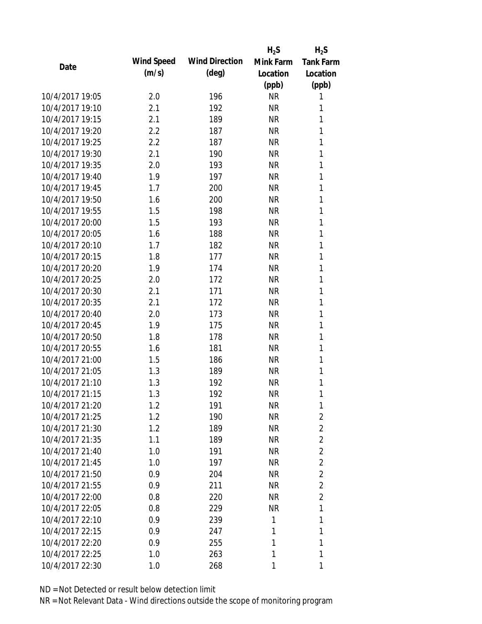|                 |            |                       | $H_2S$    | $H_2S$           |
|-----------------|------------|-----------------------|-----------|------------------|
| Date            | Wind Speed | <b>Wind Direction</b> | Mink Farm | <b>Tank Farm</b> |
|                 | (m/s)      | $(\text{deg})$        | Location  | Location         |
|                 |            |                       | (ppb)     | (ppb)            |
| 10/4/2017 19:05 | 2.0        | 196                   | <b>NR</b> | 1                |
| 10/4/2017 19:10 | 2.1        | 192                   | <b>NR</b> | 1                |
| 10/4/2017 19:15 | 2.1        | 189                   | <b>NR</b> | 1                |
| 10/4/2017 19:20 | 2.2        | 187                   | <b>NR</b> | 1                |
| 10/4/2017 19:25 | 2.2        | 187                   | <b>NR</b> | 1                |
| 10/4/2017 19:30 | 2.1        | 190                   | <b>NR</b> | 1                |
| 10/4/2017 19:35 | 2.0        | 193                   | <b>NR</b> | 1                |
| 10/4/2017 19:40 | 1.9        | 197                   | <b>NR</b> | 1                |
| 10/4/2017 19:45 | 1.7        | 200                   | <b>NR</b> | 1                |
| 10/4/2017 19:50 | 1.6        | 200                   | <b>NR</b> | 1                |
| 10/4/2017 19:55 | 1.5        | 198                   | <b>NR</b> | 1                |
| 10/4/2017 20:00 | 1.5        | 193                   | <b>NR</b> | 1                |
| 10/4/2017 20:05 | 1.6        | 188                   | <b>NR</b> | 1                |
| 10/4/2017 20:10 | 1.7        | 182                   | <b>NR</b> | 1                |
| 10/4/2017 20:15 | 1.8        | 177                   | <b>NR</b> | 1                |
| 10/4/2017 20:20 | 1.9        | 174                   | <b>NR</b> | 1                |
| 10/4/2017 20:25 | 2.0        | 172                   | <b>NR</b> | 1                |
| 10/4/2017 20:30 | 2.1        | 171                   | <b>NR</b> | 1                |
| 10/4/2017 20:35 | 2.1        | 172                   | <b>NR</b> | 1                |
| 10/4/2017 20:40 | 2.0        | 173                   | <b>NR</b> | 1                |
| 10/4/2017 20:45 | 1.9        | 175                   | <b>NR</b> | 1                |
| 10/4/2017 20:50 | 1.8        | 178                   | <b>NR</b> | 1                |
| 10/4/2017 20:55 | 1.6        | 181                   | <b>NR</b> | 1                |
| 10/4/2017 21:00 | 1.5        | 186                   | <b>NR</b> | 1                |
| 10/4/2017 21:05 | 1.3        | 189                   | <b>NR</b> | 1                |
| 10/4/2017 21:10 | 1.3        | 192                   | <b>NR</b> | 1                |
| 10/4/2017 21:15 | 1.3        | 192                   | <b>NR</b> | 1                |
| 10/4/2017 21:20 | 1.2        | 191                   | NR        | 1                |
| 10/4/2017 21:25 | 1.2        | 190                   | <b>NR</b> | $\overline{2}$   |
| 10/4/2017 21:30 | 1.2        | 189                   | <b>NR</b> | $\overline{2}$   |
| 10/4/2017 21:35 | 1.1        | 189                   | <b>NR</b> | $\overline{2}$   |
| 10/4/2017 21:40 | 1.0        | 191                   | <b>NR</b> | $\overline{2}$   |
| 10/4/2017 21:45 | 1.0        | 197                   | <b>NR</b> | $\overline{2}$   |
| 10/4/2017 21:50 | 0.9        | 204                   | <b>NR</b> | $\overline{2}$   |
| 10/4/2017 21:55 | 0.9        | 211                   | <b>NR</b> | $\overline{2}$   |
| 10/4/2017 22:00 | 0.8        | 220                   | <b>NR</b> | $\overline{2}$   |
| 10/4/2017 22:05 | 0.8        | 229                   | <b>NR</b> | 1                |
| 10/4/2017 22:10 | 0.9        | 239                   | 1         | 1                |
| 10/4/2017 22:15 | 0.9        | 247                   | 1         | 1                |
| 10/4/2017 22:20 | 0.9        | 255                   | 1         | 1                |
| 10/4/2017 22:25 | 1.0        | 263                   | 1         | 1                |
| 10/4/2017 22:30 | 1.0        | 268                   | 1         | 1                |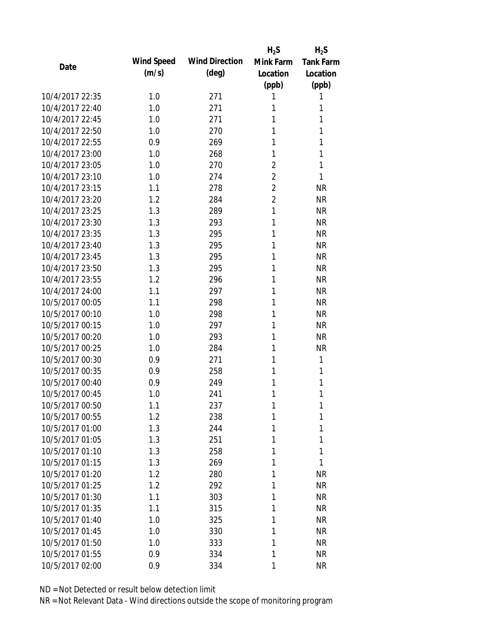|            |                                 | $H_2S$                                                             | $H_2S$           |
|------------|---------------------------------|--------------------------------------------------------------------|------------------|
| Wind Speed | <b>Wind Direction</b>           | Mink Farm                                                          | <b>Tank Farm</b> |
| (m/s)      | $(\text{deg})$                  | Location                                                           | Location         |
|            |                                 | (ppb)                                                              | (ppb)            |
| 1.0        | 271                             | 1                                                                  | 1                |
| 1.0        | 271                             | 1                                                                  | 1                |
| 1.0        | 271                             | 1                                                                  | 1                |
| 1.0        | 270                             | 1                                                                  | 1                |
| 0.9        | 269                             | 1                                                                  | 1                |
| 1.0        | 268                             | 1                                                                  | 1                |
| 1.0        | 270                             | $\overline{2}$                                                     | 1                |
| 1.0        | 274                             | $\overline{2}$                                                     | 1                |
| 1.1        | 278                             | $\overline{2}$                                                     | <b>NR</b>        |
| 1.2        | 284                             | $\overline{2}$                                                     | <b>NR</b>        |
| 1.3        | 289                             | 1                                                                  | <b>NR</b>        |
| 1.3        | 293                             | 1                                                                  | <b>NR</b>        |
| 1.3        | 295                             | 1                                                                  | <b>NR</b>        |
| 1.3        | 295                             | 1                                                                  | <b>NR</b>        |
| 1.3        | 295                             | 1                                                                  | <b>NR</b>        |
| 1.3        | 295                             | 1                                                                  | <b>NR</b>        |
| 1.2        | 296                             | 1                                                                  | <b>NR</b>        |
| 1.1        | 297                             | 1                                                                  | <b>NR</b>        |
| 1.1        | 298                             | 1                                                                  | <b>NR</b>        |
| 1.0        | 298                             | 1                                                                  | <b>NR</b>        |
| 1.0        | 297                             | 1                                                                  | <b>NR</b>        |
| 1.0        | 293                             | 1                                                                  | <b>NR</b>        |
| 1.0        | 284                             | 1                                                                  | <b>NR</b>        |
| 0.9        | 271                             | 1                                                                  | 1                |
| 0.9        | 258                             | 1                                                                  | 1                |
| 0.9        | 249                             | 1                                                                  | 1                |
| 1.0        | 241                             | 1                                                                  | 1                |
|            |                                 | 1                                                                  | 1                |
| 1.2        |                                 | 1                                                                  | 1                |
| 1.3        | 244                             | 1                                                                  | 1                |
|            |                                 | 1                                                                  | 1                |
|            |                                 | 1                                                                  | 1                |
| 1.3        | 269                             | 1                                                                  | 1                |
| 1.2        | 280                             | 1                                                                  | <b>NR</b>        |
| 1.2        | 292                             | 1                                                                  | <b>NR</b>        |
| 1.1        |                                 | 1                                                                  | <b>NR</b>        |
|            |                                 | 1                                                                  | <b>NR</b>        |
| 1.0        |                                 | 1                                                                  | <b>NR</b>        |
|            |                                 | 1                                                                  | <b>NR</b>        |
| 1.0        |                                 | 1                                                                  | <b>NR</b>        |
| 0.9        |                                 | 1                                                                  | <b>NR</b>        |
| 0.9        | 334                             | 1                                                                  | <b>NR</b>        |
|            | 1.1<br>1.3<br>1.3<br>1.1<br>1.0 | 237<br>238<br>251<br>258<br>303<br>315<br>325<br>330<br>333<br>334 |                  |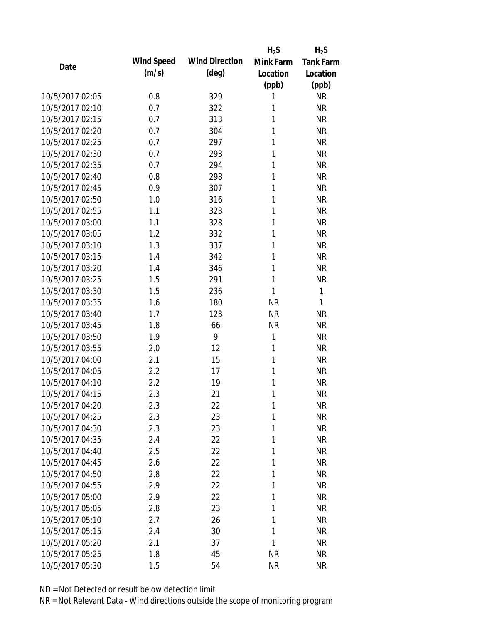|                 |            |                       | $H_2S$    | $H_2S$           |
|-----------------|------------|-----------------------|-----------|------------------|
| Date            | Wind Speed | <b>Wind Direction</b> | Mink Farm | <b>Tank Farm</b> |
|                 | (m/s)      | $(\text{deg})$        | Location  | Location         |
|                 |            |                       | (ppb)     | (ppb)            |
| 10/5/2017 02:05 | 0.8        | 329                   | 1         | <b>NR</b>        |
| 10/5/2017 02:10 | 0.7        | 322                   | 1         | <b>NR</b>        |
| 10/5/2017 02:15 | 0.7        | 313                   | 1         | <b>NR</b>        |
| 10/5/2017 02:20 | 0.7        | 304                   | 1         | <b>NR</b>        |
| 10/5/2017 02:25 | 0.7        | 297                   | 1         | <b>NR</b>        |
| 10/5/2017 02:30 | 0.7        | 293                   | 1         | <b>NR</b>        |
| 10/5/2017 02:35 | 0.7        | 294                   | 1         | <b>NR</b>        |
| 10/5/2017 02:40 | 0.8        | 298                   | 1         | <b>NR</b>        |
| 10/5/2017 02:45 | 0.9        | 307                   | 1         | <b>NR</b>        |
| 10/5/2017 02:50 | 1.0        | 316                   | 1         | <b>NR</b>        |
| 10/5/2017 02:55 | 1.1        | 323                   | 1         | <b>NR</b>        |
| 10/5/2017 03:00 | 1.1        | 328                   | 1         | <b>NR</b>        |
| 10/5/2017 03:05 | 1.2        | 332                   | 1         | <b>NR</b>        |
| 10/5/2017 03:10 | 1.3        | 337                   | 1         | <b>NR</b>        |
| 10/5/2017 03:15 | 1.4        | 342                   | 1         | <b>NR</b>        |
| 10/5/2017 03:20 | 1.4        | 346                   | 1         | <b>NR</b>        |
| 10/5/2017 03:25 | 1.5        | 291                   | 1         | <b>NR</b>        |
| 10/5/2017 03:30 | 1.5        | 236                   | 1         | 1                |
| 10/5/2017 03:35 | 1.6        | 180                   | <b>NR</b> | 1                |
| 10/5/2017 03:40 | 1.7        | 123                   | <b>NR</b> | <b>NR</b>        |
| 10/5/2017 03:45 | 1.8        | 66                    | <b>NR</b> | <b>NR</b>        |
| 10/5/2017 03:50 | 1.9        | 9                     | 1         | <b>NR</b>        |
| 10/5/2017 03:55 | 2.0        | 12                    | 1         | <b>NR</b>        |
| 10/5/2017 04:00 | 2.1        | 15                    | 1         | <b>NR</b>        |
| 10/5/2017 04:05 | 2.2        | 17                    | 1         | <b>NR</b>        |
| 10/5/2017 04:10 | 2.2        | 19                    | 1         | <b>NR</b>        |
| 10/5/2017 04:15 | 2.3        | 21                    | 1         | <b>NR</b>        |
| 10/5/2017 04:20 | 2.3        | 22                    | 1         | <b>NR</b>        |
| 10/5/2017 04:25 | 2.3        | 23                    | 1         | <b>NR</b>        |
| 10/5/2017 04:30 | 2.3        | 23                    | 1         | <b>NR</b>        |
| 10/5/2017 04:35 | 2.4        | 22                    | 1         | <b>NR</b>        |
| 10/5/2017 04:40 | 2.5        | 22                    | 1         | <b>NR</b>        |
| 10/5/2017 04:45 | 2.6        | 22                    | 1         | <b>NR</b>        |
| 10/5/2017 04:50 | 2.8        | 22                    | 1         | <b>NR</b>        |
| 10/5/2017 04:55 | 2.9        | 22                    | 1         | <b>NR</b>        |
| 10/5/2017 05:00 | 2.9        | 22                    | 1         | <b>NR</b>        |
| 10/5/2017 05:05 | 2.8        | 23                    | 1         | <b>NR</b>        |
| 10/5/2017 05:10 | 2.7        | 26                    | 1         | <b>NR</b>        |
| 10/5/2017 05:15 | 2.4        | 30                    | 1         | <b>NR</b>        |
| 10/5/2017 05:20 | 2.1        | 37                    | 1         | <b>NR</b>        |
| 10/5/2017 05:25 | 1.8        | 45                    | <b>NR</b> | <b>NR</b>        |
| 10/5/2017 05:30 | 1.5        | 54                    | <b>NR</b> | <b>NR</b>        |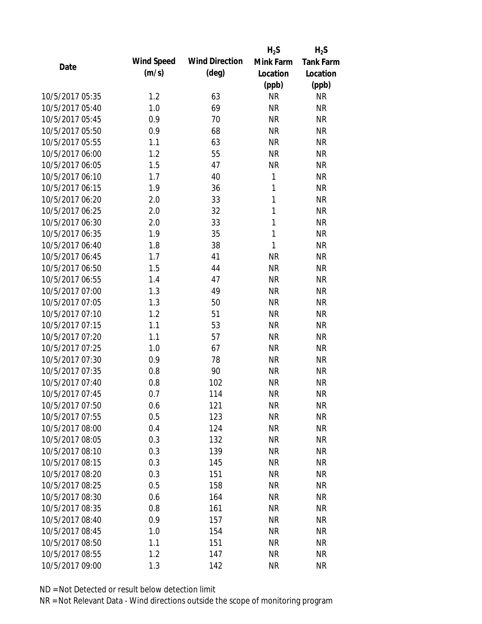|                 |            |                       | $H_2S$       | $H_2S$           |
|-----------------|------------|-----------------------|--------------|------------------|
| Date            | Wind Speed | <b>Wind Direction</b> | Mink Farm    | <b>Tank Farm</b> |
|                 | (m/s)      | $(\text{deg})$        | Location     | Location         |
|                 |            |                       | (ppb)        | (ppb)            |
| 10/5/2017 05:35 | 1.2        | 63                    | <b>NR</b>    | <b>NR</b>        |
| 10/5/2017 05:40 | 1.0        | 69                    | <b>NR</b>    | <b>NR</b>        |
| 10/5/2017 05:45 | 0.9        | 70                    | <b>NR</b>    | <b>NR</b>        |
| 10/5/2017 05:50 | 0.9        | 68                    | <b>NR</b>    | <b>NR</b>        |
| 10/5/2017 05:55 | 1.1        | 63                    | <b>NR</b>    | <b>NR</b>        |
| 10/5/2017 06:00 | 1.2        | 55                    | <b>NR</b>    | <b>NR</b>        |
| 10/5/2017 06:05 | 1.5        | 47                    | <b>NR</b>    | <b>NR</b>        |
| 10/5/2017 06:10 | 1.7        | 40                    | 1            | <b>NR</b>        |
| 10/5/2017 06:15 | 1.9        | 36                    | 1            | <b>NR</b>        |
| 10/5/2017 06:20 | 2.0        | 33                    | 1            | <b>NR</b>        |
| 10/5/2017 06:25 | 2.0        | 32                    | 1            | <b>NR</b>        |
| 10/5/2017 06:30 | 2.0        | 33                    | 1            | <b>NR</b>        |
| 10/5/2017 06:35 | 1.9        | 35                    | $\mathbf{1}$ | <b>NR</b>        |
| 10/5/2017 06:40 | 1.8        | 38                    | 1            | <b>NR</b>        |
| 10/5/2017 06:45 | 1.7        | 41                    | <b>NR</b>    | <b>NR</b>        |
| 10/5/2017 06:50 | 1.5        | 44                    | <b>NR</b>    | <b>NR</b>        |
| 10/5/2017 06:55 | 1.4        | 47                    | <b>NR</b>    | <b>NR</b>        |
| 10/5/2017 07:00 | 1.3        | 49                    | <b>NR</b>    | <b>NR</b>        |
| 10/5/2017 07:05 | 1.3        | 50                    | <b>NR</b>    | <b>NR</b>        |
| 10/5/2017 07:10 | 1.2        | 51                    | <b>NR</b>    | <b>NR</b>        |
| 10/5/2017 07:15 | 1.1        | 53                    | <b>NR</b>    | <b>NR</b>        |
| 10/5/2017 07:20 | 1.1        | 57                    | <b>NR</b>    | <b>NR</b>        |
| 10/5/2017 07:25 | 1.0        | 67                    | <b>NR</b>    | <b>NR</b>        |
| 10/5/2017 07:30 | 0.9        | 78                    | <b>NR</b>    | <b>NR</b>        |
| 10/5/2017 07:35 | 0.8        | 90                    | <b>NR</b>    | <b>NR</b>        |
| 10/5/2017 07:40 | 0.8        | 102                   | <b>NR</b>    | <b>NR</b>        |
| 10/5/2017 07:45 | 0.7        | 114                   | <b>NR</b>    | <b>NR</b>        |
| 10/5/2017 07:50 | 0.6        | 121                   | <b>NR</b>    | <b>NR</b>        |
| 10/5/2017 07:55 | 0.5        | 123                   | <b>NR</b>    | <b>NR</b>        |
| 10/5/2017 08:00 | 0.4        | 124                   | <b>NR</b>    | <b>NR</b>        |
| 10/5/2017 08:05 | 0.3        | 132                   | <b>NR</b>    | <b>NR</b>        |
| 10/5/2017 08:10 | 0.3        | 139                   | <b>NR</b>    | <b>NR</b>        |
| 10/5/2017 08:15 | 0.3        | 145                   | <b>NR</b>    | <b>NR</b>        |
| 10/5/2017 08:20 | 0.3        | 151                   | <b>NR</b>    | <b>NR</b>        |
| 10/5/2017 08:25 | 0.5        | 158                   | <b>NR</b>    | <b>NR</b>        |
| 10/5/2017 08:30 | 0.6        | 164                   | <b>NR</b>    | <b>NR</b>        |
| 10/5/2017 08:35 | 0.8        | 161                   | <b>NR</b>    | <b>NR</b>        |
| 10/5/2017 08:40 | 0.9        | 157                   | <b>NR</b>    | <b>NR</b>        |
| 10/5/2017 08:45 | 1.0        | 154                   | <b>NR</b>    | <b>NR</b>        |
| 10/5/2017 08:50 | 1.1        | 151                   | <b>NR</b>    | <b>NR</b>        |
| 10/5/2017 08:55 | 1.2        | 147                   | <b>NR</b>    | <b>NR</b>        |
| 10/5/2017 09:00 | 1.3        | 142                   | <b>NR</b>    | <b>NR</b>        |
|                 |            |                       |              |                  |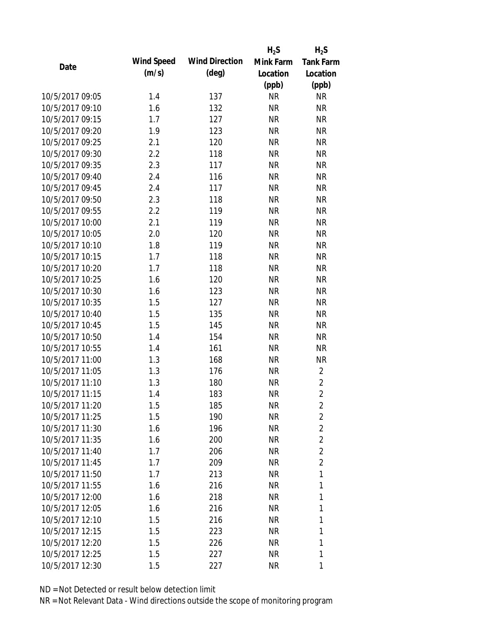|                 |            |                       | $H_2S$    | $H_2S$           |
|-----------------|------------|-----------------------|-----------|------------------|
| Date            | Wind Speed | <b>Wind Direction</b> | Mink Farm | <b>Tank Farm</b> |
|                 | (m/s)      | $(\text{deg})$        | Location  | Location         |
|                 |            |                       | (ppb)     | (ppb)            |
| 10/5/2017 09:05 | 1.4        | 137                   | <b>NR</b> | <b>NR</b>        |
| 10/5/2017 09:10 | 1.6        | 132                   | <b>NR</b> | <b>NR</b>        |
| 10/5/2017 09:15 | 1.7        | 127                   | <b>NR</b> | <b>NR</b>        |
| 10/5/2017 09:20 | 1.9        | 123                   | <b>NR</b> | <b>NR</b>        |
| 10/5/2017 09:25 | 2.1        | 120                   | <b>NR</b> | <b>NR</b>        |
| 10/5/2017 09:30 | 2.2        | 118                   | <b>NR</b> | <b>NR</b>        |
| 10/5/2017 09:35 | 2.3        | 117                   | <b>NR</b> | <b>NR</b>        |
| 10/5/2017 09:40 | 2.4        | 116                   | <b>NR</b> | <b>NR</b>        |
| 10/5/2017 09:45 | 2.4        | 117                   | <b>NR</b> | <b>NR</b>        |
| 10/5/2017 09:50 | 2.3        | 118                   | <b>NR</b> | <b>NR</b>        |
| 10/5/2017 09:55 | 2.2        | 119                   | <b>NR</b> | <b>NR</b>        |
| 10/5/2017 10:00 | 2.1        | 119                   | <b>NR</b> | <b>NR</b>        |
| 10/5/2017 10:05 | 2.0        | 120                   | <b>NR</b> | <b>NR</b>        |
| 10/5/2017 10:10 | 1.8        | 119                   | <b>NR</b> | <b>NR</b>        |
| 10/5/2017 10:15 | 1.7        | 118                   | <b>NR</b> | <b>NR</b>        |
| 10/5/2017 10:20 | 1.7        | 118                   | <b>NR</b> | <b>NR</b>        |
| 10/5/2017 10:25 | 1.6        | 120                   | <b>NR</b> | <b>NR</b>        |
| 10/5/2017 10:30 | 1.6        | 123                   | <b>NR</b> | <b>NR</b>        |
| 10/5/2017 10:35 | 1.5        | 127                   | <b>NR</b> | <b>NR</b>        |
| 10/5/2017 10:40 | 1.5        | 135                   | <b>NR</b> | <b>NR</b>        |
| 10/5/2017 10:45 | 1.5        | 145                   | <b>NR</b> | <b>NR</b>        |
| 10/5/2017 10:50 | 1.4        | 154                   | <b>NR</b> | <b>NR</b>        |
| 10/5/2017 10:55 | 1.4        | 161                   | <b>NR</b> | <b>NR</b>        |
| 10/5/2017 11:00 | 1.3        | 168                   | <b>NR</b> | <b>NR</b>        |
| 10/5/2017 11:05 | 1.3        | 176                   | <b>NR</b> | $\overline{2}$   |
| 10/5/2017 11:10 | 1.3        | 180                   | <b>NR</b> | $\sqrt{2}$       |
| 10/5/2017 11:15 | 1.4        | 183                   | <b>NR</b> | $\overline{2}$   |
| 10/5/2017 11:20 | 1.5        | 185                   | <b>NR</b> | 2                |
| 10/5/2017 11:25 | 1.5        | 190                   | <b>NR</b> | $\overline{2}$   |
| 10/5/2017 11:30 | 1.6        | 196                   | <b>NR</b> | $\overline{2}$   |
| 10/5/2017 11:35 | 1.6        | 200                   | <b>NR</b> | $\sqrt{2}$       |
| 10/5/2017 11:40 | 1.7        | 206                   | <b>NR</b> | $\overline{2}$   |
| 10/5/2017 11:45 | 1.7        | 209                   | <b>NR</b> | $\overline{2}$   |
| 10/5/2017 11:50 | 1.7        | 213                   | <b>NR</b> | $\mathbf{1}$     |
| 10/5/2017 11:55 | 1.6        | 216                   | <b>NR</b> | 1                |
| 10/5/2017 12:00 | 1.6        | 218                   | <b>NR</b> | 1                |
| 10/5/2017 12:05 | 1.6        | 216                   | <b>NR</b> | 1                |
| 10/5/2017 12:10 | 1.5        | 216                   | <b>NR</b> | 1                |
| 10/5/2017 12:15 | 1.5        | 223                   | <b>NR</b> | 1                |
| 10/5/2017 12:20 | 1.5        | 226                   | NR        | 1                |
| 10/5/2017 12:25 | 1.5        | 227                   | <b>NR</b> | 1                |
| 10/5/2017 12:30 |            |                       |           |                  |
|                 | 1.5        | 227                   | <b>NR</b> | 1                |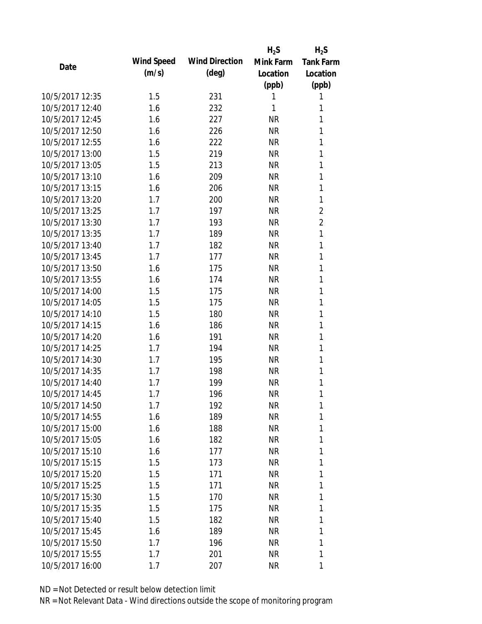|                 |            |                       | $H_2S$    | $H_2S$           |
|-----------------|------------|-----------------------|-----------|------------------|
| Date            | Wind Speed | <b>Wind Direction</b> | Mink Farm | <b>Tank Farm</b> |
|                 | (m/s)      | $(\text{deg})$        | Location  | Location         |
|                 |            |                       | (ppb)     | (ppb)            |
| 10/5/2017 12:35 | 1.5        | 231                   | 1         | 1                |
| 10/5/2017 12:40 | 1.6        | 232                   | 1         | 1                |
| 10/5/2017 12:45 | 1.6        | 227                   | <b>NR</b> | 1                |
| 10/5/2017 12:50 | 1.6        | 226                   | <b>NR</b> | 1                |
| 10/5/2017 12:55 | 1.6        | 222                   | <b>NR</b> | 1                |
| 10/5/2017 13:00 | 1.5        | 219                   | <b>NR</b> | 1                |
| 10/5/2017 13:05 | 1.5        | 213                   | <b>NR</b> | 1                |
| 10/5/2017 13:10 | 1.6        | 209                   | <b>NR</b> | 1                |
| 10/5/2017 13:15 | 1.6        | 206                   | <b>NR</b> | 1                |
| 10/5/2017 13:20 | 1.7        | 200                   | <b>NR</b> | 1                |
| 10/5/2017 13:25 | 1.7        | 197                   | <b>NR</b> | $\overline{2}$   |
| 10/5/2017 13:30 | 1.7        | 193                   | <b>NR</b> | $\overline{2}$   |
| 10/5/2017 13:35 | 1.7        | 189                   | <b>NR</b> | 1                |
| 10/5/2017 13:40 | 1.7        | 182                   | <b>NR</b> | 1                |
| 10/5/2017 13:45 | 1.7        | 177                   | <b>NR</b> | 1                |
| 10/5/2017 13:50 | 1.6        | 175                   | <b>NR</b> | 1                |
| 10/5/2017 13:55 | 1.6        | 174                   | <b>NR</b> | 1                |
| 10/5/2017 14:00 | 1.5        | 175                   | <b>NR</b> | 1                |
| 10/5/2017 14:05 | 1.5        | 175                   | <b>NR</b> | 1                |
| 10/5/2017 14:10 | 1.5        | 180                   | <b>NR</b> | 1                |
| 10/5/2017 14:15 | 1.6        | 186                   | <b>NR</b> | 1                |
| 10/5/2017 14:20 | 1.6        | 191                   | <b>NR</b> | 1                |
| 10/5/2017 14:25 | 1.7        | 194                   | <b>NR</b> | 1                |
| 10/5/2017 14:30 | 1.7        | 195                   | <b>NR</b> | 1                |
| 10/5/2017 14:35 | 1.7        | 198                   | <b>NR</b> | 1                |
| 10/5/2017 14:40 | 1.7        | 199                   | <b>NR</b> | 1                |
| 10/5/2017 14:45 | 1.7        | 196                   | <b>NR</b> | 1                |
| 10/5/2017 14:50 | 1.7        | 192                   | ΝR        | 1                |
| 10/5/2017 14:55 | 1.6        | 189                   | <b>NR</b> | 1                |
| 10/5/2017 15:00 | 1.6        | 188                   | <b>NR</b> | 1                |
| 10/5/2017 15:05 | 1.6        | 182                   | <b>NR</b> | 1                |
| 10/5/2017 15:10 | 1.6        | 177                   | <b>NR</b> | 1                |
| 10/5/2017 15:15 | 1.5        | 173                   | NR        | 1                |
| 10/5/2017 15:20 | 1.5        | 171                   | <b>NR</b> | 1                |
| 10/5/2017 15:25 | 1.5        | 171                   | <b>NR</b> | 1                |
| 10/5/2017 15:30 | 1.5        | 170                   | <b>NR</b> | 1                |
| 10/5/2017 15:35 | 1.5        | 175                   | NR        | 1                |
| 10/5/2017 15:40 | 1.5        | 182                   | NR        | 1                |
| 10/5/2017 15:45 | 1.6        | 189                   | <b>NR</b> | 1                |
| 10/5/2017 15:50 | 1.7        | 196                   | NR        | 1                |
| 10/5/2017 15:55 | 1.7        | 201                   | <b>NR</b> | 1                |
| 10/5/2017 16:00 | 1.7        | 207                   | <b>NR</b> | 1                |
|                 |            |                       |           |                  |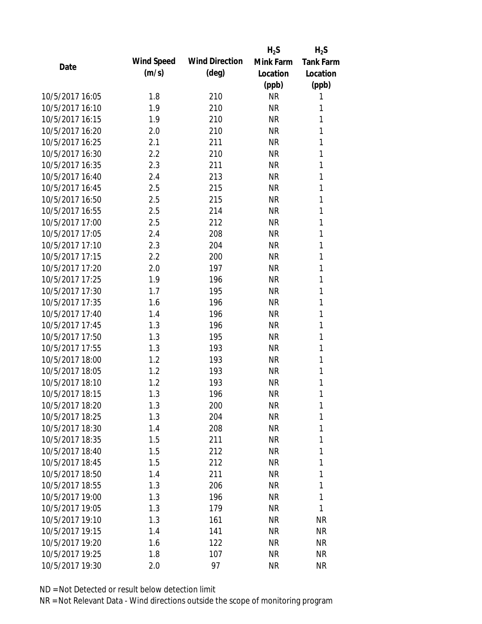|            |                       | $H_2S$    | $H_2S$           |
|------------|-----------------------|-----------|------------------|
| Wind Speed | <b>Wind Direction</b> | Mink Farm | <b>Tank Farm</b> |
| (m/s)      | $(\text{deg})$        | Location  | Location         |
|            |                       | (ppb)     | (ppb)            |
| 1.8        | 210                   | <b>NR</b> | 1                |
| 1.9        | 210                   | <b>NR</b> | 1                |
| 1.9        | 210                   | <b>NR</b> | 1                |
| 2.0        | 210                   | <b>NR</b> | 1                |
| 2.1        | 211                   | <b>NR</b> | 1                |
| 2.2        | 210                   | <b>NR</b> | 1                |
| 2.3        | 211                   | <b>NR</b> | 1                |
| 2.4        | 213                   | <b>NR</b> | 1                |
| 2.5        | 215                   | <b>NR</b> | 1                |
| 2.5        | 215                   | <b>NR</b> | 1                |
| 2.5        | 214                   | <b>NR</b> | 1                |
| 2.5        | 212                   | <b>NR</b> | 1                |
| 2.4        | 208                   | <b>NR</b> | 1                |
| 2.3        | 204                   | <b>NR</b> | 1                |
| 2.2        | 200                   | <b>NR</b> | 1                |
| 2.0        | 197                   | <b>NR</b> | 1                |
| 1.9        | 196                   | <b>NR</b> | 1                |
| 1.7        | 195                   | <b>NR</b> | 1                |
| 1.6        | 196                   | <b>NR</b> | 1                |
| 1.4        | 196                   | <b>NR</b> | 1                |
| 1.3        | 196                   | <b>NR</b> | 1                |
| 1.3        | 195                   | <b>NR</b> | 1                |
| 1.3        | 193                   | <b>NR</b> | 1                |
| 1.2        | 193                   | <b>NR</b> | 1                |
| 1.2        | 193                   | <b>NR</b> | 1                |
| 1.2        | 193                   | <b>NR</b> | 1                |
| 1.3        | 196                   | <b>NR</b> | 1                |
| 1.3        |                       | <b>NR</b> | 1                |
| 1.3        | 204                   | <b>NR</b> | 1                |
| 1.4        | 208                   | <b>NR</b> | 1                |
| 1.5        | 211                   | <b>NR</b> | 1                |
| 1.5        | 212                   | NR        | 1                |
| 1.5        | 212                   | NR        | 1                |
| 1.4        | 211                   | <b>NR</b> | 1                |
| 1.3        | 206                   | NR        | 1                |
| 1.3        | 196                   | NR        | 1                |
| 1.3        | 179                   | NR        | 1                |
| 1.3        | 161                   | NR        | <b>NR</b>        |
| 1.4        | 141                   | <b>NR</b> | <b>NR</b>        |
| 1.6        | 122                   | NR        | <b>NR</b>        |
| 1.8        | 107                   | <b>NR</b> | <b>NR</b>        |
| 2.0        | 97                    | <b>NR</b> | <b>NR</b>        |
|            |                       | 200       |                  |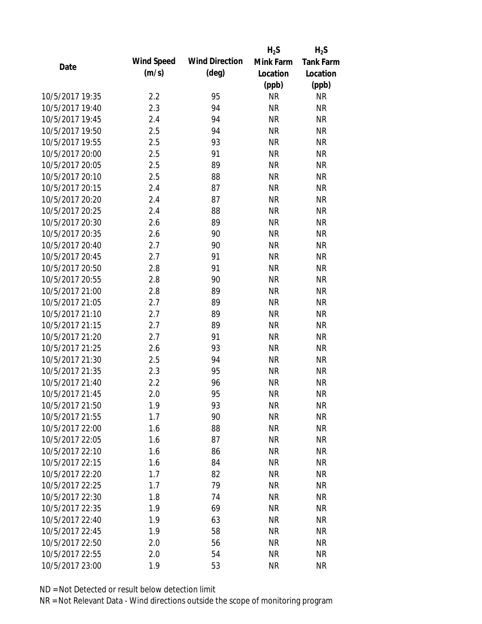|                 |            |                       | $H_2S$    | $H_2S$           |
|-----------------|------------|-----------------------|-----------|------------------|
| Date            | Wind Speed | <b>Wind Direction</b> | Mink Farm | <b>Tank Farm</b> |
|                 | (m/s)      | $(\text{deg})$        | Location  | Location         |
|                 |            |                       | (ppb)     | (ppb)            |
| 10/5/2017 19:35 | 2.2        | 95                    | <b>NR</b> | <b>NR</b>        |
| 10/5/2017 19:40 | 2.3        | 94                    | <b>NR</b> | <b>NR</b>        |
| 10/5/2017 19:45 | 2.4        | 94                    | <b>NR</b> | <b>NR</b>        |
| 10/5/2017 19:50 | 2.5        | 94                    | <b>NR</b> | <b>NR</b>        |
| 10/5/2017 19:55 | 2.5        | 93                    | <b>NR</b> | <b>NR</b>        |
| 10/5/2017 20:00 | 2.5        | 91                    | <b>NR</b> | <b>NR</b>        |
| 10/5/2017 20:05 | 2.5        | 89                    | <b>NR</b> | <b>NR</b>        |
| 10/5/2017 20:10 | 2.5        | 88                    | <b>NR</b> | <b>NR</b>        |
| 10/5/2017 20:15 | 2.4        | 87                    | <b>NR</b> | <b>NR</b>        |
| 10/5/2017 20:20 | 2.4        | 87                    | <b>NR</b> | <b>NR</b>        |
| 10/5/2017 20:25 | 2.4        | 88                    | <b>NR</b> | <b>NR</b>        |
| 10/5/2017 20:30 | 2.6        | 89                    | <b>NR</b> | <b>NR</b>        |
| 10/5/2017 20:35 | 2.6        | 90                    | <b>NR</b> | <b>NR</b>        |
| 10/5/2017 20:40 | 2.7        | 90                    | <b>NR</b> | <b>NR</b>        |
| 10/5/2017 20:45 | 2.7        | 91                    | <b>NR</b> | <b>NR</b>        |
| 10/5/2017 20:50 | 2.8        | 91                    | <b>NR</b> | <b>NR</b>        |
| 10/5/2017 20:55 | 2.8        | 90                    | <b>NR</b> | <b>NR</b>        |
| 10/5/2017 21:00 | 2.8        | 89                    | <b>NR</b> | <b>NR</b>        |
| 10/5/2017 21:05 | 2.7        | 89                    | <b>NR</b> | <b>NR</b>        |
| 10/5/2017 21:10 | 2.7        | 89                    | <b>NR</b> | <b>NR</b>        |
| 10/5/2017 21:15 | 2.7        | 89                    | <b>NR</b> | <b>NR</b>        |
| 10/5/2017 21:20 | 2.7        | 91                    | <b>NR</b> | <b>NR</b>        |
| 10/5/2017 21:25 | 2.6        | 93                    | <b>NR</b> | <b>NR</b>        |
| 10/5/2017 21:30 | 2.5        | 94                    | <b>NR</b> | <b>NR</b>        |
| 10/5/2017 21:35 | 2.3        | 95                    | <b>NR</b> | <b>NR</b>        |
| 10/5/2017 21:40 | 2.2        | 96                    | <b>NR</b> | <b>NR</b>        |
| 10/5/2017 21:45 | 2.0        | 95                    | <b>NR</b> | <b>NR</b>        |
| 10/5/2017 21:50 | 1.9        | 93                    | <b>NR</b> | <b>NR</b>        |
| 10/5/2017 21:55 | 1.7        | 90                    | <b>NR</b> | <b>NR</b>        |
| 10/5/2017 22:00 | 1.6        | 88                    | <b>NR</b> | <b>NR</b>        |
| 10/5/2017 22:05 | 1.6        | 87                    | <b>NR</b> | <b>NR</b>        |
| 10/5/2017 22:10 | 1.6        | 86                    | <b>NR</b> | <b>NR</b>        |
| 10/5/2017 22:15 | 1.6        | 84                    | <b>NR</b> | <b>NR</b>        |
| 10/5/2017 22:20 | 1.7        | 82                    | <b>NR</b> | <b>NR</b>        |
| 10/5/2017 22:25 | 1.7        | 79                    | <b>NR</b> | <b>NR</b>        |
| 10/5/2017 22:30 | 1.8        | 74                    | <b>NR</b> | <b>NR</b>        |
| 10/5/2017 22:35 | 1.9        | 69                    | <b>NR</b> | <b>NR</b>        |
| 10/5/2017 22:40 | 1.9        | 63                    | <b>NR</b> | <b>NR</b>        |
| 10/5/2017 22:45 | 1.9        | 58                    | <b>NR</b> | <b>NR</b>        |
| 10/5/2017 22:50 | 2.0        | 56                    | <b>NR</b> | <b>NR</b>        |
| 10/5/2017 22:55 | 2.0        | 54                    | <b>NR</b> | <b>NR</b>        |
| 10/5/2017 23:00 | 1.9        | 53                    | <b>NR</b> | <b>NR</b>        |
|                 |            |                       |           |                  |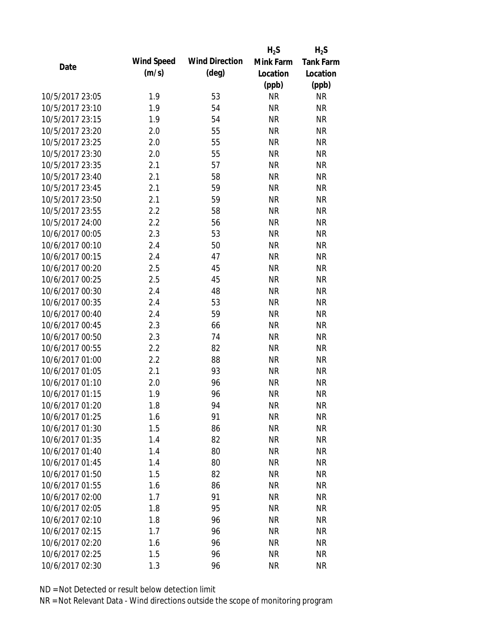|                 |            |                       | $H_2S$    | $H_2S$           |
|-----------------|------------|-----------------------|-----------|------------------|
| Date            | Wind Speed | <b>Wind Direction</b> | Mink Farm | <b>Tank Farm</b> |
|                 | (m/s)      | $(\text{deg})$        | Location  | Location         |
|                 |            |                       | (ppb)     | (ppb)            |
| 10/5/2017 23:05 | 1.9        | 53                    | <b>NR</b> | <b>NR</b>        |
| 10/5/2017 23:10 | 1.9        | 54                    | <b>NR</b> | <b>NR</b>        |
| 10/5/2017 23:15 | 1.9        | 54                    | <b>NR</b> | <b>NR</b>        |
| 10/5/2017 23:20 | 2.0        | 55                    | <b>NR</b> | <b>NR</b>        |
| 10/5/2017 23:25 | 2.0        | 55                    | <b>NR</b> | <b>NR</b>        |
| 10/5/2017 23:30 | 2.0        | 55                    | <b>NR</b> | <b>NR</b>        |
| 10/5/2017 23:35 | 2.1        | 57                    | <b>NR</b> | <b>NR</b>        |
| 10/5/2017 23:40 | 2.1        | 58                    | <b>NR</b> | <b>NR</b>        |
| 10/5/2017 23:45 | 2.1        | 59                    | <b>NR</b> | <b>NR</b>        |
| 10/5/2017 23:50 | 2.1        | 59                    | <b>NR</b> | <b>NR</b>        |
| 10/5/2017 23:55 | 2.2        | 58                    | <b>NR</b> | <b>NR</b>        |
| 10/5/2017 24:00 | 2.2        | 56                    | <b>NR</b> | <b>NR</b>        |
| 10/6/2017 00:05 | 2.3        | 53                    | <b>NR</b> | <b>NR</b>        |
| 10/6/2017 00:10 | 2.4        | 50                    | <b>NR</b> | <b>NR</b>        |
| 10/6/2017 00:15 | 2.4        | 47                    | <b>NR</b> | <b>NR</b>        |
| 10/6/2017 00:20 | 2.5        | 45                    | <b>NR</b> | <b>NR</b>        |
| 10/6/2017 00:25 | 2.5        | 45                    | <b>NR</b> | <b>NR</b>        |
| 10/6/2017 00:30 | 2.4        | 48                    | <b>NR</b> | <b>NR</b>        |
| 10/6/2017 00:35 | 2.4        | 53                    | <b>NR</b> | <b>NR</b>        |
| 10/6/2017 00:40 | 2.4        | 59                    | <b>NR</b> | <b>NR</b>        |
| 10/6/2017 00:45 | 2.3        | 66                    | <b>NR</b> | <b>NR</b>        |
| 10/6/2017 00:50 | 2.3        | 74                    | <b>NR</b> | <b>NR</b>        |
| 10/6/2017 00:55 | 2.2        | 82                    | <b>NR</b> | <b>NR</b>        |
| 10/6/2017 01:00 | 2.2        | 88                    | <b>NR</b> | <b>NR</b>        |
| 10/6/2017 01:05 | 2.1        | 93                    | <b>NR</b> | <b>NR</b>        |
| 10/6/2017 01:10 | 2.0        | 96                    | <b>NR</b> | <b>NR</b>        |
| 10/6/2017 01:15 | 1.9        | 96                    | <b>NR</b> | <b>NR</b>        |
| 10/6/2017 01:20 | 1.8        | 94                    | <b>NR</b> | <b>NR</b>        |
| 10/6/2017 01:25 | 1.6        | 91                    | <b>NR</b> | <b>NR</b>        |
| 10/6/2017 01:30 | 1.5        | 86                    | <b>NR</b> | <b>NR</b>        |
| 10/6/2017 01:35 | 1.4        | 82                    | <b>NR</b> | <b>NR</b>        |
| 10/6/2017 01:40 | 1.4        | 80                    | <b>NR</b> | <b>NR</b>        |
| 10/6/2017 01:45 | 1.4        | 80                    | <b>NR</b> | <b>NR</b>        |
| 10/6/2017 01:50 | 1.5        | 82                    | <b>NR</b> | <b>NR</b>        |
| 10/6/2017 01:55 | 1.6        | 86                    | <b>NR</b> | <b>NR</b>        |
| 10/6/2017 02:00 | 1.7        | 91                    | <b>NR</b> | <b>NR</b>        |
| 10/6/2017 02:05 | 1.8        | 95                    | <b>NR</b> | <b>NR</b>        |
| 10/6/2017 02:10 | 1.8        | 96                    | <b>NR</b> | <b>NR</b>        |
| 10/6/2017 02:15 | 1.7        | 96                    | <b>NR</b> | <b>NR</b>        |
| 10/6/2017 02:20 | 1.6        | 96                    | ΝR        | <b>NR</b>        |
| 10/6/2017 02:25 | 1.5        | 96                    | <b>NR</b> | <b>NR</b>        |
| 10/6/2017 02:30 | 1.3        | 96                    | <b>NR</b> | <b>NR</b>        |
|                 |            |                       |           |                  |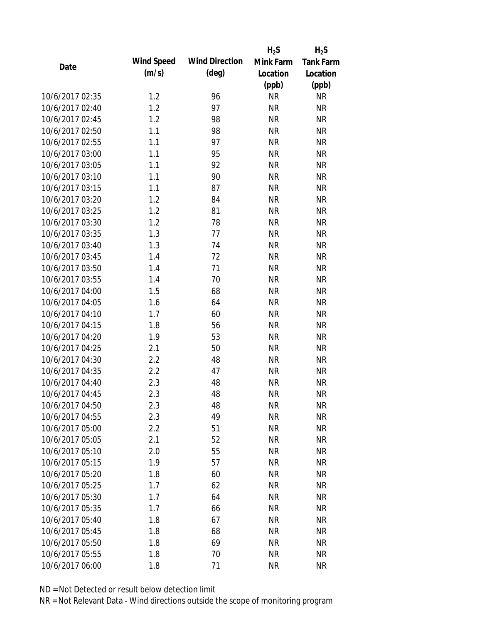|                 |            |                       | $H_2S$    | $H_2S$           |
|-----------------|------------|-----------------------|-----------|------------------|
| Date            | Wind Speed | <b>Wind Direction</b> | Mink Farm | <b>Tank Farm</b> |
|                 | (m/s)      | $(\text{deg})$        | Location  | Location         |
|                 |            |                       | (ppb)     | (ppb)            |
| 10/6/2017 02:35 | 1.2        | 96                    | <b>NR</b> | <b>NR</b>        |
| 10/6/2017 02:40 | 1.2        | 97                    | <b>NR</b> | <b>NR</b>        |
| 10/6/2017 02:45 | 1.2        | 98                    | <b>NR</b> | <b>NR</b>        |
| 10/6/2017 02:50 | 1.1        | 98                    | <b>NR</b> | <b>NR</b>        |
| 10/6/2017 02:55 | 1.1        | 97                    | <b>NR</b> | <b>NR</b>        |
| 10/6/2017 03:00 | 1.1        | 95                    | <b>NR</b> | <b>NR</b>        |
| 10/6/2017 03:05 | 1.1        | 92                    | <b>NR</b> | <b>NR</b>        |
| 10/6/2017 03:10 | 1.1        | 90                    | <b>NR</b> | <b>NR</b>        |
| 10/6/2017 03:15 | 1.1        | 87                    | <b>NR</b> | <b>NR</b>        |
| 10/6/2017 03:20 | 1.2        | 84                    | <b>NR</b> | <b>NR</b>        |
| 10/6/2017 03:25 | 1.2        | 81                    | <b>NR</b> | <b>NR</b>        |
| 10/6/2017 03:30 | 1.2        | 78                    | <b>NR</b> | <b>NR</b>        |
| 10/6/2017 03:35 | 1.3        | 77                    | <b>NR</b> | <b>NR</b>        |
| 10/6/2017 03:40 | 1.3        | 74                    | <b>NR</b> | <b>NR</b>        |
| 10/6/2017 03:45 | 1.4        | 72                    | <b>NR</b> | <b>NR</b>        |
| 10/6/2017 03:50 | 1.4        | 71                    | <b>NR</b> | <b>NR</b>        |
| 10/6/2017 03:55 | 1.4        | 70                    | <b>NR</b> | <b>NR</b>        |
| 10/6/2017 04:00 | 1.5        | 68                    | <b>NR</b> | <b>NR</b>        |
| 10/6/2017 04:05 | 1.6        | 64                    | <b>NR</b> | <b>NR</b>        |
| 10/6/2017 04:10 | 1.7        | 60                    | <b>NR</b> | <b>NR</b>        |
| 10/6/2017 04:15 | 1.8        | 56                    | <b>NR</b> | <b>NR</b>        |
| 10/6/2017 04:20 | 1.9        | 53                    | <b>NR</b> | <b>NR</b>        |
| 10/6/2017 04:25 | 2.1        | 50                    | <b>NR</b> | <b>NR</b>        |
| 10/6/2017 04:30 | 2.2        | 48                    | <b>NR</b> | <b>NR</b>        |
| 10/6/2017 04:35 | 2.2        | 47                    | <b>NR</b> | <b>NR</b>        |
| 10/6/2017 04:40 | 2.3        | 48                    | <b>NR</b> | <b>NR</b>        |
| 10/6/2017 04:45 | 2.3        | 48                    | <b>NR</b> | <b>NR</b>        |
| 10/6/2017 04:50 | 2.3        | 48                    | <b>NR</b> | <b>NR</b>        |
| 10/6/2017 04:55 | 2.3        | 49                    | <b>NR</b> | <b>NR</b>        |
| 10/6/2017 05:00 | 2.2        | 51                    | <b>NR</b> | <b>NR</b>        |
| 10/6/2017 05:05 | 2.1        | 52                    | <b>NR</b> | <b>NR</b>        |
| 10/6/2017 05:10 | 2.0        | 55                    | <b>NR</b> | <b>NR</b>        |
| 10/6/2017 05:15 | 1.9        | 57                    | <b>NR</b> | <b>NR</b>        |
| 10/6/2017 05:20 | 1.8        | 60                    | <b>NR</b> | <b>NR</b>        |
| 10/6/2017 05:25 |            |                       |           |                  |
|                 | 1.7        | 62                    | <b>NR</b> | <b>NR</b>        |
| 10/6/2017 05:30 | 1.7        | 64                    | <b>NR</b> | <b>NR</b>        |
| 10/6/2017 05:35 | 1.7        | 66                    | <b>NR</b> | <b>NR</b>        |
| 10/6/2017 05:40 | 1.8        | 67                    | <b>NR</b> | <b>NR</b>        |
| 10/6/2017 05:45 | 1.8        | 68                    | <b>NR</b> | <b>NR</b>        |
| 10/6/2017 05:50 | 1.8        | 69                    | <b>NR</b> | <b>NR</b>        |
| 10/6/2017 05:55 | 1.8        | 70                    | <b>NR</b> | <b>NR</b>        |
| 10/6/2017 06:00 | 1.8        | 71                    | <b>NR</b> | <b>NR</b>        |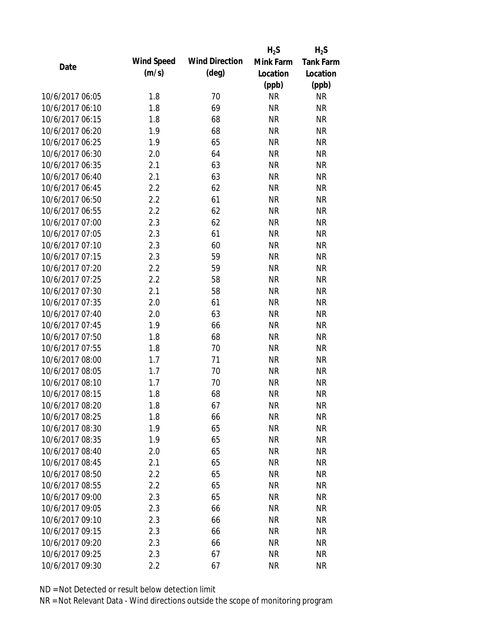|                 |            |                       | $H_2S$    | $H_2S$           |
|-----------------|------------|-----------------------|-----------|------------------|
| Date            | Wind Speed | <b>Wind Direction</b> | Mink Farm | <b>Tank Farm</b> |
|                 | (m/s)      | $(\text{deg})$        | Location  | Location         |
|                 |            |                       | (ppb)     | (ppb)            |
| 10/6/2017 06:05 | 1.8        | 70                    | <b>NR</b> | <b>NR</b>        |
| 10/6/2017 06:10 | 1.8        | 69                    | <b>NR</b> | <b>NR</b>        |
| 10/6/2017 06:15 | 1.8        | 68                    | <b>NR</b> | <b>NR</b>        |
| 10/6/2017 06:20 | 1.9        | 68                    | <b>NR</b> | <b>NR</b>        |
| 10/6/2017 06:25 | 1.9        | 65                    | <b>NR</b> | <b>NR</b>        |
| 10/6/2017 06:30 | 2.0        | 64                    | <b>NR</b> | <b>NR</b>        |
| 10/6/2017 06:35 | 2.1        | 63                    | <b>NR</b> | <b>NR</b>        |
| 10/6/2017 06:40 | 2.1        | 63                    | <b>NR</b> | <b>NR</b>        |
| 10/6/2017 06:45 | 2.2        | 62                    | <b>NR</b> | <b>NR</b>        |
| 10/6/2017 06:50 | 2.2        | 61                    | <b>NR</b> | <b>NR</b>        |
| 10/6/2017 06:55 | 2.2        | 62                    | <b>NR</b> | <b>NR</b>        |
| 10/6/2017 07:00 | 2.3        | 62                    | <b>NR</b> | <b>NR</b>        |
| 10/6/2017 07:05 | 2.3        | 61                    | <b>NR</b> | <b>NR</b>        |
| 10/6/2017 07:10 | 2.3        | 60                    | <b>NR</b> | <b>NR</b>        |
| 10/6/2017 07:15 | 2.3        | 59                    | <b>NR</b> | <b>NR</b>        |
| 10/6/2017 07:20 | 2.2        | 59                    | <b>NR</b> | <b>NR</b>        |
| 10/6/2017 07:25 | 2.2        | 58                    | <b>NR</b> | <b>NR</b>        |
| 10/6/2017 07:30 | 2.1        | 58                    | <b>NR</b> | <b>NR</b>        |
| 10/6/2017 07:35 | 2.0        | 61                    | <b>NR</b> | <b>NR</b>        |
| 10/6/2017 07:40 | 2.0        | 63                    | <b>NR</b> | <b>NR</b>        |
| 10/6/2017 07:45 | 1.9        | 66                    | <b>NR</b> | <b>NR</b>        |
| 10/6/2017 07:50 | 1.8        | 68                    | <b>NR</b> | <b>NR</b>        |
| 10/6/2017 07:55 | 1.8        | 70                    | <b>NR</b> | <b>NR</b>        |
| 10/6/2017 08:00 | 1.7        | 71                    | <b>NR</b> | <b>NR</b>        |
| 10/6/2017 08:05 | 1.7        | 70                    | <b>NR</b> | <b>NR</b>        |
| 10/6/2017 08:10 | 1.7        | 70                    | <b>NR</b> | <b>NR</b>        |
| 10/6/2017 08:15 | 1.8        | 68                    | <b>NR</b> | <b>NR</b>        |
| 10/6/2017 08:20 | 1.8        | 67                    | <b>NR</b> | <b>NR</b>        |
| 10/6/2017 08:25 | 1.8        | 66                    | <b>NR</b> | <b>NR</b>        |
| 10/6/2017 08:30 | 1.9        | 65                    | <b>NR</b> | <b>NR</b>        |
| 10/6/2017 08:35 | 1.9        | 65                    | <b>NR</b> | <b>NR</b>        |
| 10/6/2017 08:40 | 2.0        | 65                    | <b>NR</b> | <b>NR</b>        |
| 10/6/2017 08:45 | 2.1        | 65                    | <b>NR</b> | <b>NR</b>        |
| 10/6/2017 08:50 | 2.2        | 65                    | <b>NR</b> | <b>NR</b>        |
| 10/6/2017 08:55 | 2.2        | 65                    | <b>NR</b> | <b>NR</b>        |
| 10/6/2017 09:00 | 2.3        | 65                    | <b>NR</b> | <b>NR</b>        |
| 10/6/2017 09:05 | 2.3        | 66                    | <b>NR</b> | <b>NR</b>        |
| 10/6/2017 09:10 | 2.3        | 66                    | <b>NR</b> | <b>NR</b>        |
| 10/6/2017 09:15 | 2.3        | 66                    | <b>NR</b> | <b>NR</b>        |
| 10/6/2017 09:20 | 2.3        | 66                    | ΝR        | <b>NR</b>        |
| 10/6/2017 09:25 | 2.3        | 67                    | <b>NR</b> | <b>NR</b>        |
| 10/6/2017 09:30 | 2.2        | 67                    | <b>NR</b> | <b>NR</b>        |
|                 |            |                       |           |                  |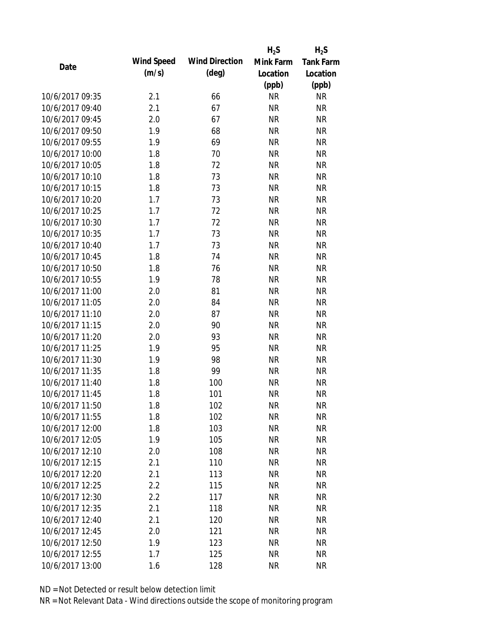|                 |            |                       | $H_2S$    | $H_2S$           |
|-----------------|------------|-----------------------|-----------|------------------|
| Date            | Wind Speed | <b>Wind Direction</b> | Mink Farm | <b>Tank Farm</b> |
|                 | (m/s)      | $(\text{deg})$        | Location  | Location         |
|                 |            |                       | (ppb)     | (ppb)            |
| 10/6/2017 09:35 | 2.1        | 66                    | <b>NR</b> | <b>NR</b>        |
| 10/6/2017 09:40 | 2.1        | 67                    | <b>NR</b> | <b>NR</b>        |
| 10/6/2017 09:45 | 2.0        | 67                    | <b>NR</b> | <b>NR</b>        |
| 10/6/2017 09:50 | 1.9        | 68                    | <b>NR</b> | <b>NR</b>        |
| 10/6/2017 09:55 | 1.9        | 69                    | <b>NR</b> | <b>NR</b>        |
| 10/6/2017 10:00 | 1.8        | 70                    | <b>NR</b> | <b>NR</b>        |
| 10/6/2017 10:05 | 1.8        | 72                    | <b>NR</b> | <b>NR</b>        |
| 10/6/2017 10:10 | 1.8        | 73                    | <b>NR</b> | <b>NR</b>        |
| 10/6/2017 10:15 | 1.8        | 73                    | <b>NR</b> | <b>NR</b>        |
| 10/6/2017 10:20 | 1.7        | 73                    | <b>NR</b> | <b>NR</b>        |
| 10/6/2017 10:25 | 1.7        | 72                    | <b>NR</b> | <b>NR</b>        |
| 10/6/2017 10:30 | 1.7        | 72                    | <b>NR</b> | <b>NR</b>        |
| 10/6/2017 10:35 | 1.7        | 73                    | <b>NR</b> | <b>NR</b>        |
| 10/6/2017 10:40 | 1.7        | 73                    | <b>NR</b> | <b>NR</b>        |
| 10/6/2017 10:45 | 1.8        | 74                    | <b>NR</b> | <b>NR</b>        |
| 10/6/2017 10:50 | 1.8        | 76                    | <b>NR</b> | <b>NR</b>        |
| 10/6/2017 10:55 | 1.9        | 78                    | <b>NR</b> | <b>NR</b>        |
| 10/6/2017 11:00 | 2.0        | 81                    | <b>NR</b> | <b>NR</b>        |
| 10/6/2017 11:05 | 2.0        | 84                    | <b>NR</b> | <b>NR</b>        |
| 10/6/2017 11:10 | 2.0        | 87                    | <b>NR</b> | <b>NR</b>        |
| 10/6/2017 11:15 | 2.0        | 90                    | <b>NR</b> | <b>NR</b>        |
| 10/6/2017 11:20 | 2.0        | 93                    | <b>NR</b> | <b>NR</b>        |
| 10/6/2017 11:25 | 1.9        | 95                    | <b>NR</b> | <b>NR</b>        |
| 10/6/2017 11:30 | 1.9        | 98                    | <b>NR</b> | <b>NR</b>        |
| 10/6/2017 11:35 | 1.8        | 99                    | <b>NR</b> | <b>NR</b>        |
| 10/6/2017 11:40 | 1.8        | 100                   | <b>NR</b> | <b>NR</b>        |
| 10/6/2017 11:45 | 1.8        | 101                   | <b>NR</b> | <b>NR</b>        |
| 10/6/2017 11:50 | 1.8        | 102                   | ΝR        | <b>NR</b>        |
| 10/6/2017 11:55 | 1.8        | 102                   | <b>NR</b> | <b>NR</b>        |
| 10/6/2017 12:00 | 1.8        | 103                   | <b>NR</b> | <b>NR</b>        |
| 10/6/2017 12:05 | 1.9        | 105                   | <b>NR</b> | <b>NR</b>        |
| 10/6/2017 12:10 | 2.0        | 108                   | <b>NR</b> | <b>NR</b>        |
| 10/6/2017 12:15 | 2.1        | 110                   | <b>NR</b> | <b>NR</b>        |
| 10/6/2017 12:20 | 2.1        | 113                   | <b>NR</b> | <b>NR</b>        |
| 10/6/2017 12:25 | 2.2        | 115                   | <b>NR</b> | <b>NR</b>        |
| 10/6/2017 12:30 | 2.2        | 117                   | <b>NR</b> | <b>NR</b>        |
| 10/6/2017 12:35 | 2.1        | 118                   | <b>NR</b> | <b>NR</b>        |
| 10/6/2017 12:40 | 2.1        | 120                   | <b>NR</b> | <b>NR</b>        |
| 10/6/2017 12:45 | 2.0        | 121                   | <b>NR</b> | <b>NR</b>        |
| 10/6/2017 12:50 | 1.9        | 123                   | <b>NR</b> | <b>NR</b>        |
| 10/6/2017 12:55 | 1.7        | 125                   | <b>NR</b> | <b>NR</b>        |
| 10/6/2017 13:00 | 1.6        | 128                   | <b>NR</b> | <b>NR</b>        |
|                 |            |                       |           |                  |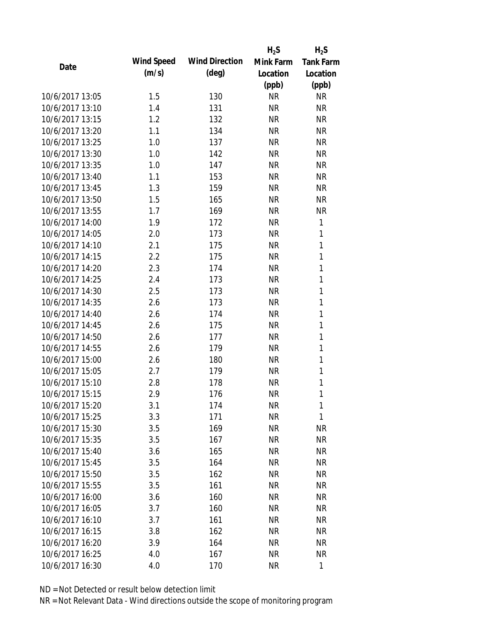|                 |            |                       | $H_2S$    | $H_2S$           |
|-----------------|------------|-----------------------|-----------|------------------|
| Date            | Wind Speed | <b>Wind Direction</b> | Mink Farm | <b>Tank Farm</b> |
|                 | (m/s)      | $(\text{deg})$        | Location  | Location         |
|                 |            |                       | (ppb)     | (ppb)            |
| 10/6/2017 13:05 | 1.5        | 130                   | <b>NR</b> | <b>NR</b>        |
| 10/6/2017 13:10 | 1.4        | 131                   | <b>NR</b> | <b>NR</b>        |
| 10/6/2017 13:15 | 1.2        | 132                   | <b>NR</b> | <b>NR</b>        |
| 10/6/2017 13:20 | 1.1        | 134                   | <b>NR</b> | <b>NR</b>        |
| 10/6/2017 13:25 | 1.0        | 137                   | <b>NR</b> | <b>NR</b>        |
| 10/6/2017 13:30 | 1.0        | 142                   | <b>NR</b> | <b>NR</b>        |
| 10/6/2017 13:35 | 1.0        | 147                   | <b>NR</b> | <b>NR</b>        |
| 10/6/2017 13:40 | 1.1        | 153                   | <b>NR</b> | <b>NR</b>        |
| 10/6/2017 13:45 | 1.3        | 159                   | <b>NR</b> | <b>NR</b>        |
| 10/6/2017 13:50 | 1.5        | 165                   | <b>NR</b> | <b>NR</b>        |
| 10/6/2017 13:55 | 1.7        | 169                   | <b>NR</b> | <b>NR</b>        |
| 10/6/2017 14:00 | 1.9        | 172                   | <b>NR</b> | 1                |
| 10/6/2017 14:05 | 2.0        | 173                   | <b>NR</b> | 1                |
| 10/6/2017 14:10 | 2.1        | 175                   | <b>NR</b> | 1                |
| 10/6/2017 14:15 | 2.2        | 175                   | <b>NR</b> | 1                |
| 10/6/2017 14:20 | 2.3        | 174                   | <b>NR</b> | 1                |
| 10/6/2017 14:25 | 2.4        | 173                   | <b>NR</b> | 1                |
| 10/6/2017 14:30 | 2.5        | 173                   | <b>NR</b> | 1                |
| 10/6/2017 14:35 | 2.6        | 173                   | <b>NR</b> | 1                |
| 10/6/2017 14:40 | 2.6        | 174                   | <b>NR</b> | 1                |
| 10/6/2017 14:45 | 2.6        | 175                   | <b>NR</b> | 1                |
| 10/6/2017 14:50 | 2.6        | 177                   | <b>NR</b> | 1                |
| 10/6/2017 14:55 | 2.6        | 179                   | <b>NR</b> | 1                |
| 10/6/2017 15:00 | 2.6        | 180                   | <b>NR</b> | 1                |
| 10/6/2017 15:05 | 2.7        | 179                   | <b>NR</b> | 1                |
| 10/6/2017 15:10 | 2.8        | 178                   | <b>NR</b> | 1                |
| 10/6/2017 15:15 | 2.9        | 176                   | <b>NR</b> | 1                |
| 10/6/2017 15:20 | 3.1        | 174                   | ΝR        | 1                |
| 10/6/2017 15:25 | 3.3        | 171                   | <b>NR</b> | 1                |
| 10/6/2017 15:30 | 3.5        | 169                   | <b>NR</b> | <b>NR</b>        |
| 10/6/2017 15:35 | 3.5        | 167                   | <b>NR</b> | <b>NR</b>        |
| 10/6/2017 15:40 | 3.6        | 165                   | <b>NR</b> | <b>NR</b>        |
| 10/6/2017 15:45 | 3.5        | 164                   | <b>NR</b> | <b>NR</b>        |
| 10/6/2017 15:50 | 3.5        | 162                   | <b>NR</b> | <b>NR</b>        |
| 10/6/2017 15:55 | 3.5        | 161                   | <b>NR</b> | <b>NR</b>        |
| 10/6/2017 16:00 | 3.6        | 160                   | <b>NR</b> | <b>NR</b>        |
| 10/6/2017 16:05 | 3.7        | 160                   | <b>NR</b> | <b>NR</b>        |
| 10/6/2017 16:10 | 3.7        | 161                   | <b>NR</b> | <b>NR</b>        |
| 10/6/2017 16:15 | 3.8        | 162                   | <b>NR</b> | <b>NR</b>        |
| 10/6/2017 16:20 | 3.9        | 164                   | ΝR        | <b>NR</b>        |
| 10/6/2017 16:25 | 4.0        | 167                   | <b>NR</b> | <b>NR</b>        |
| 10/6/2017 16:30 | 4.0        | 170                   | <b>NR</b> | 1                |
|                 |            |                       |           |                  |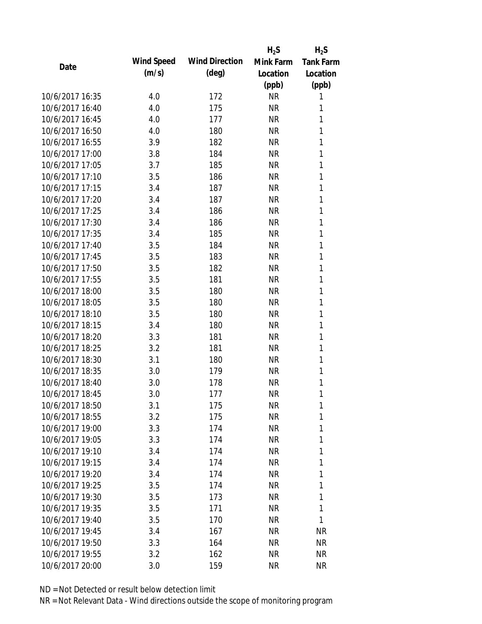|                 |            |                       | $H_2S$    | $H_2S$           |
|-----------------|------------|-----------------------|-----------|------------------|
| Date            | Wind Speed | <b>Wind Direction</b> | Mink Farm | <b>Tank Farm</b> |
|                 | (m/s)      | $(\text{deg})$        | Location  | Location         |
|                 |            |                       | (ppb)     | (ppb)            |
| 10/6/2017 16:35 | 4.0        | 172                   | <b>NR</b> | 1                |
| 10/6/2017 16:40 | 4.0        | 175                   | <b>NR</b> | 1                |
| 10/6/2017 16:45 | 4.0        | 177                   | <b>NR</b> | 1                |
| 10/6/2017 16:50 | 4.0        | 180                   | <b>NR</b> | 1                |
| 10/6/2017 16:55 | 3.9        | 182                   | <b>NR</b> | 1                |
| 10/6/2017 17:00 | 3.8        | 184                   | <b>NR</b> | 1                |
| 10/6/2017 17:05 | 3.7        | 185                   | <b>NR</b> | 1                |
| 10/6/2017 17:10 | 3.5        | 186                   | <b>NR</b> | 1                |
| 10/6/2017 17:15 | 3.4        | 187                   | <b>NR</b> | 1                |
| 10/6/2017 17:20 | 3.4        | 187                   | <b>NR</b> | 1                |
| 10/6/2017 17:25 | 3.4        | 186                   | <b>NR</b> | 1                |
| 10/6/2017 17:30 | 3.4        | 186                   | <b>NR</b> | 1                |
| 10/6/2017 17:35 | 3.4        | 185                   | <b>NR</b> | 1                |
| 10/6/2017 17:40 | 3.5        | 184                   | <b>NR</b> | 1                |
| 10/6/2017 17:45 | 3.5        | 183                   | <b>NR</b> | 1                |
| 10/6/2017 17:50 | 3.5        | 182                   | <b>NR</b> | 1                |
| 10/6/2017 17:55 | 3.5        | 181                   | <b>NR</b> | 1                |
| 10/6/2017 18:00 | 3.5        | 180                   | <b>NR</b> | 1                |
| 10/6/2017 18:05 | 3.5        | 180                   | <b>NR</b> | 1                |
| 10/6/2017 18:10 | 3.5        | 180                   | <b>NR</b> | 1                |
| 10/6/2017 18:15 | 3.4        | 180                   | <b>NR</b> | 1                |
| 10/6/2017 18:20 | 3.3        | 181                   | <b>NR</b> | 1                |
| 10/6/2017 18:25 | 3.2        | 181                   | <b>NR</b> | 1                |
| 10/6/2017 18:30 | 3.1        | 180                   | <b>NR</b> | 1                |
| 10/6/2017 18:35 | 3.0        | 179                   | <b>NR</b> | 1                |
| 10/6/2017 18:40 | 3.0        | 178                   | <b>NR</b> | 1                |
| 10/6/2017 18:45 | 3.0        | 177                   | <b>NR</b> | 1                |
| 10/6/2017 18:50 | 3.1        | 175                   | <b>NR</b> | 1                |
| 10/6/2017 18:55 | 3.2        | 175                   | <b>NR</b> | 1                |
| 10/6/2017 19:00 | 3.3        | 174                   | <b>NR</b> | 1                |
| 10/6/2017 19:05 | 3.3        | 174                   | <b>NR</b> | 1                |
| 10/6/2017 19:10 | 3.4        | 174                   | <b>NR</b> | 1                |
| 10/6/2017 19:15 | 3.4        | 174                   | <b>NR</b> | 1                |
| 10/6/2017 19:20 | 3.4        | 174                   | <b>NR</b> | 1                |
| 10/6/2017 19:25 | 3.5        | 174                   | <b>NR</b> | 1                |
| 10/6/2017 19:30 | 3.5        | 173                   | NR        | 1                |
|                 |            |                       |           | 1                |
| 10/6/2017 19:35 | 3.5        | 171                   | <b>NR</b> | 1                |
| 10/6/2017 19:40 | 3.5        | 170                   | NR        |                  |
| 10/6/2017 19:45 | 3.4        | 167                   | <b>NR</b> | <b>NR</b>        |
| 10/6/2017 19:50 | 3.3        | 164                   | NR        | <b>NR</b>        |
| 10/6/2017 19:55 | 3.2        | 162                   | <b>NR</b> | <b>NR</b>        |
| 10/6/2017 20:00 | 3.0        | 159                   | <b>NR</b> | <b>NR</b>        |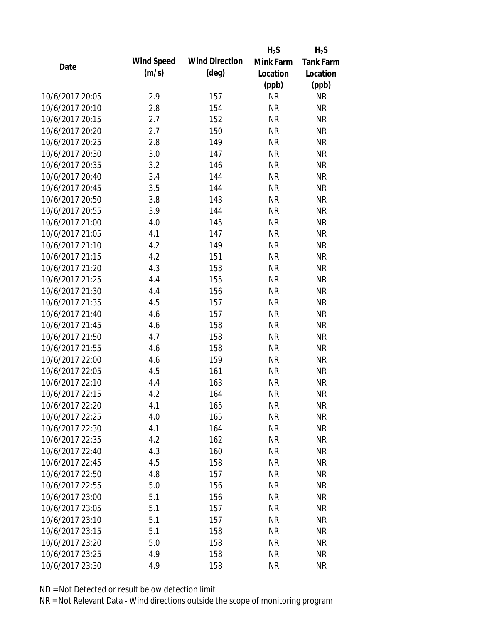|                 |            |                       | $H_2S$    | $H_2S$           |
|-----------------|------------|-----------------------|-----------|------------------|
| Date            | Wind Speed | <b>Wind Direction</b> | Mink Farm | <b>Tank Farm</b> |
|                 | (m/s)      | $(\text{deg})$        | Location  | Location         |
|                 |            |                       | (ppb)     | (ppb)            |
| 10/6/2017 20:05 | 2.9        | 157                   | <b>NR</b> | <b>NR</b>        |
| 10/6/2017 20:10 | 2.8        | 154                   | <b>NR</b> | <b>NR</b>        |
| 10/6/2017 20:15 | 2.7        | 152                   | <b>NR</b> | <b>NR</b>        |
| 10/6/2017 20:20 | 2.7        | 150                   | <b>NR</b> | <b>NR</b>        |
| 10/6/2017 20:25 | 2.8        | 149                   | <b>NR</b> | <b>NR</b>        |
| 10/6/2017 20:30 | 3.0        | 147                   | <b>NR</b> | <b>NR</b>        |
| 10/6/2017 20:35 | 3.2        | 146                   | <b>NR</b> | <b>NR</b>        |
| 10/6/2017 20:40 | 3.4        | 144                   | <b>NR</b> | <b>NR</b>        |
| 10/6/2017 20:45 | 3.5        | 144                   | <b>NR</b> | <b>NR</b>        |
| 10/6/2017 20:50 | 3.8        | 143                   | <b>NR</b> | <b>NR</b>        |
| 10/6/2017 20:55 | 3.9        | 144                   | <b>NR</b> | <b>NR</b>        |
| 10/6/2017 21:00 | 4.0        | 145                   | <b>NR</b> | <b>NR</b>        |
| 10/6/2017 21:05 | 4.1        | 147                   | <b>NR</b> | <b>NR</b>        |
| 10/6/2017 21:10 | 4.2        | 149                   | <b>NR</b> | <b>NR</b>        |
| 10/6/2017 21:15 | 4.2        | 151                   | <b>NR</b> | <b>NR</b>        |
| 10/6/2017 21:20 | 4.3        | 153                   | <b>NR</b> | <b>NR</b>        |
| 10/6/2017 21:25 | 4.4        | 155                   | <b>NR</b> | <b>NR</b>        |
| 10/6/2017 21:30 | 4.4        | 156                   | <b>NR</b> | <b>NR</b>        |
| 10/6/2017 21:35 | 4.5        | 157                   | <b>NR</b> | <b>NR</b>        |
| 10/6/2017 21:40 | 4.6        | 157                   | <b>NR</b> | <b>NR</b>        |
| 10/6/2017 21:45 | 4.6        | 158                   | <b>NR</b> | <b>NR</b>        |
| 10/6/2017 21:50 | 4.7        | 158                   | <b>NR</b> | <b>NR</b>        |
| 10/6/2017 21:55 | 4.6        | 158                   | <b>NR</b> | <b>NR</b>        |
| 10/6/2017 22:00 | 4.6        | 159                   | <b>NR</b> | <b>NR</b>        |
| 10/6/2017 22:05 | 4.5        | 161                   | <b>NR</b> | <b>NR</b>        |
| 10/6/2017 22:10 | 4.4        | 163                   | <b>NR</b> | <b>NR</b>        |
| 10/6/2017 22:15 | 4.2        | 164                   | <b>NR</b> | <b>NR</b>        |
| 10/6/2017 22:20 | 4.1        | 165                   | ΝR        | <b>NR</b>        |
| 10/6/2017 22:25 | 4.0        | 165                   | <b>NR</b> | <b>NR</b>        |
| 10/6/2017 22:30 | 4.1        | 164                   | <b>NR</b> | <b>NR</b>        |
| 10/6/2017 22:35 | 4.2        | 162                   | <b>NR</b> | <b>NR</b>        |
| 10/6/2017 22:40 | 4.3        | 160                   | <b>NR</b> | <b>NR</b>        |
| 10/6/2017 22:45 | 4.5        | 158                   | <b>NR</b> | <b>NR</b>        |
| 10/6/2017 22:50 | 4.8        | 157                   | <b>NR</b> | <b>NR</b>        |
| 10/6/2017 22:55 | 5.0        | 156                   | <b>NR</b> | <b>NR</b>        |
| 10/6/2017 23:00 | 5.1        | 156                   | <b>NR</b> | <b>NR</b>        |
| 10/6/2017 23:05 | 5.1        | 157                   | <b>NR</b> | <b>NR</b>        |
| 10/6/2017 23:10 | 5.1        | 157                   | <b>NR</b> | <b>NR</b>        |
| 10/6/2017 23:15 | 5.1        | 158                   | <b>NR</b> | <b>NR</b>        |
| 10/6/2017 23:20 | 5.0        | 158                   | <b>NR</b> | <b>NR</b>        |
| 10/6/2017 23:25 | 4.9        | 158                   | <b>NR</b> | <b>NR</b>        |
|                 |            |                       |           | <b>NR</b>        |
| 10/6/2017 23:30 | 4.9        | 158                   | <b>NR</b> |                  |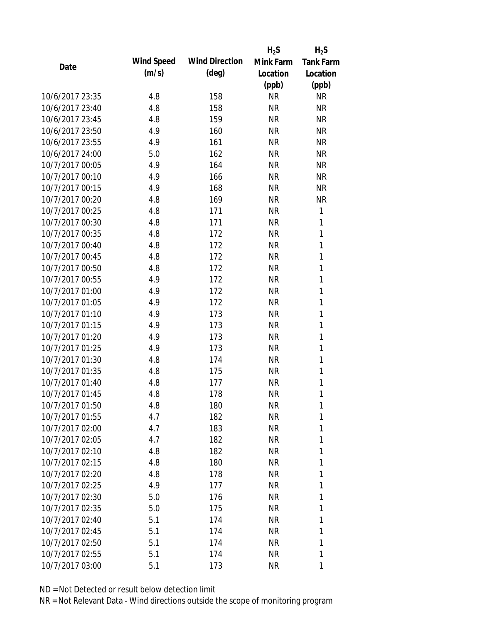|                 |            |                       | $H_2S$    | $H_2S$    |
|-----------------|------------|-----------------------|-----------|-----------|
| Date            | Wind Speed | <b>Wind Direction</b> | Mink Farm | Tank Farm |
|                 | (m/s)      | $(\text{deg})$        | Location  | Location  |
|                 |            |                       | (ppb)     | (ppb)     |
| 10/6/2017 23:35 | 4.8        | 158                   | <b>NR</b> | <b>NR</b> |
| 10/6/2017 23:40 | 4.8        | 158                   | <b>NR</b> | <b>NR</b> |
| 10/6/2017 23:45 | 4.8        | 159                   | <b>NR</b> | <b>NR</b> |
| 10/6/2017 23:50 | 4.9        | 160                   | <b>NR</b> | <b>NR</b> |
| 10/6/2017 23:55 | 4.9        | 161                   | <b>NR</b> | <b>NR</b> |
| 10/6/2017 24:00 | 5.0        | 162                   | <b>NR</b> | <b>NR</b> |
| 10/7/2017 00:05 | 4.9        | 164                   | <b>NR</b> | <b>NR</b> |
| 10/7/2017 00:10 | 4.9        | 166                   | <b>NR</b> | <b>NR</b> |
| 10/7/2017 00:15 | 4.9        | 168                   | <b>NR</b> | <b>NR</b> |
| 10/7/2017 00:20 | 4.8        | 169                   | <b>NR</b> | <b>NR</b> |
| 10/7/2017 00:25 | 4.8        | 171                   | <b>NR</b> | 1         |
| 10/7/2017 00:30 | 4.8        | 171                   | <b>NR</b> | 1         |
| 10/7/2017 00:35 | 4.8        | 172                   | <b>NR</b> | 1         |
| 10/7/2017 00:40 | 4.8        | 172                   | <b>NR</b> | 1         |
| 10/7/2017 00:45 | 4.8        | 172                   | <b>NR</b> | 1         |
| 10/7/2017 00:50 | 4.8        | 172                   | <b>NR</b> | 1         |
| 10/7/2017 00:55 | 4.9        | 172                   | <b>NR</b> | 1         |
| 10/7/2017 01:00 | 4.9        | 172                   | <b>NR</b> | 1         |
| 10/7/2017 01:05 | 4.9        | 172                   | <b>NR</b> | 1         |
| 10/7/2017 01:10 | 4.9        | 173                   | <b>NR</b> | 1         |
| 10/7/2017 01:15 | 4.9        | 173                   | <b>NR</b> | 1         |
| 10/7/2017 01:20 | 4.9        | 173                   | <b>NR</b> | 1         |
| 10/7/2017 01:25 | 4.9        | 173                   | <b>NR</b> | 1         |
| 10/7/2017 01:30 | 4.8        | 174                   | <b>NR</b> | 1         |
| 10/7/2017 01:35 | 4.8        | 175                   | <b>NR</b> | 1         |
| 10/7/2017 01:40 | 4.8        | 177                   | <b>NR</b> | 1         |
| 10/7/2017 01:45 | 4.8        | 178                   | <b>NR</b> | 1         |
| 10/7/2017 01:50 | 4.8        | 180                   | <b>NR</b> | 1         |
| 10/7/2017 01:55 | 4.7        | 182                   | <b>NR</b> | 1         |
| 10/7/2017 02:00 | 4.7        | 183                   | <b>NR</b> | 1         |
| 10/7/2017 02:05 | 4.7        | 182                   | <b>NR</b> | 1         |
| 10/7/2017 02:10 | 4.8        | 182                   | <b>NR</b> | 1         |
| 10/7/2017 02:15 | 4.8        | 180                   | <b>NR</b> | 1         |
| 10/7/2017 02:20 | 4.8        | 178                   | <b>NR</b> | 1         |
| 10/7/2017 02:25 | 4.9        | 177                   | <b>NR</b> | 1         |
| 10/7/2017 02:30 | 5.0        | 176                   | <b>NR</b> | 1         |
| 10/7/2017 02:35 | 5.0        | 175                   | <b>NR</b> | 1         |
| 10/7/2017 02:40 | 5.1        | 174                   | <b>NR</b> | 1         |
| 10/7/2017 02:45 | 5.1        | 174                   | <b>NR</b> | 1         |
| 10/7/2017 02:50 | 5.1        | 174                   | NR        | 1         |
| 10/7/2017 02:55 | 5.1        | 174                   | <b>NR</b> | 1         |
| 10/7/2017 03:00 | 5.1        | 173                   | <b>NR</b> | 1         |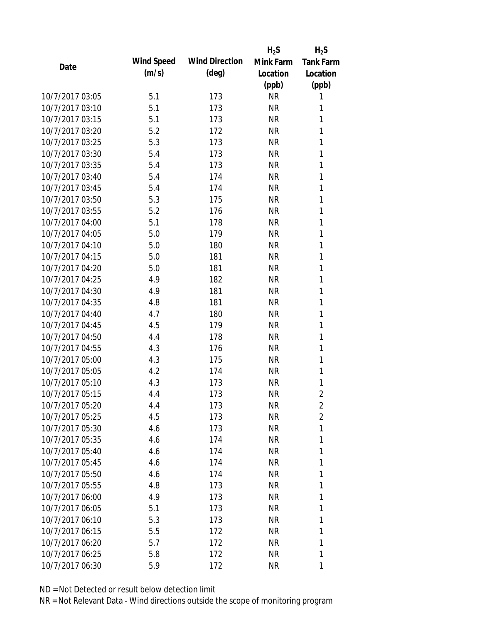|                 |            |                       | $H_2S$    | $H_2S$         |
|-----------------|------------|-----------------------|-----------|----------------|
| Date            | Wind Speed | <b>Wind Direction</b> | Mink Farm | Tank Farm      |
|                 | (m/s)      | $(\text{deg})$        | Location  | Location       |
|                 |            |                       | (ppb)     | (ppb)          |
| 10/7/2017 03:05 | 5.1        | 173                   | <b>NR</b> | 1              |
| 10/7/2017 03:10 | 5.1        | 173                   | <b>NR</b> | 1              |
| 10/7/2017 03:15 | 5.1        | 173                   | <b>NR</b> | 1              |
| 10/7/2017 03:20 | 5.2        | 172                   | <b>NR</b> | 1              |
| 10/7/2017 03:25 | 5.3        | 173                   | <b>NR</b> | 1              |
| 10/7/2017 03:30 | 5.4        | 173                   | <b>NR</b> | 1              |
| 10/7/2017 03:35 | 5.4        | 173                   | <b>NR</b> | 1              |
| 10/7/2017 03:40 | 5.4        | 174                   | <b>NR</b> | 1              |
| 10/7/2017 03:45 | 5.4        | 174                   | <b>NR</b> | 1              |
| 10/7/2017 03:50 | 5.3        | 175                   | <b>NR</b> | 1              |
| 10/7/2017 03:55 | 5.2        | 176                   | <b>NR</b> | 1              |
| 10/7/2017 04:00 | 5.1        | 178                   | <b>NR</b> | 1              |
| 10/7/2017 04:05 | 5.0        | 179                   | <b>NR</b> | 1              |
| 10/7/2017 04:10 | 5.0        | 180                   | <b>NR</b> | 1              |
| 10/7/2017 04:15 | 5.0        | 181                   | <b>NR</b> | 1              |
| 10/7/2017 04:20 | 5.0        | 181                   | <b>NR</b> | 1              |
| 10/7/2017 04:25 | 4.9        | 182                   | <b>NR</b> | 1              |
| 10/7/2017 04:30 | 4.9        | 181                   | <b>NR</b> | 1              |
| 10/7/2017 04:35 | 4.8        | 181                   | <b>NR</b> | 1              |
| 10/7/2017 04:40 | 4.7        | 180                   | <b>NR</b> | 1              |
| 10/7/2017 04:45 | 4.5        | 179                   | <b>NR</b> | 1              |
| 10/7/2017 04:50 | 4.4        | 178                   | <b>NR</b> | 1              |
| 10/7/2017 04:55 | 4.3        | 176                   | <b>NR</b> | 1              |
| 10/7/2017 05:00 | 4.3        | 175                   | <b>NR</b> | 1              |
| 10/7/2017 05:05 | 4.2        | 174                   | <b>NR</b> | 1              |
| 10/7/2017 05:10 | 4.3        | 173                   | <b>NR</b> | 1              |
| 10/7/2017 05:15 | 4.4        | 173                   | <b>NR</b> | $\overline{2}$ |
| 10/7/2017 05:20 | 4.4        | 173                   | <b>NR</b> | 2              |
| 10/7/2017 05:25 | 4.5        | 173                   | <b>NR</b> | $\overline{2}$ |
| 10/7/2017 05:30 | 4.6        | 173                   | <b>NR</b> | 1              |
| 10/7/2017 05:35 | 4.6        | 174                   | <b>NR</b> | 1              |
| 10/7/2017 05:40 | 4.6        | 174                   | <b>NR</b> | 1              |
| 10/7/2017 05:45 | 4.6        | 174                   | <b>NR</b> | 1              |
| 10/7/2017 05:50 | 4.6        | 174                   | <b>NR</b> | 1              |
| 10/7/2017 05:55 | 4.8        | 173                   | <b>NR</b> | 1              |
| 10/7/2017 06:00 | 4.9        | 173                   | <b>NR</b> | 1              |
| 10/7/2017 06:05 | 5.1        | 173                   | <b>NR</b> | 1              |
| 10/7/2017 06:10 | 5.3        | 173                   | <b>NR</b> | 1              |
| 10/7/2017 06:15 | 5.5        | 172                   | <b>NR</b> | 1              |
| 10/7/2017 06:20 | 5.7        | 172                   | NR        | 1              |
| 10/7/2017 06:25 | 5.8        | 172                   | <b>NR</b> | 1              |
| 10/7/2017 06:30 | 5.9        | 172                   | <b>NR</b> | 1              |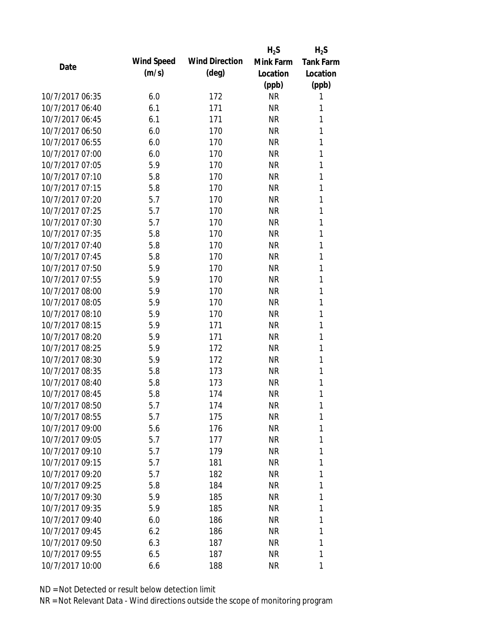|                 |            |                       | $H_2S$    | $H_2S$           |
|-----------------|------------|-----------------------|-----------|------------------|
| Date            | Wind Speed | <b>Wind Direction</b> | Mink Farm | <b>Tank Farm</b> |
|                 | (m/s)      | $(\text{deg})$        | Location  | Location         |
|                 |            |                       | (ppb)     | (ppb)            |
| 10/7/2017 06:35 | 6.0        | 172                   | <b>NR</b> | 1                |
| 10/7/2017 06:40 | 6.1        | 171                   | <b>NR</b> | 1                |
| 10/7/2017 06:45 | 6.1        | 171                   | <b>NR</b> | 1                |
| 10/7/2017 06:50 | 6.0        | 170                   | <b>NR</b> | 1                |
| 10/7/2017 06:55 | 6.0        | 170                   | <b>NR</b> | 1                |
| 10/7/2017 07:00 | 6.0        | 170                   | <b>NR</b> | 1                |
| 10/7/2017 07:05 | 5.9        | 170                   | <b>NR</b> | 1                |
| 10/7/2017 07:10 | 5.8        | 170                   | <b>NR</b> | 1                |
| 10/7/2017 07:15 | 5.8        | 170                   | <b>NR</b> | 1                |
| 10/7/2017 07:20 | 5.7        | 170                   | <b>NR</b> | 1                |
| 10/7/2017 07:25 | 5.7        | 170                   | <b>NR</b> | 1                |
| 10/7/2017 07:30 | 5.7        | 170                   | <b>NR</b> | 1                |
| 10/7/2017 07:35 | 5.8        | 170                   | <b>NR</b> | 1                |
| 10/7/2017 07:40 | 5.8        | 170                   | <b>NR</b> | 1                |
| 10/7/2017 07:45 | 5.8        | 170                   | <b>NR</b> | 1                |
| 10/7/2017 07:50 | 5.9        | 170                   | <b>NR</b> | 1                |
| 10/7/2017 07:55 | 5.9        | 170                   | <b>NR</b> | 1                |
| 10/7/2017 08:00 | 5.9        | 170                   | <b>NR</b> | 1                |
| 10/7/2017 08:05 | 5.9        | 170                   | <b>NR</b> | 1                |
| 10/7/2017 08:10 | 5.9        | 170                   | <b>NR</b> | 1                |
| 10/7/2017 08:15 | 5.9        | 171                   | <b>NR</b> | 1                |
| 10/7/2017 08:20 | 5.9        | 171                   | <b>NR</b> | 1                |
| 10/7/2017 08:25 | 5.9        | 172                   | <b>NR</b> | 1                |
| 10/7/2017 08:30 | 5.9        | 172                   | <b>NR</b> | 1                |
| 10/7/2017 08:35 | 5.8        | 173                   | <b>NR</b> | 1                |
| 10/7/2017 08:40 | 5.8        | 173                   | <b>NR</b> | 1                |
| 10/7/2017 08:45 | 5.8        | 174                   | <b>NR</b> | 1                |
| 10/7/2017 08:50 | 5.7        | 174                   | NR        | 1                |
| 10/7/2017 08:55 | 5.7        | 175                   | <b>NR</b> | 1                |
| 10/7/2017 09:00 | 5.6        | 176                   | <b>NR</b> | 1                |
| 10/7/2017 09:05 | 5.7        | 177                   | <b>NR</b> | 1                |
| 10/7/2017 09:10 | 5.7        | 179                   | <b>NR</b> | 1                |
| 10/7/2017 09:15 | 5.7        | 181                   | NR        | 1                |
| 10/7/2017 09:20 | 5.7        | 182                   | <b>NR</b> | 1                |
| 10/7/2017 09:25 | 5.8        | 184                   | <b>NR</b> | 1                |
| 10/7/2017 09:30 | 5.9        | 185                   | <b>NR</b> | 1                |
| 10/7/2017 09:35 | 5.9        | 185                   | <b>NR</b> | 1                |
| 10/7/2017 09:40 | 6.0        | 186                   | NR        | 1                |
| 10/7/2017 09:45 | 6.2        | 186                   | <b>NR</b> | 1                |
| 10/7/2017 09:50 | 6.3        | 187                   | NR        | 1                |
| 10/7/2017 09:55 | 6.5        | 187                   | <b>NR</b> | 1                |
| 10/7/2017 10:00 | 6.6        | 188                   | <b>NR</b> | 1                |
|                 |            |                       |           |                  |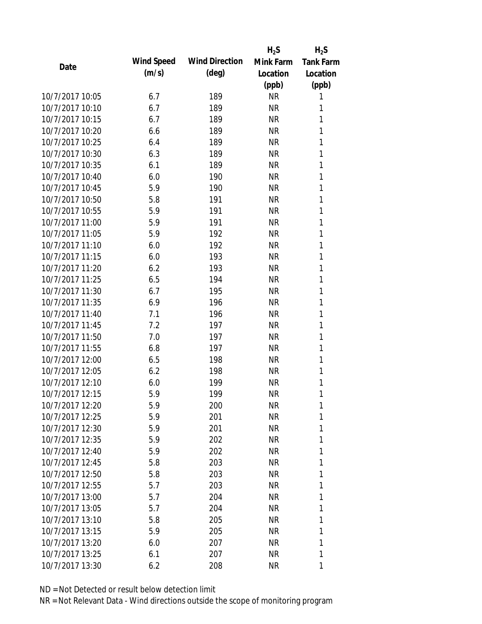|                 |            |                       | $H_2S$    | $H_2S$           |
|-----------------|------------|-----------------------|-----------|------------------|
| Date            | Wind Speed | <b>Wind Direction</b> | Mink Farm | <b>Tank Farm</b> |
|                 | (m/s)      | $(\text{deg})$        | Location  | Location         |
|                 |            |                       | (ppb)     | (ppb)            |
| 10/7/2017 10:05 | 6.7        | 189                   | <b>NR</b> | 1                |
| 10/7/2017 10:10 | 6.7        | 189                   | <b>NR</b> | 1                |
| 10/7/2017 10:15 | 6.7        | 189                   | <b>NR</b> | 1                |
| 10/7/2017 10:20 | 6.6        | 189                   | <b>NR</b> | 1                |
| 10/7/2017 10:25 | 6.4        | 189                   | <b>NR</b> | 1                |
| 10/7/2017 10:30 | 6.3        | 189                   | <b>NR</b> | 1                |
| 10/7/2017 10:35 | 6.1        | 189                   | <b>NR</b> | 1                |
| 10/7/2017 10:40 | 6.0        | 190                   | <b>NR</b> | 1                |
| 10/7/2017 10:45 | 5.9        | 190                   | <b>NR</b> | 1                |
| 10/7/2017 10:50 | 5.8        | 191                   | <b>NR</b> | 1                |
| 10/7/2017 10:55 | 5.9        | 191                   | <b>NR</b> | 1                |
| 10/7/2017 11:00 | 5.9        | 191                   | <b>NR</b> | 1                |
| 10/7/2017 11:05 | 5.9        | 192                   | <b>NR</b> | 1                |
| 10/7/2017 11:10 | 6.0        | 192                   | <b>NR</b> | 1                |
| 10/7/2017 11:15 | 6.0        | 193                   | <b>NR</b> | 1                |
| 10/7/2017 11:20 | 6.2        | 193                   | <b>NR</b> | 1                |
| 10/7/2017 11:25 | 6.5        | 194                   | <b>NR</b> | 1                |
| 10/7/2017 11:30 | 6.7        | 195                   | <b>NR</b> | 1                |
| 10/7/2017 11:35 | 6.9        | 196                   | <b>NR</b> | 1                |
| 10/7/2017 11:40 | 7.1        | 196                   | <b>NR</b> | 1                |
| 10/7/2017 11:45 | 7.2        | 197                   | <b>NR</b> | 1                |
| 10/7/2017 11:50 | 7.0        | 197                   | <b>NR</b> | 1                |
| 10/7/2017 11:55 | 6.8        | 197                   | <b>NR</b> | 1                |
| 10/7/2017 12:00 | 6.5        | 198                   | <b>NR</b> | 1                |
| 10/7/2017 12:05 | 6.2        | 198                   | <b>NR</b> | 1                |
| 10/7/2017 12:10 | 6.0        | 199                   | <b>NR</b> | 1                |
| 10/7/2017 12:15 | 5.9        | 199                   | <b>NR</b> | 1                |
| 10/7/2017 12:20 | 5.9        | 200                   | <b>NR</b> | 1                |
| 10/7/2017 12:25 | 5.9        | 201                   | <b>NR</b> | 1                |
| 10/7/2017 12:30 | 5.9        | 201                   | <b>NR</b> | 1                |
| 10/7/2017 12:35 | 5.9        | 202                   | <b>NR</b> | 1                |
| 10/7/2017 12:40 | 5.9        | 202                   | <b>NR</b> | 1                |
| 10/7/2017 12:45 | 5.8        | 203                   | NR        | 1                |
| 10/7/2017 12:50 | 5.8        | 203                   | <b>NR</b> | 1                |
| 10/7/2017 12:55 | 5.7        | 203                   | NR        | 1                |
| 10/7/2017 13:00 | 5.7        | 204                   | <b>NR</b> | 1                |
| 10/7/2017 13:05 | 5.7        | 204                   | <b>NR</b> | 1                |
| 10/7/2017 13:10 | 5.8        | 205                   | <b>NR</b> | 1                |
| 10/7/2017 13:15 | 5.9        | 205                   | <b>NR</b> | 1                |
| 10/7/2017 13:20 | 6.0        | 207                   | <b>NR</b> | 1                |
| 10/7/2017 13:25 | 6.1        | 207                   | <b>NR</b> | 1                |
| 10/7/2017 13:30 | 6.2        | 208                   | <b>NR</b> | 1                |
|                 |            |                       |           |                  |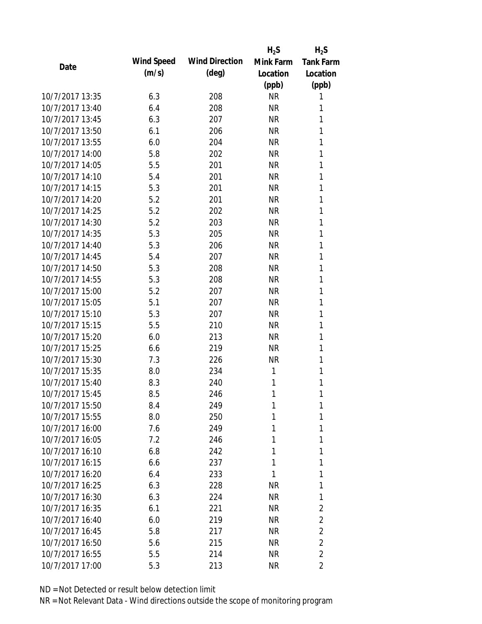|                 |            |                       | $H_2S$    | $H_2S$           |
|-----------------|------------|-----------------------|-----------|------------------|
| Date            | Wind Speed | <b>Wind Direction</b> | Mink Farm | <b>Tank Farm</b> |
|                 | (m/s)      | $(\text{deg})$        | Location  | Location         |
|                 |            |                       | (ppb)     | (ppb)            |
| 10/7/2017 13:35 | 6.3        | 208                   | <b>NR</b> | 1                |
| 10/7/2017 13:40 | 6.4        | 208                   | <b>NR</b> | 1                |
| 10/7/2017 13:45 | 6.3        | 207                   | <b>NR</b> | 1                |
| 10/7/2017 13:50 | 6.1        | 206                   | <b>NR</b> | 1                |
| 10/7/2017 13:55 | 6.0        | 204                   | <b>NR</b> | 1                |
| 10/7/2017 14:00 | 5.8        | 202                   | <b>NR</b> | 1                |
| 10/7/2017 14:05 | 5.5        | 201                   | <b>NR</b> | 1                |
| 10/7/2017 14:10 | 5.4        | 201                   | <b>NR</b> | 1                |
| 10/7/2017 14:15 | 5.3        | 201                   | <b>NR</b> | 1                |
| 10/7/2017 14:20 | 5.2        | 201                   | <b>NR</b> | 1                |
| 10/7/2017 14:25 | 5.2        | 202                   | <b>NR</b> | 1                |
| 10/7/2017 14:30 | 5.2        | 203                   | <b>NR</b> | 1                |
| 10/7/2017 14:35 | 5.3        | 205                   | <b>NR</b> | 1                |
| 10/7/2017 14:40 | 5.3        | 206                   | <b>NR</b> | 1                |
| 10/7/2017 14:45 | 5.4        | 207                   | <b>NR</b> | 1                |
| 10/7/2017 14:50 | 5.3        | 208                   | <b>NR</b> | 1                |
| 10/7/2017 14:55 | 5.3        | 208                   | <b>NR</b> | 1                |
| 10/7/2017 15:00 | 5.2        | 207                   | <b>NR</b> | 1                |
| 10/7/2017 15:05 | 5.1        | 207                   | <b>NR</b> | 1                |
| 10/7/2017 15:10 | 5.3        | 207                   | <b>NR</b> | 1                |
| 10/7/2017 15:15 | 5.5        | 210                   | <b>NR</b> | 1                |
| 10/7/2017 15:20 | 6.0        | 213                   | <b>NR</b> | 1                |
| 10/7/2017 15:25 | 6.6        | 219                   | <b>NR</b> | 1                |
| 10/7/2017 15:30 | 7.3        | 226                   | <b>NR</b> | 1                |
| 10/7/2017 15:35 | 8.0        | 234                   | 1         | 1                |
| 10/7/2017 15:40 | 8.3        | 240                   | 1         | 1                |
| 10/7/2017 15:45 | 8.5        | 246                   | 1         | 1                |
| 10/7/2017 15:50 | 8.4        | 249                   | 1         | 1                |
| 10/7/2017 15:55 | 8.0        | 250                   | 1         | 1                |
| 10/7/2017 16:00 | 7.6        | 249                   | 1         | 1                |
| 10/7/2017 16:05 | 7.2        | 246                   | 1         | 1                |
| 10/7/2017 16:10 | 6.8        | 242                   | 1         | 1                |
| 10/7/2017 16:15 | 6.6        | 237                   | 1         | 1                |
| 10/7/2017 16:20 | 6.4        | 233                   | 1         | 1                |
| 10/7/2017 16:25 | 6.3        | 228                   | ΝR        | 1                |
| 10/7/2017 16:30 | 6.3        | 224                   | NR        | 1                |
| 10/7/2017 16:35 | 6.1        | 221                   | <b>NR</b> | 2                |
| 10/7/2017 16:40 | 6.0        | 219                   | NR        | 2                |
| 10/7/2017 16:45 | 5.8        | 217                   | <b>NR</b> | $\overline{2}$   |
| 10/7/2017 16:50 | 5.6        | 215                   | NR        | 2                |
| 10/7/2017 16:55 | 5.5        | 214                   | <b>NR</b> | 2                |
| 10/7/2017 17:00 | 5.3        | 213                   | <b>NR</b> | 2                |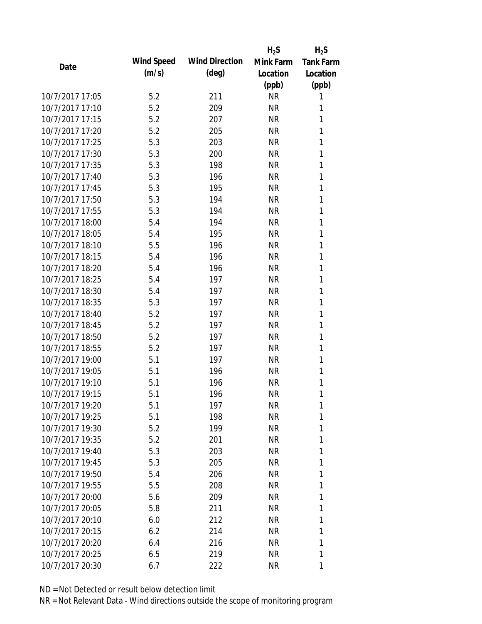|                 |            |                       | $H_2S$    | $H_2S$           |
|-----------------|------------|-----------------------|-----------|------------------|
| Date            | Wind Speed | <b>Wind Direction</b> | Mink Farm | <b>Tank Farm</b> |
|                 | (m/s)      | $(\text{deg})$        | Location  | Location         |
|                 |            |                       | (ppb)     | (ppb)            |
| 10/7/2017 17:05 | 5.2        | 211                   | <b>NR</b> | 1                |
| 10/7/2017 17:10 | 5.2        | 209                   | <b>NR</b> | 1                |
| 10/7/2017 17:15 | 5.2        | 207                   | <b>NR</b> | 1                |
| 10/7/2017 17:20 | 5.2        | 205                   | <b>NR</b> | 1                |
| 10/7/2017 17:25 | 5.3        | 203                   | <b>NR</b> | 1                |
| 10/7/2017 17:30 | 5.3        | 200                   | <b>NR</b> | 1                |
| 10/7/2017 17:35 | 5.3        | 198                   | <b>NR</b> | 1                |
| 10/7/2017 17:40 | 5.3        | 196                   | <b>NR</b> | 1                |
| 10/7/2017 17:45 | 5.3        | 195                   | <b>NR</b> | 1                |
| 10/7/2017 17:50 | 5.3        | 194                   | <b>NR</b> | 1                |
| 10/7/2017 17:55 | 5.3        | 194                   | <b>NR</b> | 1                |
| 10/7/2017 18:00 | 5.4        | 194                   | <b>NR</b> | 1                |
| 10/7/2017 18:05 | 5.4        | 195                   | <b>NR</b> | 1                |
| 10/7/2017 18:10 | 5.5        | 196                   | <b>NR</b> | 1                |
| 10/7/2017 18:15 | 5.4        | 196                   | <b>NR</b> | 1                |
| 10/7/2017 18:20 | 5.4        | 196                   | <b>NR</b> | 1                |
| 10/7/2017 18:25 | 5.4        | 197                   | <b>NR</b> | 1                |
| 10/7/2017 18:30 | 5.4        | 197                   | <b>NR</b> | 1                |
| 10/7/2017 18:35 | 5.3        | 197                   | <b>NR</b> | 1                |
| 10/7/2017 18:40 | 5.2        | 197                   | <b>NR</b> | 1                |
| 10/7/2017 18:45 | 5.2        | 197                   | <b>NR</b> | 1                |
| 10/7/2017 18:50 | 5.2        | 197                   | <b>NR</b> | 1                |
| 10/7/2017 18:55 | 5.2        | 197                   | <b>NR</b> | 1                |
| 10/7/2017 19:00 | 5.1        | 197                   | <b>NR</b> | 1                |
| 10/7/2017 19:05 | 5.1        | 196                   | <b>NR</b> | 1                |
| 10/7/2017 19:10 | 5.1        | 196                   | <b>NR</b> | 1                |
| 10/7/2017 19:15 | 5.1        | 196                   | <b>NR</b> | 1                |
| 10/7/2017 19:20 | 5.1        | 197                   | NR        | 1                |
| 10/7/2017 19:25 | 5.1        | 198                   | <b>NR</b> | 1                |
| 10/7/2017 19:30 | 5.2        | 199                   | <b>NR</b> | 1                |
| 10/7/2017 19:35 | 5.2        | 201                   | <b>NR</b> | 1                |
| 10/7/2017 19:40 | 5.3        | 203                   | <b>NR</b> | 1                |
| 10/7/2017 19:45 | 5.3        | 205                   | NR        | 1                |
| 10/7/2017 19:50 | 5.4        | 206                   | <b>NR</b> | 1                |
| 10/7/2017 19:55 | 5.5        | 208                   | NR        | 1                |
| 10/7/2017 20:00 | 5.6        | 209                   | <b>NR</b> | 1                |
| 10/7/2017 20:05 | 5.8        | 211                   | <b>NR</b> | 1                |
| 10/7/2017 20:10 | 6.0        | 212                   | NR        | 1                |
| 10/7/2017 20:15 | 6.2        | 214                   | <b>NR</b> | 1                |
| 10/7/2017 20:20 | 6.4        | 216                   | NR        | 1                |
| 10/7/2017 20:25 | 6.5        | 219                   | <b>NR</b> | 1                |
| 10/7/2017 20:30 | 6.7        | 222                   | <b>NR</b> | 1                |
|                 |            |                       |           |                  |